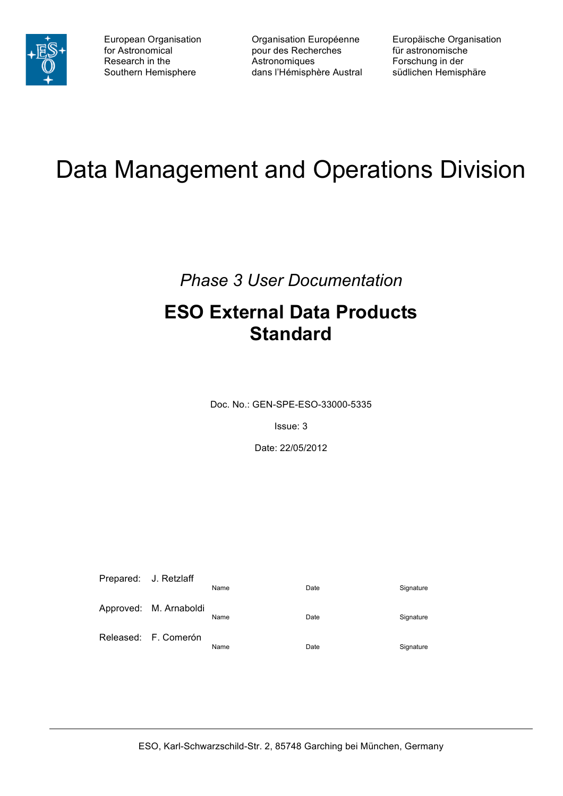

Organisation Européenne pour des Recherches Astronomiques dans l'Hémisphère Austral Europäische Organisation für astronomische Forschung in der südlichen Hemisphäre

# Data Management and Operations Division

*Phase 3 User Documentation*

# **ESO External Data Products Standard**

Doc. No.: GEN-SPE-ESO-33000-5335

Issue: 3

Date: 22/05/2012

| Prepared: J. Retzlaff |                        |      |      |           |
|-----------------------|------------------------|------|------|-----------|
|                       |                        | Name | Date | Signature |
|                       |                        |      |      |           |
|                       | Approved: M. Arnaboldi |      |      |           |
|                       |                        | Name | Date | Signature |
|                       | Released: F. Comerón   |      |      |           |
|                       |                        | Name | Date | Signature |
|                       |                        |      |      |           |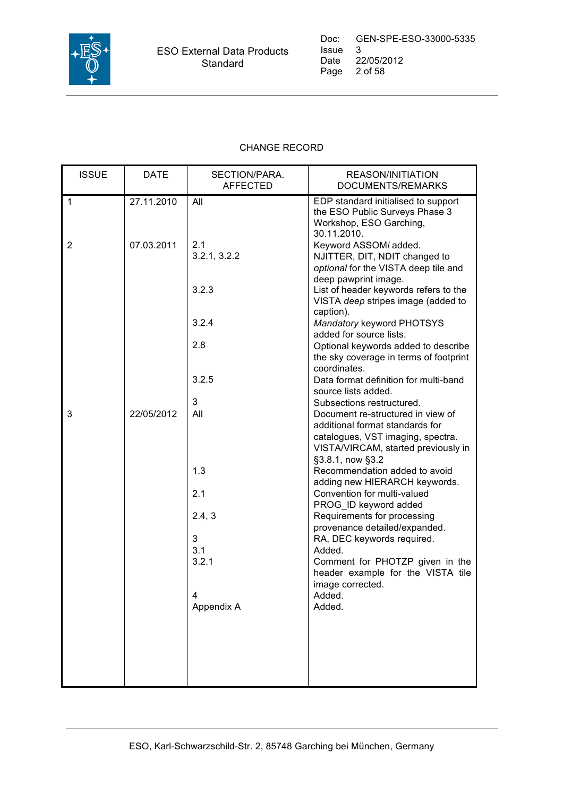

# CHANGE RECORD

| <b>ISSUE</b>   | <b>DATE</b> | SECTION/PARA.<br><b>AFFECTED</b> | REASON/INITIATION<br>DOCUMENTS/REMARKS                                                                                                                               |
|----------------|-------------|----------------------------------|----------------------------------------------------------------------------------------------------------------------------------------------------------------------|
| $\mathbf 1$    | 27.11.2010  | All                              | EDP standard initialised to support<br>the ESO Public Surveys Phase 3<br>Workshop, ESO Garching,<br>30.11.2010.                                                      |
| $\overline{2}$ | 07.03.2011  | 2.1<br>3.2.1, 3.2.2              | Keyword ASSOMi added.<br>NJITTER, DIT, NDIT changed to<br>optional for the VISTA deep tile and<br>deep pawprint image.                                               |
|                |             | 3.2.3                            | List of header keywords refers to the<br>VISTA deep stripes image (added to<br>caption).                                                                             |
|                |             | 3.2.4                            | Mandatory keyword PHOTSYS<br>added for source lists.                                                                                                                 |
|                |             | 2.8                              | Optional keywords added to describe<br>the sky coverage in terms of footprint<br>coordinates.                                                                        |
|                |             | 3.2.5                            | Data format definition for multi-band<br>source lists added.                                                                                                         |
|                |             | 3                                | Subsections restructured.                                                                                                                                            |
| 3              | 22/05/2012  | All                              | Document re-structured in view of<br>additional format standards for<br>catalogues, VST imaging, spectra.<br>VISTA/VIRCAM, started previously in<br>§3.8.1, now §3.2 |
|                |             | 1.3                              | Recommendation added to avoid<br>adding new HIERARCH keywords.                                                                                                       |
|                |             | 2.1                              | Convention for multi-valued<br>PROG_ID keyword added                                                                                                                 |
|                |             | 2.4, 3                           | Requirements for processing<br>provenance detailed/expanded.                                                                                                         |
|                |             | 3                                | RA, DEC keywords required.                                                                                                                                           |
|                |             | 3.1<br>3.2.1                     | Added.<br>Comment for PHOTZP given in the<br>header example for the VISTA tile<br>image corrected.                                                                   |
|                |             | 4<br>Appendix A                  | Added.<br>Added.                                                                                                                                                     |
|                |             |                                  |                                                                                                                                                                      |
|                |             |                                  |                                                                                                                                                                      |
|                |             |                                  |                                                                                                                                                                      |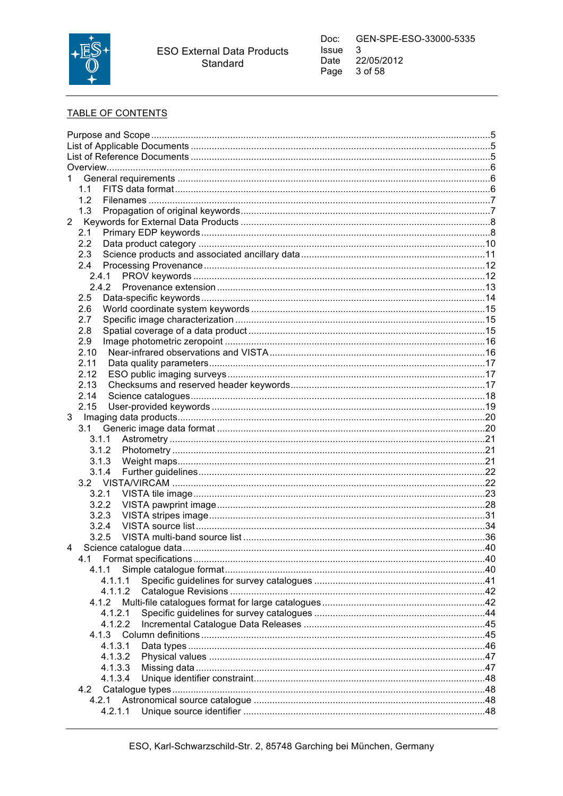

# TABLE OF CONTENTS

| 1.             |         |  |
|----------------|---------|--|
|                | 1.1     |  |
|                | 1.2     |  |
|                | 1.3     |  |
| $\overline{2}$ |         |  |
|                | 2.1     |  |
|                | 2.2     |  |
|                | 2.3     |  |
|                | 2.4     |  |
|                |         |  |
|                |         |  |
|                | 2.5     |  |
|                | 2.6     |  |
|                | 2.7     |  |
|                | 2.8     |  |
|                | 2.9     |  |
|                | 2.10    |  |
|                | 2.11    |  |
|                | 2.12    |  |
|                | 2.13    |  |
|                | 2.14    |  |
|                | 2.15    |  |
| 3              |         |  |
|                | 3.1     |  |
|                | 3.1.1   |  |
|                | 3.1.2   |  |
|                | 3.1.3   |  |
|                | 3.1.4   |  |
|                |         |  |
|                | 3.2.1   |  |
|                | 3.2.2   |  |
|                | 3.2.3   |  |
|                | 3.2.4   |  |
|                | 3.2.5   |  |
| 4              |         |  |
|                | 4.1     |  |
|                | 4.1.1   |  |
|                | 4.1.1.1 |  |
|                | 4.1.1.2 |  |
|                | 4.1.2   |  |
|                | 4.1.2.1 |  |
|                | 4.1.2.2 |  |
|                | 4.1.3   |  |
|                | 4.1.3.1 |  |
|                | 4.1.3.2 |  |
|                | 4.1.3.3 |  |
|                | 4.1.3.4 |  |
|                |         |  |
|                | 4.2.1   |  |
|                | 4.2.1.1 |  |
|                |         |  |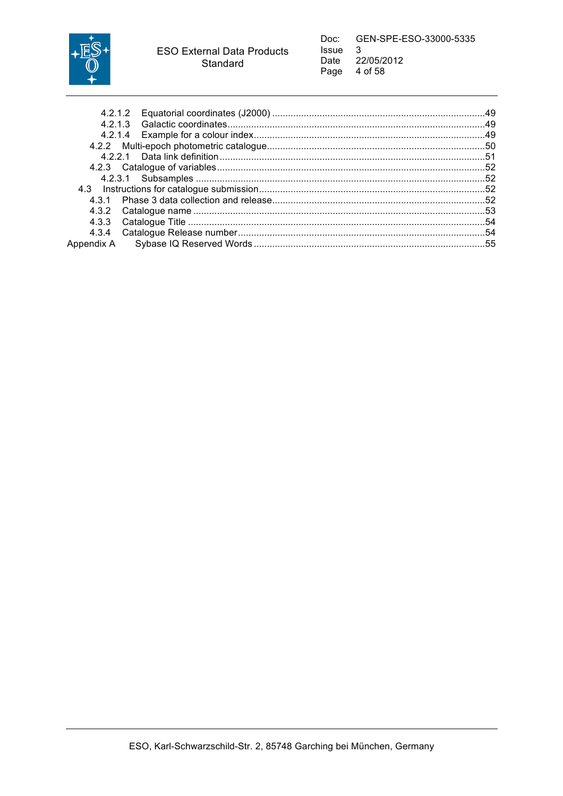

| 4 2 1 3 |  |
|---------|--|
|         |  |
|         |  |
|         |  |
|         |  |
|         |  |
|         |  |
| 431     |  |
|         |  |
| 4.3.3   |  |
| 4.3.4   |  |
|         |  |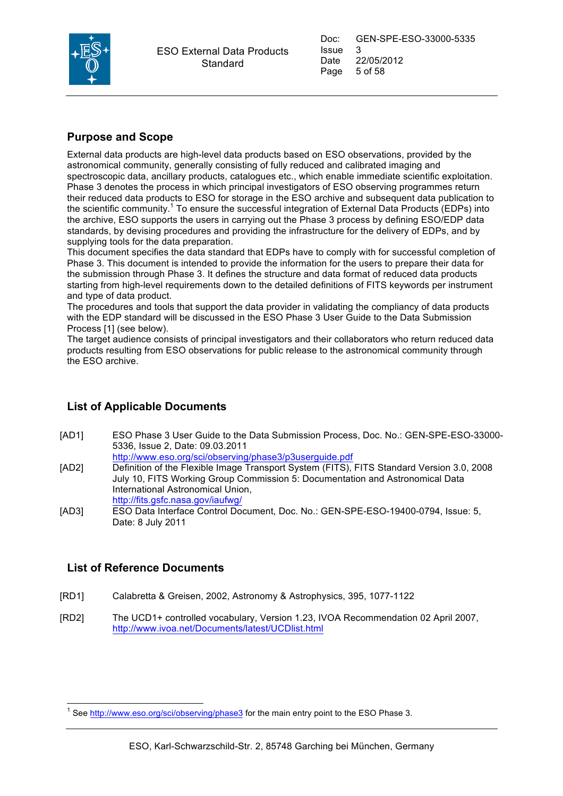

# **Purpose and Scope**

External data products are high-level data products based on ESO observations, provided by the astronomical community, generally consisting of fully reduced and calibrated imaging and spectroscopic data, ancillary products, catalogues etc., which enable immediate scientific exploitation. Phase 3 denotes the process in which principal investigators of ESO observing programmes return their reduced data products to ESO for storage in the ESO archive and subsequent data publication to the scientific community.<sup>1</sup> To ensure the successful integration of External Data Products (EDPs) into the archive, ESO supports the users in carrying out the Phase 3 process by defining ESO/EDP data standards, by devising procedures and providing the infrastructure for the delivery of EDPs, and by supplying tools for the data preparation.

This document specifies the data standard that EDPs have to comply with for successful completion of Phase 3. This document is intended to provide the information for the users to prepare their data for the submission through Phase 3. It defines the structure and data format of reduced data products starting from high-level requirements down to the detailed definitions of FITS keywords per instrument and type of data product.

The procedures and tools that support the data provider in validating the compliancy of data products with the EDP standard will be discussed in the ESO Phase 3 User Guide to the Data Submission Process [1] (see below).

The target audience consists of principal investigators and their collaborators who return reduced data products resulting from ESO observations for public release to the astronomical community through the ESO archive.

# **List of Applicable Documents**

- [AD1] ESO Phase 3 User Guide to the Data Submission Process, Doc. No.: GEN-SPE-ESO-33000- 5336, Issue 2, Date: 09.03.2011 http://www.eso.org/sci/observing/phase3/p3userguide.pdf
- [AD2] Definition of the Flexible Image Transport System (FITS), FITS Standard Version 3.0, 2008 July 10, FITS Working Group Commission 5: Documentation and Astronomical Data International Astronomical Union, http://fits.gsfc.nasa.gov/iaufwg/
- [AD3] ESO Data Interface Control Document, Doc. No.: GEN-SPE-ESO-19400-0794, Issue: 5, Date: 8 July 2011

# **List of Reference Documents**

- [RD1] Calabretta & Greisen, 2002, Astronomy & Astrophysics, 395, 1077-1122
- [RD2] The UCD1+ controlled vocabulary, Version 1.23, IVOA Recommendation 02 April 2007, http://www.ivoa.net/Documents/latest/UCDlist.html

<sup>&</sup>lt;sup>1</sup> See http://www.eso.org/sci/observing/phase3 for the main entry point to the ESO Phase 3.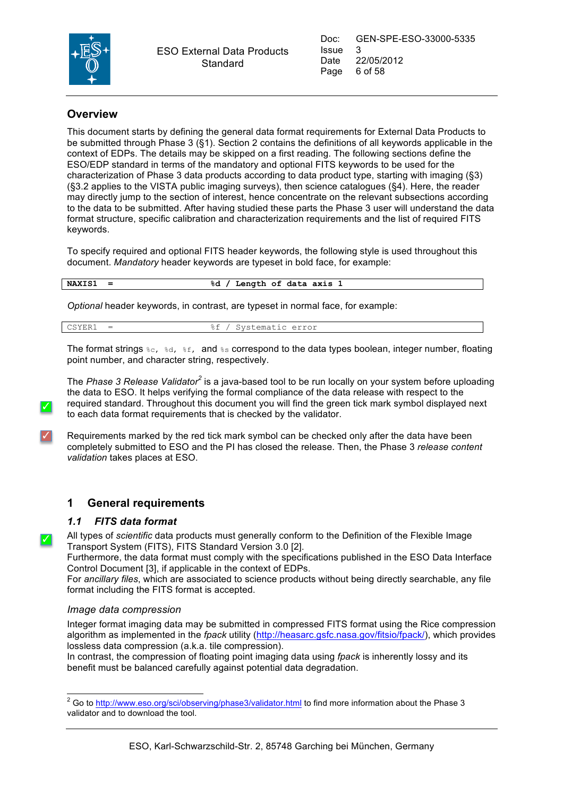

# **Overview**

This document starts by defining the general data format requirements for External Data Products to be submitted through Phase 3 (§1). Section 2 contains the definitions of all keywords applicable in the context of EDPs. The details may be skipped on a first reading. The following sections define the ESO/EDP standard in terms of the mandatory and optional FITS keywords to be used for the characterization of Phase 3 data products according to data product type, starting with imaging (§3) (§3.2 applies to the VISTA public imaging surveys), then science catalogues (§4). Here, the reader may directly jump to the section of interest, hence concentrate on the relevant subsections according to the data to be submitted. After having studied these parts the Phase 3 user will understand the data format structure, specific calibration and characterization requirements and the list of required FITS keywords.

To specify required and optional FITS header keywords, the following style is used throughout this document. *Mandatory* header keywords are typeset in bold face, for example:

| <b>NAXIS1</b><br>data axis<br>о£<br>Lenath<br>$=$<br>ిం<br>_____ |
|------------------------------------------------------------------|
|------------------------------------------------------------------|

*Optional* header keywords, in contrast, are typeset in normal face, for example:

CSYER1 = %f / Systematic error

✓

✓

✓

The format strings  $\varepsilon_c$ ,  $\varepsilon_d$ ,  $\varepsilon_f$ , and  $\varepsilon_s$  correspond to the data types boolean, integer number, floating point number, and character string, respectively.

The *Phase 3 Release Validator<sup>2</sup>* is a java-based tool to be run locally on your system before uploading the data to ESO. It helps verifying the formal compliance of the data release with respect to the required standard. Throughout this document you will find the green tick mark symbol displayed next to each data format requirements that is checked by the validator.

Requirements marked by the red tick mark symbol can be checked only after the data have been completely submitted to ESO and the PI has closed the release. Then, the Phase 3 *release content validation* takes places at ESO.

# **1 General requirements**

# *1.1 FITS data format*

All types of *scientific* data products must generally conform to the Definition of the Flexible Image Transport System (FITS), FITS Standard Version 3.0 [2].

Furthermore, the data format must comply with the specifications published in the ESO Data Interface Control Document [3], if applicable in the context of EDPs.

For *ancillary files*, which are associated to science products without being directly searchable, any file format including the FITS format is accepted.

## *Image data compression*

Integer format imaging data may be submitted in compressed FITS format using the Rice compression algorithm as implemented in the *fpack* utility (http://heasarc.gsfc.nasa.gov/fitsio/fpack/), which provides lossless data compression (a.k.a. tile compression).

In contrast, the compression of floating point imaging data using *fpack* is inherently lossy and its benefit must be balanced carefully against potential data degradation.

<sup>&</sup>lt;sup>2</sup> Go to http://www.eso.org/sci/observing/phase3/validator.html to find more information about the Phase 3 validator and to download the tool.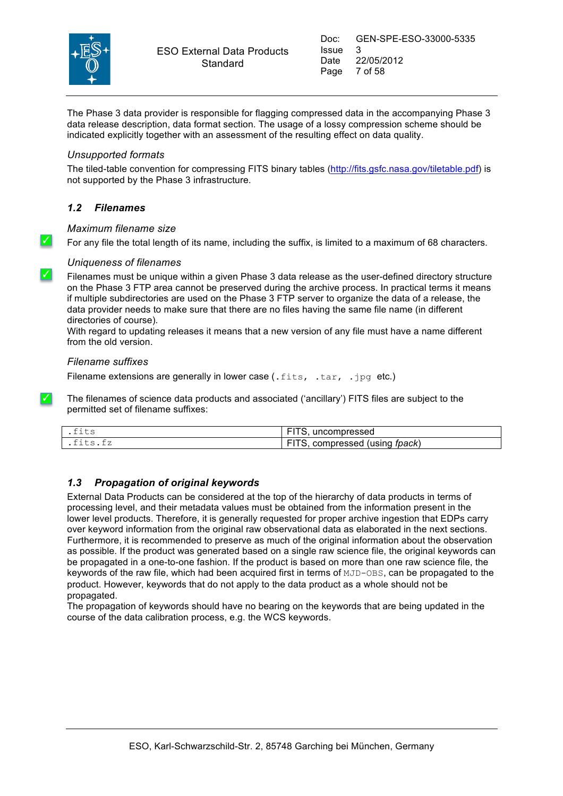

The Phase 3 data provider is responsible for flagging compressed data in the accompanying Phase 3 data release description, data format section. The usage of a lossy compression scheme should be indicated explicitly together with an assessment of the resulting effect on data quality.

## *Unsupported formats*

The tiled-table convention for compressing FITS binary tables (http://fits.gsfc.nasa.gov/tiletable.pdf) is not supported by the Phase 3 infrastructure.

# *1.2 Filenames*

✓

✓

✓

## *Maximum filename size*

For any file the total length of its name, including the suffix, is limited to a maximum of 68 characters.

## *Uniqueness of filenames*

Filenames must be unique within a given Phase 3 data release as the user-defined directory structure on the Phase 3 FTP area cannot be preserved during the archive process. In practical terms it means if multiple subdirectories are used on the Phase 3 FTP server to organize the data of a release, the data provider needs to make sure that there are no files having the same file name (in different directories of course).

With regard to updating releases it means that a new version of any file must have a name different from the old version.

## *Filename suffixes*

Filename extensions are generally in lower case  $(. \text{fits}, . \text{tar}, . \text{ipq etc.})$ 

The filenames of science data products and associated ('ancillary') FITS files are subject to the permitted set of filename suffixes:

| $\sim$ $\cdot$      | uncompressed                        |
|---------------------|-------------------------------------|
| .                   | ື                                   |
| $\sim$ $\cdot$<br>. | fpack)<br>(usına<br>compressed<br>ື |

# *1.3 Propagation of original keywords*

External Data Products can be considered at the top of the hierarchy of data products in terms of processing level, and their metadata values must be obtained from the information present in the lower level products. Therefore, it is generally requested for proper archive ingestion that EDPs carry over keyword information from the original raw observational data as elaborated in the next sections. Furthermore, it is recommended to preserve as much of the original information about the observation as possible. If the product was generated based on a single raw science file, the original keywords can be propagated in a one-to-one fashion. If the product is based on more than one raw science file, the keywords of the raw file, which had been acquired first in terms of MJD-OBS, can be propagated to the product. However, keywords that do not apply to the data product as a whole should not be propagated.

The propagation of keywords should have no bearing on the keywords that are being updated in the course of the data calibration process, e.g. the WCS keywords.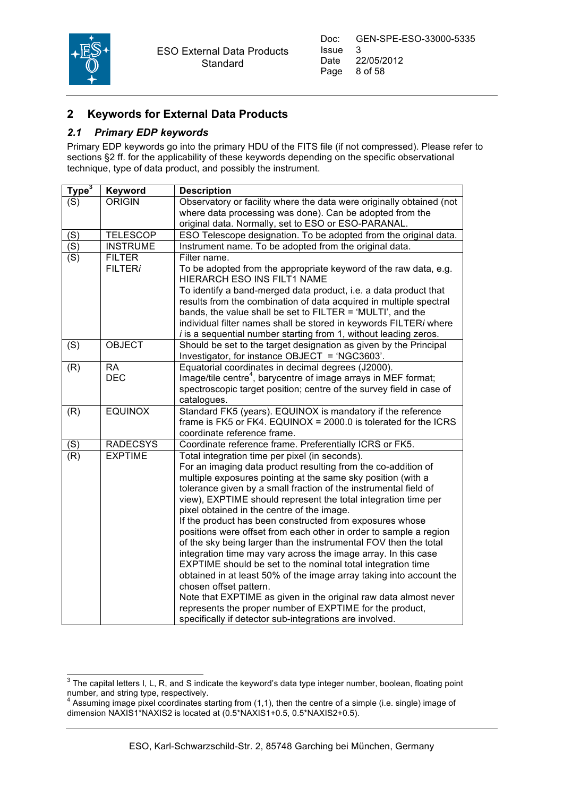

# **2 Keywords for External Data Products**

# *2.1 Primary EDP keywords*

Primary EDP keywords go into the primary HDU of the FITS file (if not compressed). Please refer to sections §2 ff. for the applicability of these keywords depending on the specific observational technique, type of data product, and possibly the instrument.

| Type <sup>3</sup>         | Keyword         | <b>Description</b>                                                                                                  |
|---------------------------|-----------------|---------------------------------------------------------------------------------------------------------------------|
| (S)                       | <b>ORIGIN</b>   | Observatory or facility where the data were originally obtained (not                                                |
|                           |                 | where data processing was done). Can be adopted from the                                                            |
|                           |                 | original data. Normally, set to ESO or ESO-PARANAL.                                                                 |
| (S)                       | <b>TELESCOP</b> | ESO Telescope designation. To be adopted from the original data.                                                    |
| $\overline{\text{(S)}}$   | <b>INSTRUME</b> | Instrument name. To be adopted from the original data.                                                              |
| $\overline{(\mathsf{S})}$ | <b>FILTER</b>   | Filter name.                                                                                                        |
|                           | <b>FILTERI</b>  | To be adopted from the appropriate keyword of the raw data, e.g.<br>HIERARCH ESO INS FILT1 NAME                     |
|                           |                 | To identify a band-merged data product, i.e. a data product that                                                    |
|                           |                 | results from the combination of data acquired in multiple spectral                                                  |
|                           |                 | bands, the value shall be set to FILTER = 'MULTI', and the                                                          |
|                           |                 | individual filter names shall be stored in keywords FILTERi where                                                   |
|                           |                 | <i>i</i> is a sequential number starting from 1, without leading zeros.                                             |
| (S)                       | <b>OBJECT</b>   | Should be set to the target designation as given by the Principal<br>Investigator, for instance OBJECT = 'NGC3603'. |
| (R)                       | <b>RA</b>       | Equatorial coordinates in decimal degrees (J2000).                                                                  |
|                           | <b>DEC</b>      | Image/tile centre <sup>4</sup> , barycentre of image arrays in MEF format;                                          |
|                           |                 | spectroscopic target position; centre of the survey field in case of                                                |
|                           |                 | catalogues.                                                                                                         |
| (R)                       | <b>EQUINOX</b>  | Standard FK5 (years). EQUINOX is mandatory if the reference                                                         |
|                           |                 | frame is FK5 or FK4. EQUINOX = 2000.0 is tolerated for the ICRS                                                     |
|                           |                 | coordinate reference frame.                                                                                         |
| (S)                       | <b>RADECSYS</b> | Coordinate reference frame. Preferentially ICRS or FK5.                                                             |
| (R)                       | <b>EXPTIME</b>  | Total integration time per pixel (in seconds).                                                                      |
|                           |                 | For an imaging data product resulting from the co-addition of                                                       |
|                           |                 | multiple exposures pointing at the same sky position (with a                                                        |
|                           |                 | tolerance given by a small fraction of the instrumental field of                                                    |
|                           |                 | view), EXPTIME should represent the total integration time per                                                      |
|                           |                 | pixel obtained in the centre of the image.                                                                          |
|                           |                 | If the product has been constructed from exposures whose                                                            |
|                           |                 | positions were offset from each other in order to sample a region                                                   |
|                           |                 | of the sky being larger than the instrumental FOV then the total                                                    |
|                           |                 | integration time may vary across the image array. In this case                                                      |
|                           |                 | EXPTIME should be set to the nominal total integration time                                                         |
|                           |                 | obtained in at least 50% of the image array taking into account the                                                 |
|                           |                 | chosen offset pattern.                                                                                              |
|                           |                 | Note that EXPTIME as given in the original raw data almost never                                                    |
|                           |                 | represents the proper number of EXPTIME for the product,                                                            |
|                           |                 | specifically if detector sub-integrations are involved.                                                             |

<sup>&</sup>lt;sup>3</sup> The capital letters I, L, R, and S indicate the keyword's data type integer number, boolean, floating point number, and string type, respectively.

<sup>4</sup> Assuming image pixel coordinates starting from (1,1), then the centre of a simple (i.e. single) image of dimension NAXIS1\*NAXIS2 is located at (0.5\*NAXIS1+0.5, 0.5\*NAXIS2+0.5).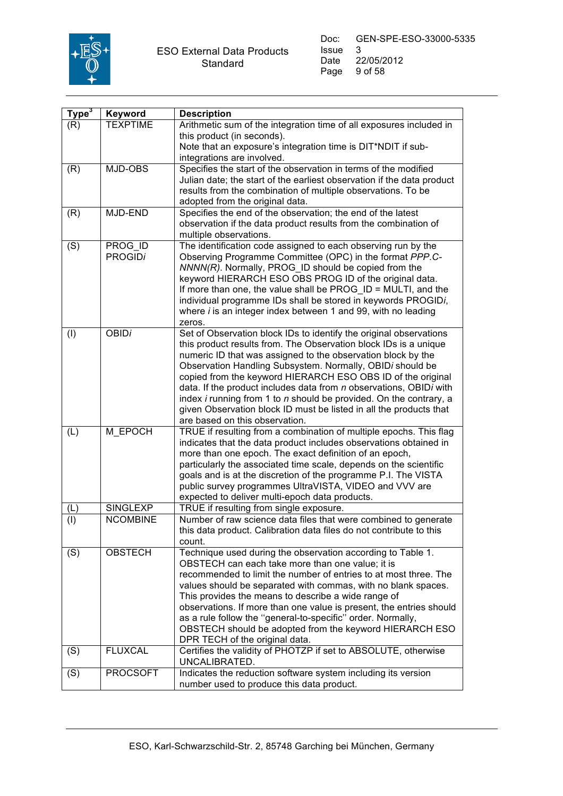

| Type <sup>3</sup> | Keyword         | <b>Description</b>                                                                                                                                     |
|-------------------|-----------------|--------------------------------------------------------------------------------------------------------------------------------------------------------|
| (R)               | <b>TEXPTIME</b> | Arithmetic sum of the integration time of all exposures included in                                                                                    |
|                   |                 | this product (in seconds).                                                                                                                             |
|                   |                 | Note that an exposure's integration time is DIT*NDIT if sub-                                                                                           |
|                   |                 | integrations are involved.                                                                                                                             |
| (R)               | MJD-OBS         | Specifies the start of the observation in terms of the modified                                                                                        |
|                   |                 | Julian date; the start of the earliest observation if the data product                                                                                 |
|                   |                 | results from the combination of multiple observations. To be                                                                                           |
|                   |                 | adopted from the original data.                                                                                                                        |
| (R)               | MJD-END         | Specifies the end of the observation; the end of the latest                                                                                            |
|                   |                 | observation if the data product results from the combination of                                                                                        |
|                   |                 | multiple observations.                                                                                                                                 |
| (S)               | PROG ID         | The identification code assigned to each observing run by the                                                                                          |
|                   | <b>PROGIDi</b>  | Observing Programme Committee (OPC) in the format PPP.C-                                                                                               |
|                   |                 | NNNN(R). Normally, PROG_ID should be copied from the                                                                                                   |
|                   |                 | keyword HIERARCH ESO OBS PROG ID of the original data.                                                                                                 |
|                   |                 | If more than one, the value shall be $PROGID = MULTI$ , and the                                                                                        |
|                   |                 | individual programme IDs shall be stored in keywords PROGIDi,                                                                                          |
|                   |                 | where <i>i</i> is an integer index between 1 and 99, with no leading                                                                                   |
|                   |                 | zeros.                                                                                                                                                 |
| (1)               | <b>OBIDi</b>    | Set of Observation block IDs to identify the original observations                                                                                     |
|                   |                 | this product results from. The Observation block IDs is a unique                                                                                       |
|                   |                 | numeric ID that was assigned to the observation block by the                                                                                           |
|                   |                 | Observation Handling Subsystem. Normally, OBIDi should be                                                                                              |
|                   |                 | copied from the keyword HIERARCH ESO OBS ID of the original                                                                                            |
|                   |                 | data. If the product includes data from n observations, OBIDi with                                                                                     |
|                   |                 | index <i>i</i> running from 1 to <i>n</i> should be provided. On the contrary, a<br>given Observation block ID must be listed in all the products that |
|                   |                 | are based on this observation.                                                                                                                         |
| (L)               | M EPOCH         | TRUE if resulting from a combination of multiple epochs. This flag                                                                                     |
|                   |                 | indicates that the data product includes observations obtained in                                                                                      |
|                   |                 | more than one epoch. The exact definition of an epoch,                                                                                                 |
|                   |                 | particularly the associated time scale, depends on the scientific                                                                                      |
|                   |                 | goals and is at the discretion of the programme P.I. The VISTA                                                                                         |
|                   |                 | public survey programmes UltraVISTA, VIDEO and VVV are                                                                                                 |
|                   |                 | expected to deliver multi-epoch data products.                                                                                                         |
| $(\mathsf{L})$    | <b>SINGLEXP</b> | TRUE if resulting from single exposure.                                                                                                                |
| (1)               | <b>NCOMBINE</b> | Number of raw science data files that were combined to generate                                                                                        |
|                   |                 | this data product. Calibration data files do not contribute to this                                                                                    |
|                   |                 | count.                                                                                                                                                 |
| (S)               | <b>OBSTECH</b>  | Technique used during the observation according to Table 1.                                                                                            |
|                   |                 | OBSTECH can each take more than one value; it is                                                                                                       |
|                   |                 | recommended to limit the number of entries to at most three. The                                                                                       |
|                   |                 | values should be separated with commas, with no blank spaces.                                                                                          |
|                   |                 | This provides the means to describe a wide range of                                                                                                    |
|                   |                 | observations. If more than one value is present, the entries should                                                                                    |
|                   |                 | as a rule follow the "general-to-specific" order. Normally,                                                                                            |
|                   |                 | OBSTECH should be adopted from the keyword HIERARCH ESO                                                                                                |
|                   |                 | DPR TECH of the original data.                                                                                                                         |
| (S)               | <b>FLUXCAL</b>  | Certifies the validity of PHOTZP if set to ABSOLUTE, otherwise                                                                                         |
|                   |                 | UNCALIBRATED.                                                                                                                                          |
| (S)               | <b>PROCSOFT</b> | Indicates the reduction software system including its version                                                                                          |
|                   |                 | number used to produce this data product.                                                                                                              |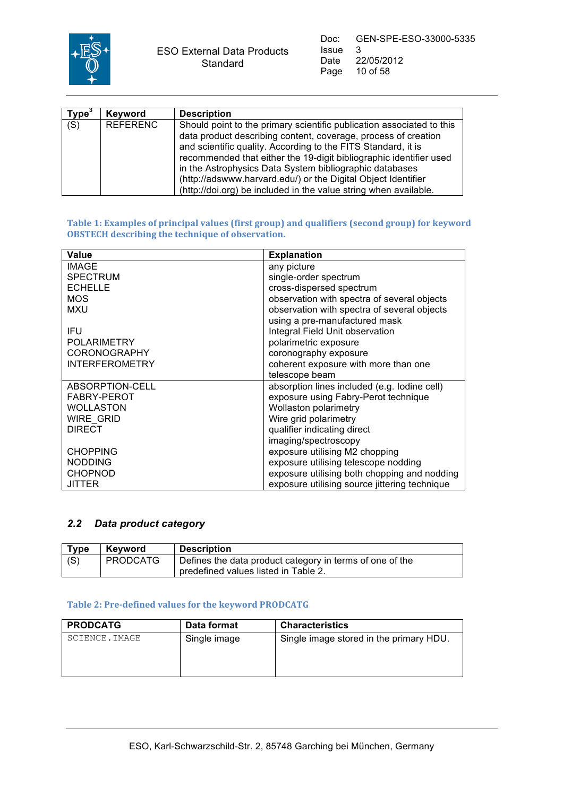

| Type <sup>3</sup> | Keyword         | <b>Description</b>                                                                                                                                                                                                                                                                                                                                                                                                                                                             |
|-------------------|-----------------|--------------------------------------------------------------------------------------------------------------------------------------------------------------------------------------------------------------------------------------------------------------------------------------------------------------------------------------------------------------------------------------------------------------------------------------------------------------------------------|
| (S)               | <b>REFERENC</b> | Should point to the primary scientific publication associated to this<br>data product describing content, coverage, process of creation<br>and scientific quality. According to the FITS Standard, it is<br>recommended that either the 19-digit bibliographic identifier used<br>in the Astrophysics Data System bibliographic databases<br>(http://adswww.harvard.edu/) or the Digital Object Identifier<br>(http://doi.org) be included in the value string when available. |

Table 1: Examples of principal values (first group) and qualifiers (second group) for keyword **OBSTECH** describing the technique of observation.

| Value                 | <b>Explanation</b>                            |
|-----------------------|-----------------------------------------------|
| <b>IMAGE</b>          | any picture                                   |
| <b>SPECTRUM</b>       | single-order spectrum                         |
| <b>FCHFLLF</b>        | cross-dispersed spectrum                      |
| <b>MOS</b>            | observation with spectra of several objects   |
| MXU                   | observation with spectra of several objects   |
|                       | using a pre-manufactured mask                 |
| IFU                   | Integral Field Unit observation               |
| <b>POLARIMETRY</b>    | polarimetric exposure                         |
| <b>CORONOGRAPHY</b>   | coronography exposure                         |
| <b>INTERFEROMETRY</b> | coherent exposure with more than one          |
|                       | telescope beam                                |
| ABSORPTION-CELL       | absorption lines included (e.g. lodine cell)  |
| FABRY-PEROT           | exposure using Fabry-Perot technique          |
| WOLLASTON             | Wollaston polarimetry                         |
| WIRE GRID             | Wire grid polarimetry                         |
| <b>DIRECT</b>         | qualifier indicating direct                   |
|                       | imaging/spectroscopy                          |
| <b>CHOPPING</b>       | exposure utilising M2 chopping                |
| <b>NODDING</b>        | exposure utilising telescope nodding          |
| <b>CHOPNOD</b>        | exposure utilising both chopping and nodding  |
| JITTER                | exposure utilising source jittering technique |

# *2.2 Data product category*

| Type | Kevword  | <b>Description</b>                                       |
|------|----------|----------------------------------------------------------|
| (S)  | PRODCATG | Defines the data product category in terms of one of the |
|      |          | predefined values listed in Table 2.                     |

#### Table 2: Pre-defined values for the keyword PRODCATG

| <b>PRODCATG</b> | Data format  | <b>Characteristics</b>                  |
|-----------------|--------------|-----------------------------------------|
| SCIENCE.IMAGE   | Single image | Single image stored in the primary HDU. |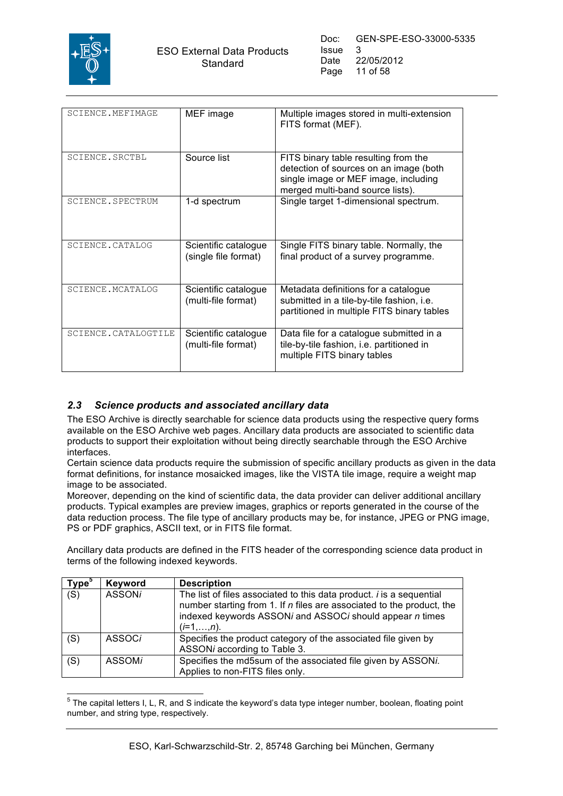

| <b>SCIENCE.MEFIMAGE</b> | MEF image                                    | Multiple images stored in multi-extension<br>FITS format (MEF).                                                                                            |
|-------------------------|----------------------------------------------|------------------------------------------------------------------------------------------------------------------------------------------------------------|
| SCIENCE. SRCTBL         | Source list                                  | FITS binary table resulting from the<br>detection of sources on an image (both<br>single image or MEF image, including<br>merged multi-band source lists). |
| <b>SCIENCE.SPECTRUM</b> | 1-d spectrum                                 | Single target 1-dimensional spectrum.                                                                                                                      |
| SCIENCE.CATALOG         | Scientific catalogue<br>(single file format) | Single FITS binary table. Normally, the<br>final product of a survey programme.                                                                            |
| SCIENCE.MCATALOG        | Scientific catalogue<br>(multi-file format)  | Metadata definitions for a catalogue<br>submitted in a tile-by-tile fashion, i.e.<br>partitioned in multiple FITS binary tables                            |
| SCIENCE.CATALOGTILE     | Scientific catalogue<br>(multi-file format)  | Data file for a catalogue submitted in a<br>tile-by-tile fashion, i.e. partitioned in<br>multiple FITS binary tables                                       |

# *2.3 Science products and associated ancillary data*

The ESO Archive is directly searchable for science data products using the respective query forms available on the ESO Archive web pages. Ancillary data products are associated to scientific data products to support their exploitation without being directly searchable through the ESO Archive interfaces.

Certain science data products require the submission of specific ancillary products as given in the data format definitions, for instance mosaicked images, like the VISTA tile image, require a weight map image to be associated.

Moreover, depending on the kind of scientific data, the data provider can deliver additional ancillary products. Typical examples are preview images, graphics or reports generated in the course of the data reduction process. The file type of ancillary products may be, for instance, JPEG or PNG image, PS or PDF graphics, ASCII text, or in FITS file format.

Ancillary data products are defined in the FITS header of the corresponding science data product in terms of the following indexed keywords.

| Type <sup>5</sup> | Keyword       | <b>Description</b>                                                                                                                                                                                                                 |
|-------------------|---------------|------------------------------------------------------------------------------------------------------------------------------------------------------------------------------------------------------------------------------------|
| (S)               | <b>ASSONi</b> | The list of files associated to this data product. <i>i</i> is a sequential<br>number starting from 1. If $n$ files are associated to the product, the<br>indexed keywords ASSONi and ASSOCi should appear n times<br>$(i=1,,n)$ . |
| (S)               | <b>ASSOCi</b> | Specifies the product category of the associated file given by<br>ASSONi according to Table 3.                                                                                                                                     |
| (S)               | <b>ASSOMi</b> | Specifies the md5sum of the associated file given by ASSONi.<br>Applies to non-FITS files only.                                                                                                                                    |

 <sup>5</sup> The capital letters I, L, R, and S indicate the keyword's data type integer number, boolean, floating point number, and string type, respectively.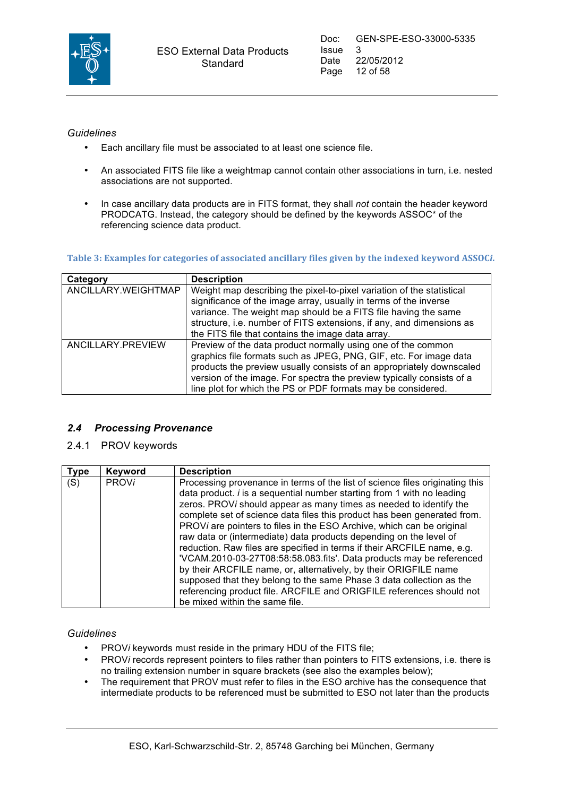

# *Guidelines*

- Each ancillary file must be associated to at least one science file.
- An associated FITS file like a weightmap cannot contain other associations in turn, i.e. nested associations are not supported.
- In case ancillary data products are in FITS format, they shall *not* contain the header keyword PRODCATG. Instead, the category should be defined by the keywords ASSOC\* of the referencing science data product.

## Table 3: Examples for categories of associated ancillary files given by the indexed keyword ASSOC*i*.

| Category            | <b>Description</b>                                                    |
|---------------------|-----------------------------------------------------------------------|
| ANCILLARY.WEIGHTMAP | Weight map describing the pixel-to-pixel variation of the statistical |
|                     | significance of the image array, usually in terms of the inverse      |
|                     | variance. The weight map should be a FITS file having the same        |
|                     | structure, i.e. number of FITS extensions, if any, and dimensions as  |
|                     | the FITS file that contains the image data array.                     |
| ANCILLARY.PREVIEW   | Preview of the data product normally using one of the common          |
|                     | graphics file formats such as JPEG, PNG, GIF, etc. For image data     |
|                     | products the preview usually consists of an appropriately downscaled  |
|                     | version of the image. For spectra the preview typically consists of a |
|                     | line plot for which the PS or PDF formats may be considered.          |

# *2.4 Processing Provenance*

# 2.4.1 PROV keywords

| <b>Type</b> | Keyword      | <b>Description</b>                                                                                                                                                                                                                                                                                                                                                                                                                                                                                                                                                                                                                                                                                                                                                                                                                                                      |
|-------------|--------------|-------------------------------------------------------------------------------------------------------------------------------------------------------------------------------------------------------------------------------------------------------------------------------------------------------------------------------------------------------------------------------------------------------------------------------------------------------------------------------------------------------------------------------------------------------------------------------------------------------------------------------------------------------------------------------------------------------------------------------------------------------------------------------------------------------------------------------------------------------------------------|
| (S)         | <b>PROVI</b> | Processing provenance in terms of the list of science files originating this<br>data product. <i>i</i> is a sequential number starting from 1 with no leading<br>zeros. PROVi should appear as many times as needed to identify the<br>complete set of science data files this product has been generated from.<br>PROVi are pointers to files in the ESO Archive, which can be original<br>raw data or (intermediate) data products depending on the level of<br>reduction. Raw files are specified in terms if their ARCFILE name, e.g.<br>'VCAM.2010-03-27T08:58:58.083.fits'. Data products may be referenced<br>by their ARCFILE name, or, alternatively, by their ORIGFILE name<br>supposed that they belong to the same Phase 3 data collection as the<br>referencing product file. ARCFILE and ORIGFILE references should not<br>be mixed within the same file. |

# *Guidelines*

- PROV*i* keywords must reside in the primary HDU of the FITS file;
- PROV*i* records represent pointers to files rather than pointers to FITS extensions, i.e. there is no trailing extension number in square brackets (see also the examples below);
- The requirement that PROV must refer to files in the ESO archive has the consequence that intermediate products to be referenced must be submitted to ESO not later than the products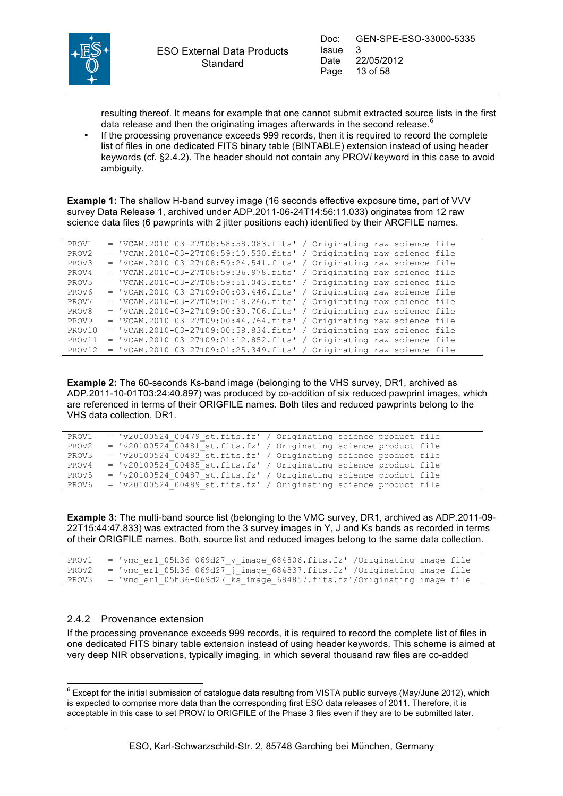

resulting thereof. It means for example that one cannot submit extracted source lists in the first data release and then the originating images afterwards in the second release. $6$ 

• If the processing provenance exceeds 999 records, then it is required to record the complete list of files in one dedicated FITS binary table (BINTABLE) extension instead of using header keywords (cf. §2.4.2). The header should not contain any PROV*i* keyword in this case to avoid ambiguity.

**Example 1:** The shallow H-band survey image (16 seconds effective exposure time, part of VVV survey Data Release 1, archived under ADP.2011-06-24T14:56:11.033) originates from 12 raw science data files (6 pawprints with 2 jitter positions each) identified by their ARCFILE names.

| PROV1  | $=$ 'VCAM.2010-03-27T08:58:58.083.fits'                                | Originating raw science file |  |  |
|--------|------------------------------------------------------------------------|------------------------------|--|--|
| PROV2  | $=$ 'VCAM.2010-03-27T08:59:10.530.fits'                                | Originating raw science file |  |  |
| PROV3  | $=$ 'VCAM.2010-03-27T08:59:24.541.fits' / Originating raw science file |                              |  |  |
| PROV4  | $=$ 'VCAM.2010-03-27T08:59:36.978.fits' / Originating raw science file |                              |  |  |
| PROV5  | = 'VCAM.2010-03-27T08:59:51.043.fits' / Originating raw science file   |                              |  |  |
| PROV6  | $=$ 'VCAM.2010-03-27T09:00:03.446.fits' /                              | Originating raw science file |  |  |
| PROV7  | $=$ 'VCAM.2010-03-27T09:00:18.266.fits'                                | Originating raw science file |  |  |
| PROV8  | $=$ 'VCAM.2010-03-27T09:00:30.706.fits'                                | Originating raw science file |  |  |
| PROV9  | $=$ 'VCAM.2010-03-27T09:00:44.764.fits'                                | Originating raw science file |  |  |
| PROV10 | $=$ 'VCAM.2010-03-27T09:00:58.834.fits'                                | Originating raw science file |  |  |
| PROV11 | $=$ 'VCAM.2010-03-27T09:01:12.852.fits'                                | Originating raw science file |  |  |
| PROV12 | $=$ 'VCAM.2010-03-27T09:01:25.349.fits'                                | Originating raw science file |  |  |

**Example 2:** The 60-seconds Ks-band image (belonging to the VHS survey, DR1, archived as ADP.2011-10-01T03:24:40.897) was produced by co-addition of six reduced pawprint images, which are referenced in terms of their ORIGFILE names. Both tiles and reduced pawprints belong to the VHS data collection, DR1.

| PROV1 |  | $=$ 'v20100524 00479 st.fits.fz' / Originating science product file     |
|-------|--|-------------------------------------------------------------------------|
| PROV2 |  | = 'v20100524 00481 st.fits.fz' / Originating science product file       |
| PROV3 |  | $=$ 'v20100524 00483 st.fits.fz' / Originating science product file     |
| PROV4 |  | = 'v20100524 00485 st.fits.fz' / Originating science product file       |
| PROV5 |  | = 'v20100524 00487 st.fits.fz' / Originating science product file       |
|       |  | PROV6 = $v2010052400489$ st.fits.fz' / Originating science product file |

**Example 3:** The multi-band source list (belonging to the VMC survey, DR1, archived as ADP.2011-09- 22T15:44:47.833) was extracted from the 3 survey images in Y, J and Ks bands as recorded in terms of their ORIGFILE names. Both, source list and reduced images belong to the same data collection.

| PROV1 |  |  |  |  |  | = 'vmc er1 05h36-069d27 y image 684806.fits.fz' /Originating image file  |  |
|-------|--|--|--|--|--|--------------------------------------------------------------------------|--|
| PROV2 |  |  |  |  |  | = 'vmc erl 05h36-069d27 j image 684837.fits.fz' / Originating image file |  |
| PROV3 |  |  |  |  |  | = 'vmc er1 05h36-069d27 ks image 684857.fits.fz'/Originating image file  |  |

## 2.4.2 Provenance extension

If the processing provenance exceeds 999 records, it is required to record the complete list of files in one dedicated FITS binary table extension instead of using header keywords. This scheme is aimed at very deep NIR observations, typically imaging, in which several thousand raw files are co-added

 $6$  Except for the initial submission of catalogue data resulting from VISTA public surveys (May/June 2012), which is expected to comprise more data than the corresponding first ESO data releases of 2011. Therefore, it is acceptable in this case to set PROV*i* to ORIGFILE of the Phase 3 files even if they are to be submitted later.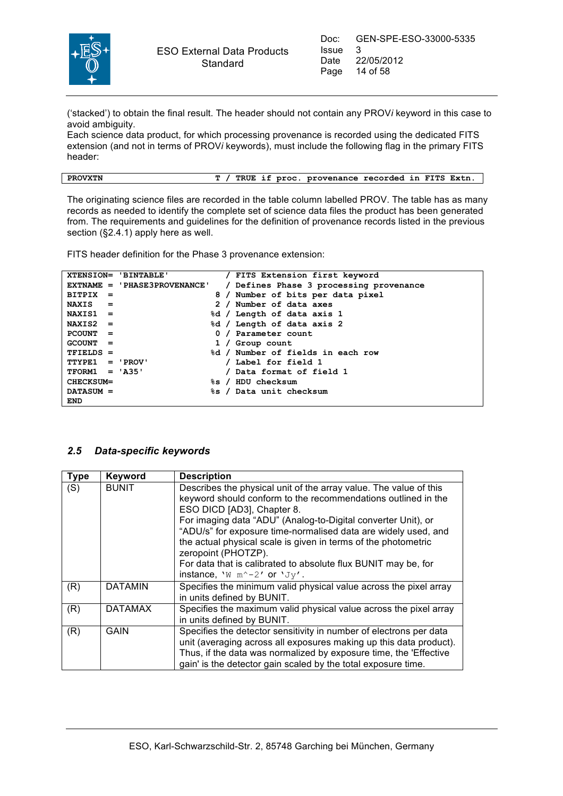

('stacked') to obtain the final result. The header should not contain any PROV*i* keyword in this case to avoid ambiguity.

Each science data product, for which processing provenance is recorded using the dedicated FITS extension (and not in terms of PROV*i* keywords), must include the following flag in the primary FITS header:

| PROVXTN |  |  |  |  | T / TRUE if proc. provenance recorded in FITS Extn. |  |  |  |  |  |
|---------|--|--|--|--|-----------------------------------------------------|--|--|--|--|--|
|---------|--|--|--|--|-----------------------------------------------------|--|--|--|--|--|

The originating science files are recorded in the table column labelled PROV. The table has as many records as needed to identify the complete set of science data files the product has been generated from. The requirements and guidelines for the definition of provenance records listed in the previous section (§2.4.1) apply here as well.

FITS header definition for the Phase 3 provenance extension:

| XTENSION= 'BINTABLE'         | / FITS Extension first keyword          |
|------------------------------|-----------------------------------------|
| EXTNAME = 'PHASE3PROVENANCE' | / Defines Phase 3 processing provenance |
| $BITPIX =$                   | 8 / Number of bits per data pixel       |
| $NAXIS =$                    | 2 / Number of data axes                 |
| $NAXIS1 =$                   | %d / Length of data axis 1              |
| $NAXIS2 =$                   | %d / Length of data axis 2              |
| $PCOUNT =$                   | 0 / Parameter count                     |
| $GCOUNT =$                   | 1 / Group count                         |
| $TFIELDS =$                  | %d / Number of fields in each row       |
| $TTYPE1 = 'PROV'$            | / Label for field 1                     |
| $TFORM1 = 'A35'$             | Data format of field 1                  |
| CHECKSUM=                    | %s / HDU checksum                       |
| $DATASUM =$                  | %s / Data unit checksum                 |
| <b>END</b>                   |                                         |

## *2.5 Data-specific keywords*

| <b>Type</b> | Keyword        | <b>Description</b>                                                                                                                                                                                                                                                                                                                                                                                                                                                                                                                                   |
|-------------|----------------|------------------------------------------------------------------------------------------------------------------------------------------------------------------------------------------------------------------------------------------------------------------------------------------------------------------------------------------------------------------------------------------------------------------------------------------------------------------------------------------------------------------------------------------------------|
| (S)         | <b>BUNIT</b>   | Describes the physical unit of the array value. The value of this<br>keyword should conform to the recommendations outlined in the<br>ESO DICD [AD3], Chapter 8.<br>For imaging data "ADU" (Analog-to-Digital converter Unit), or<br>"ADU/s" for exposure time-normalised data are widely used, and<br>the actual physical scale is given in terms of the photometric<br>zeropoint (PHOTZP).<br>For data that is calibrated to absolute flux BUNIT may be, for<br>instance, $\mathbf{W}$ m <sup>2</sup> -2' or $\mathbf{V} \mathbf{J} \mathbf{y'}$ . |
| (R)         | <b>DATAMIN</b> | Specifies the minimum valid physical value across the pixel array<br>in units defined by BUNIT.                                                                                                                                                                                                                                                                                                                                                                                                                                                      |
| (R)         | <b>DATAMAX</b> | Specifies the maximum valid physical value across the pixel array<br>in units defined by BUNIT.                                                                                                                                                                                                                                                                                                                                                                                                                                                      |
| (R)         | <b>GAIN</b>    | Specifies the detector sensitivity in number of electrons per data<br>unit (averaging across all exposures making up this data product).<br>Thus, if the data was normalized by exposure time, the 'Effective<br>gain' is the detector gain scaled by the total exposure time.                                                                                                                                                                                                                                                                       |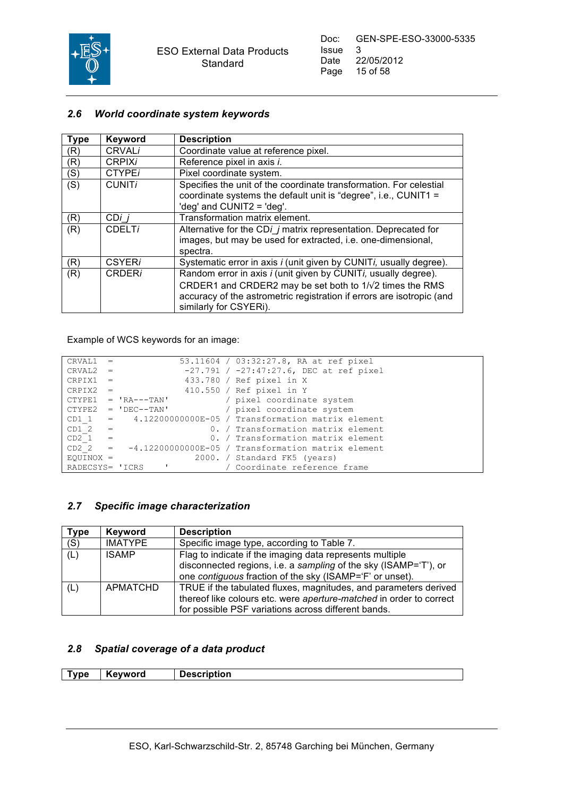

# *2.6 World coordinate system keywords*

| <b>Type</b> | Keyword       | <b>Description</b>                                                             |
|-------------|---------------|--------------------------------------------------------------------------------|
| (R)         | <b>CRVALI</b> | Coordinate value at reference pixel.                                           |
| (R)         | <b>CRPIXi</b> | Reference pixel in axis i.                                                     |
| (S)         | <b>CTYPEi</b> | Pixel coordinate system.                                                       |
| (S)         | <b>CUNITI</b> | Specifies the unit of the coordinate transformation. For celestial             |
|             |               | coordinate systems the default unit is "degree", i.e., CUNIT1 =                |
|             |               | 'deg' and CUNIT2 = 'deg'.                                                      |
| (R)         | CDi i         | Transformation matrix element.                                                 |
| (R)         | <b>CDELTi</b> | Alternative for the CDi_j matrix representation. Deprecated for                |
|             |               | images, but may be used for extracted, i.e. one-dimensional,                   |
|             |               | spectra.                                                                       |
| (R)         | <b>CSYERI</b> | Systematic error in axis <i>i</i> (unit given by CUNITi, usually degree).      |
| (R)         | <b>CRDERI</b> | Random error in axis <i>i</i> (unit given by CUNIT <i>i</i> , usually degree). |
|             |               | CRDER1 and CRDER2 may be set both to $1/\sqrt{2}$ times the RMS                |
|             |               | accuracy of the astrometric registration if errors are isotropic (and          |
|             |               | similarly for CSYERi).                                                         |

Example of WCS keywords for an image:

| $CRVAL1 =$      |                       | 53.11604 / 03:32:27.8, RA at ref pixel                      |
|-----------------|-----------------------|-------------------------------------------------------------|
| $CRVAL2 =$      |                       | $-27.791$ / $-27:47:27.6$ , DEC at ref pixel                |
| $CRPIX1 =$      |                       | 433.780 / Ref pixel in X                                    |
|                 | $CRPIX2 =$            | 410.550 / Ref pixel in Y                                    |
|                 | $CTYPE1 = 'RA---TAN'$ | pixel coordinate system                                     |
|                 | $CTYPE2 = 'DEC--TAN'$ | / pixel coordinate system                                   |
|                 |                       | CD1 1 = $4.12200000000E-05$ / Transformation matrix element |
| $CD1 2 =$       |                       | 0. / Transformation matrix element                          |
| $CD2 1 =$       |                       | 0. / Transformation matrix element                          |
|                 |                       | $CD2$ = -4.12200000000E-05 / Transformation matrix element  |
| $EOUINOX =$     |                       | 2000. / Standard FK5 (years)                                |
| RADECSYS= 'ICRS | <b>Contract</b>       | / Coordinate reference frame                                |

# *2.7 Specific image characterization*

| Type | Keyword        | <b>Description</b>                                                  |  |
|------|----------------|---------------------------------------------------------------------|--|
| (S)  | <b>IMATYPE</b> | Specific image type, according to Table 7.                          |  |
| (L)  | <b>ISAMP</b>   | Flag to indicate if the imaging data represents multiple            |  |
|      |                | disconnected regions, i.e. a sampling of the sky (ISAMP='T'), or    |  |
|      |                | one contiguous fraction of the sky (ISAMP='F' or unset).            |  |
| (L)  | APMATCHD       | TRUE if the tabulated fluxes, magnitudes, and parameters derived    |  |
|      |                | thereof like colours etc. were aperture-matched in order to correct |  |
|      |                | for possible PSF variations across different bands.                 |  |

# *2.8 Spatial coverage of a data product*

| Tvpe - | <b>Kevword</b> | <b>Description</b> |
|--------|----------------|--------------------|
|        |                |                    |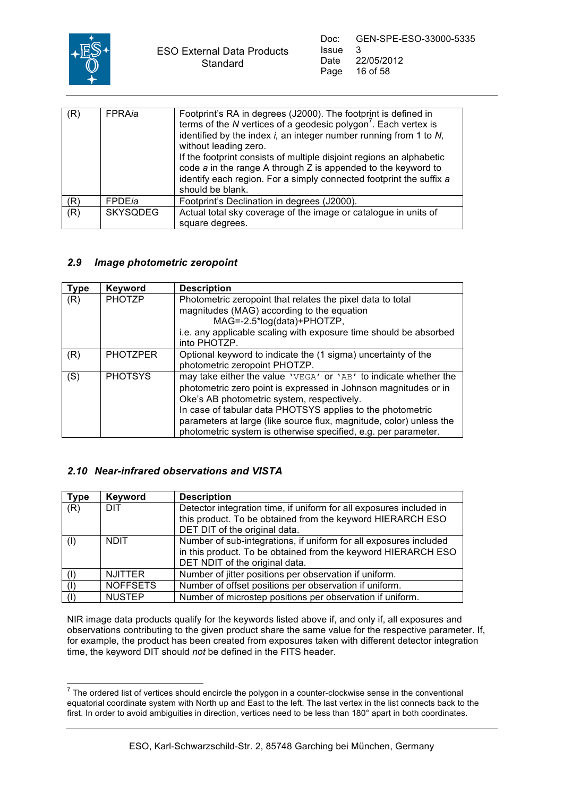

| (R) | FPRAia          | Footprint's RA in degrees (J2000). The footprint is defined in<br>terms of the N vertices of a geodesic polygon <sup>7</sup> . Each vertex is<br>identified by the index $i$ , an integer number running from 1 to $N$ ,<br>without leading zero.<br>If the footprint consists of multiple disjoint regions an alphabetic<br>code a in the range A through Z is appended to the keyword to<br>identify each region. For a simply connected footprint the suffix a<br>should be blank. |
|-----|-----------------|---------------------------------------------------------------------------------------------------------------------------------------------------------------------------------------------------------------------------------------------------------------------------------------------------------------------------------------------------------------------------------------------------------------------------------------------------------------------------------------|
| (R) | <b>FPDE</b> ia  | Footprint's Declination in degrees (J2000).                                                                                                                                                                                                                                                                                                                                                                                                                                           |
| (R) | <b>SKYSQDEG</b> | Actual total sky coverage of the image or catalogue in units of<br>square degrees.                                                                                                                                                                                                                                                                                                                                                                                                    |

# *2.9 Image photometric zeropoint*

| <b>Type</b> | Keyword         | <b>Description</b>                                                                                                                                                                                                                                                                                                                                                                       |  |
|-------------|-----------------|------------------------------------------------------------------------------------------------------------------------------------------------------------------------------------------------------------------------------------------------------------------------------------------------------------------------------------------------------------------------------------------|--|
| (R)         | <b>PHOTZP</b>   | Photometric zeropoint that relates the pixel data to total<br>magnitudes (MAG) according to the equation<br>MAG=-2.5*log(data)+PHOTZP,<br>i.e. any applicable scaling with exposure time should be absorbed<br>into PHOTZP.                                                                                                                                                              |  |
| (R)         | <b>PHOTZPER</b> | Optional keyword to indicate the (1 sigma) uncertainty of the<br>photometric zeropoint PHOTZP.                                                                                                                                                                                                                                                                                           |  |
| (S)         | <b>PHOTSYS</b>  | may take either the value 'VEGA' or 'AB' to indicate whether the<br>photometric zero point is expressed in Johnson magnitudes or in<br>Oke's AB photometric system, respectively.<br>In case of tabular data PHOTSYS applies to the photometric<br>parameters at large (like source flux, magnitude, color) unless the<br>photometric system is otherwise specified, e.g. per parameter. |  |

# *2.10 Near-infrared observations and VISTA*

| <b>Type</b> | Keyword         | <b>Description</b>                                                                                                                |  |
|-------------|-----------------|-----------------------------------------------------------------------------------------------------------------------------------|--|
| (R)         | DIT.            | Detector integration time, if uniform for all exposures included in<br>this product. To be obtained from the keyword HIERARCH ESO |  |
|             |                 | DET DIT of the original data.                                                                                                     |  |
| (1)         | <b>NDIT</b>     | Number of sub-integrations, if uniform for all exposures included                                                                 |  |
|             |                 | in this product. To be obtained from the keyword HIERARCH ESO                                                                     |  |
|             |                 | DET NDIT of the original data.                                                                                                    |  |
| (1)         | <b>NJITTER</b>  | Number of jitter positions per observation if uniform.                                                                            |  |
| (1)         | <b>NOFFSETS</b> | Number of offset positions per observation if uniform.                                                                            |  |
| (1)         | <b>NUSTEP</b>   | Number of microstep positions per observation if uniform.                                                                         |  |

NIR image data products qualify for the keywords listed above if, and only if, all exposures and observations contributing to the given product share the same value for the respective parameter. If, for example, the product has been created from exposures taken with different detector integration time, the keyword DIT should *not* be defined in the FITS header.

 $7$  The ordered list of vertices should encircle the polygon in a counter-clockwise sense in the conventional equatorial coordinate system with North up and East to the left. The last vertex in the list connects back to the first. In order to avoid ambiguities in direction, vertices need to be less than 180° apart in both coordinates.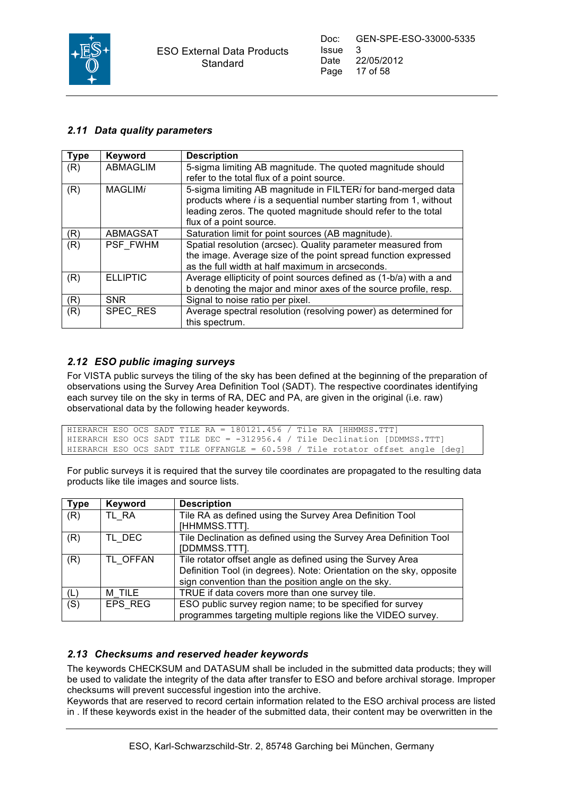

# *2.11 Data quality parameters*

| <b>Type</b> | Keyword         | <b>Description</b>                                                                                                                                                                                                                   |  |  |  |
|-------------|-----------------|--------------------------------------------------------------------------------------------------------------------------------------------------------------------------------------------------------------------------------------|--|--|--|
| (R)         | ABMAGLIM        | 5-sigma limiting AB magnitude. The quoted magnitude should                                                                                                                                                                           |  |  |  |
|             |                 | refer to the total flux of a point source.                                                                                                                                                                                           |  |  |  |
| (R)         | <b>MAGLIMI</b>  | 5-sigma limiting AB magnitude in FILTERi for band-merged data<br>products where <i>i</i> is a sequential number starting from 1, without<br>leading zeros. The quoted magnitude should refer to the total<br>flux of a point source. |  |  |  |
| (R)         | <b>ABMAGSAT</b> | Saturation limit for point sources (AB magnitude).                                                                                                                                                                                   |  |  |  |
| (R)         | PSF FWHM        | Spatial resolution (arcsec). Quality parameter measured from<br>the image. Average size of the point spread function expressed<br>as the full width at half maximum in arcseconds.                                                   |  |  |  |
| (R)         | <b>ELLIPTIC</b> | Average ellipticity of point sources defined as (1-b/a) with a and<br>b denoting the major and minor axes of the source profile, resp.                                                                                               |  |  |  |
| (R)         | <b>SNR</b>      | Signal to noise ratio per pixel.                                                                                                                                                                                                     |  |  |  |
| (R)         | <b>SPEC RES</b> | Average spectral resolution (resolving power) as determined for<br>this spectrum.                                                                                                                                                    |  |  |  |

# *2.12 ESO public imaging surveys*

For VISTA public surveys the tiling of the sky has been defined at the beginning of the preparation of observations using the Survey Area Definition Tool (SADT). The respective coordinates identifying each survey tile on the sky in terms of RA, DEC and PA, are given in the original (i.e. raw) observational data by the following header keywords.

HIERARCH ESO OCS SADT TILE RA = 180121.456 / Tile RA [HHMMSS.TTT] HIERARCH ESO OCS SADT TILE DEC = -312956.4 / Tile Declination [DDMMSS.TTT] HIERARCH ESO OCS SADT TILE OFFANGLE = 60.598 / Tile rotator offset angle [deg]

For public surveys it is required that the survey tile coordinates are propagated to the resulting data products like tile images and source lists.

| <b>Type</b> | Keyword  | <b>Description</b>                                                   |
|-------------|----------|----------------------------------------------------------------------|
| (R)         | TL RA    | Tile RA as defined using the Survey Area Definition Tool             |
|             |          | [HHMMSS.TTT].                                                        |
| (R)         | TL DEC   | Tile Declination as defined using the Survey Area Definition Tool    |
|             |          | [DDMMSS.TTT].                                                        |
| (R)         | TL OFFAN | Tile rotator offset angle as defined using the Survey Area           |
|             |          | Definition Tool (in degrees). Note: Orientation on the sky, opposite |
|             |          | sign convention than the position angle on the sky.                  |
| (L)         | M TILE   | TRUE if data covers more than one survey tile.                       |
| (S)         | EPS REG  | ESO public survey region name; to be specified for survey            |
|             |          | programmes targeting multiple regions like the VIDEO survey.         |

# *2.13 Checksums and reserved header keywords*

The keywords CHECKSUM and DATASUM shall be included in the submitted data products; they will be used to validate the integrity of the data after transfer to ESO and before archival storage. Improper checksums will prevent successful ingestion into the archive.

Keywords that are reserved to record certain information related to the ESO archival process are listed in . If these keywords exist in the header of the submitted data, their content may be overwritten in the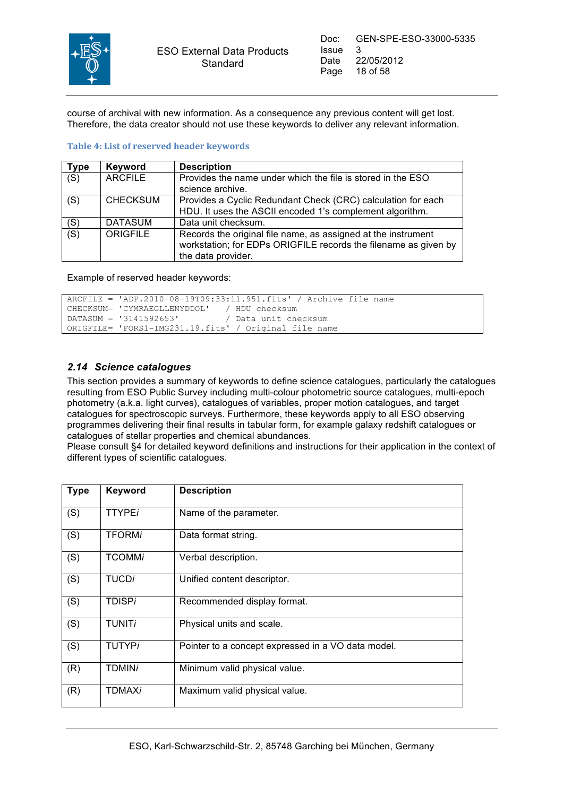

course of archival with new information. As a consequence any previous content will get lost. Therefore, the data creator should not use these keywords to deliver any relevant information.

#### **Table 4: List of reserved header keywords**

| <b>Type</b> | Keyword         | <b>Description</b>                                              |  |  |
|-------------|-----------------|-----------------------------------------------------------------|--|--|
| (S)         | <b>ARCFILE</b>  | Provides the name under which the file is stored in the ESO     |  |  |
|             |                 | science archive.                                                |  |  |
| (S)         | <b>CHECKSUM</b> | Provides a Cyclic Redundant Check (CRC) calculation for each    |  |  |
|             |                 | HDU. It uses the ASCII encoded 1's complement algorithm.        |  |  |
| (S)         | <b>DATASUM</b>  | Data unit checksum.                                             |  |  |
| (S)         | ORIGFILE        | Records the original file name, as assigned at the instrument   |  |  |
|             |                 | workstation; for EDPs ORIGFILE records the filename as given by |  |  |
|             |                 | the data provider.                                              |  |  |

Example of reserved header keywords:

```
ARCFILE = 'ADP.2010-08-19T09:33:11.951.fits' / Archive file name 
CHECKSUM= 'CYMRAEGLLENYDDOL' / HDU checksum<br>DATASUM = '3141592653' / Data unit checksum
DATASUM = '3141592653'ORIGFILE= 'FORS1-IMG231.19.fits' / Original file name
```
# *2.14 Science catalogues*

This section provides a summary of keywords to define science catalogues, particularly the catalogues resulting from ESO Public Survey including multi-colour photometric source catalogues, multi-epoch photometry (a.k.a. light curves), catalogues of variables, proper motion catalogues, and target catalogues for spectroscopic surveys. Furthermore, these keywords apply to all ESO observing programmes delivering their final results in tabular form, for example galaxy redshift catalogues or catalogues of stellar properties and chemical abundances.

Please consult §4 for detailed keyword definitions and instructions for their application in the context of different types of scientific catalogues.

| <b>Type</b> | Keyword       | <b>Description</b>                                 |  |
|-------------|---------------|----------------------------------------------------|--|
| (S)         | <b>TTYPEi</b> | Name of the parameter.                             |  |
| (S)         | <b>TFORMi</b> | Data format string.                                |  |
| (S)         | <b>TCOMMi</b> | Verbal description.                                |  |
| (S)         | <b>TUCDi</b>  | Unified content descriptor.                        |  |
| (S)         | <b>TDISPI</b> | Recommended display format.                        |  |
| (S)         | <b>TUNITI</b> | Physical units and scale.                          |  |
| (S)         | <b>TUTYPi</b> | Pointer to a concept expressed in a VO data model. |  |
| (R)         | <b>TDMINI</b> | Minimum valid physical value.                      |  |
| (R)         | TDMAXi        | Maximum valid physical value.                      |  |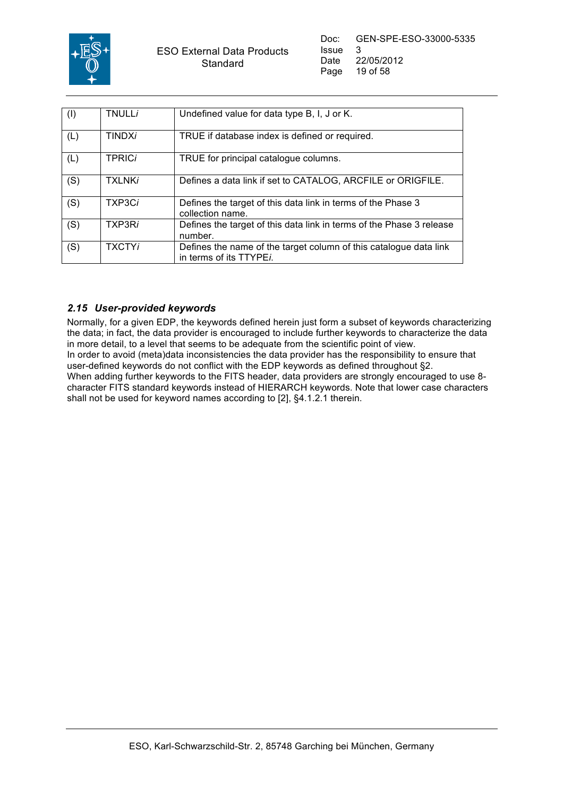

| (1) | TNULLI         | Undefined value for data type B, I, J or K.                          |
|-----|----------------|----------------------------------------------------------------------|
|     |                |                                                                      |
| (L) | TINDX <i>i</i> | TRUE if database index is defined or required.                       |
|     |                |                                                                      |
| (L) | <b>TPRICI</b>  | TRUE for principal catalogue columns.                                |
|     |                |                                                                      |
| (S) | <b>TXLNKi</b>  | Defines a data link if set to CATALOG, ARCFILE or ORIGFILE.          |
|     |                |                                                                      |
| (S) | TXP3Ci         | Defines the target of this data link in terms of the Phase 3         |
|     |                | collection name.                                                     |
| (S) | TXP3Ri         | Defines the target of this data link in terms of the Phase 3 release |
|     |                | number.                                                              |
| (S) | <b>TXCTYi</b>  | Defines the name of the target column of this catalogue data link    |
|     |                | in terms of its TTYPEi.                                              |
|     |                |                                                                      |

# *2.15 User-provided keywords*

Normally, for a given EDP, the keywords defined herein just form a subset of keywords characterizing the data; in fact, the data provider is encouraged to include further keywords to characterize the data in more detail, to a level that seems to be adequate from the scientific point of view. In order to avoid (meta)data inconsistencies the data provider has the responsibility to ensure that user-defined keywords do not conflict with the EDP keywords as defined throughout §2. When adding further keywords to the FITS header, data providers are strongly encouraged to use 8character FITS standard keywords instead of HIERARCH keywords. Note that lower case characters shall not be used for keyword names according to [2], §4.1.2.1 therein.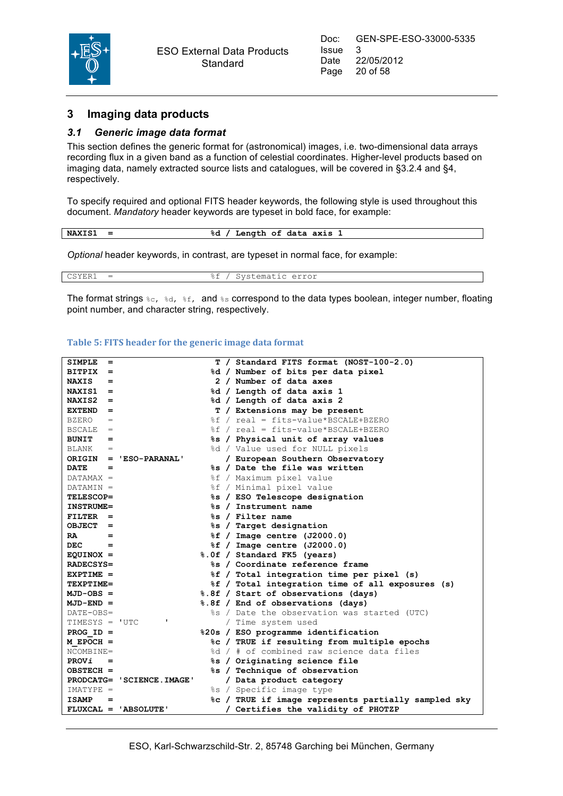

# **3 Imaging data products**

# *3.1 Generic image data format*

This section defines the generic format for (astronomical) images, i.e. two-dimensional data arrays recording flux in a given band as a function of celestial coordinates. Higher-level products based on imaging data, namely extracted source lists and catalogues, will be covered in §3.2.4 and §4, respectively.

To specify required and optional FITS header keywords, the following style is used throughout this document. *Mandatory* header keywords are typeset in bold face, for example:

$$
NAXIS1 = %d / Length of data axis 1
$$

*Optional* header keywords, in contrast, are typeset in normal face, for example:

```
CSYER1 = %f / Systematic error
```
The format strings  $c^2$ ,  $c^3$ ,  $c^4$ ,  $c^3$ , and  $c^3$  correspond to the data types boolean, integer number, floating point number, and character string, respectively.

#### Table 5: FITS header for the generic image data format

| SIMPLE              | $=$ |                           |  | T / Standard FITS format (NOST-100-2.0)             |
|---------------------|-----|---------------------------|--|-----------------------------------------------------|
| <b>BITPIX</b>       | $=$ |                           |  | %d / Number of bits per data pixel                  |
| <b>NAXIS</b>        | $=$ |                           |  | 2 / Number of data axes                             |
| NAXIS1              | $=$ |                           |  | %d / Length of data axis 1                          |
| $NAXIS2 =$          |     |                           |  | %d / Length of data axis 2                          |
| $EXTEND =$          |     |                           |  | T / Extensions may be present                       |
| $BZERO =$           |     |                           |  | %f / real = fits-value*BSCALE+BZERO                 |
| $BSCALE =$          |     |                           |  | %f / real = fits-value*BSCALE+BZERO                 |
| <b>BUNIT</b><br>$=$ |     |                           |  | %s / Physical unit of array values                  |
| BLANK               | $=$ |                           |  | %d / Value used for NULL pixels                     |
|                     |     | ORIGIN = 'ESO-PARANAL'    |  | / European Southern Observatory                     |
| <b>DATE</b>         | $=$ |                           |  | %s / Date the file was written                      |
| $DATAMAX =$         |     |                           |  | %f / Maximum pixel value                            |
| $DATAMIN =$         |     |                           |  | %f / Minimal pixel value                            |
| TELESCOP=           |     |                           |  | %s / ESO Telescope designation                      |
| <b>INSTRUME=</b>    |     |                           |  | %s / Instrument name                                |
| $FILTER =$          |     |                           |  | %s / Filter name                                    |
| $OBJECT =$          |     |                           |  | %s / Target designation                             |
| RA                  | $=$ |                           |  | %f / Image centre (J2000.0)                         |
| <b>DEC</b>          | $=$ |                           |  | %f / Image centre (J2000.0)                         |
| $EQUINOX =$         |     |                           |  | %. Of / Standard FK5 (years)                        |
| RADECSYS=           |     |                           |  | %s / Coordinate reference frame                     |
| $EXPTIME =$         |     |                           |  | %f / Total integration time per pixel (s)           |
| TEXPTIME=           |     |                           |  | %f / Total integration time of all exposures (s)    |
| $MJD-OBS =$         |     |                           |  | %.8f / Start of observations (days)                 |
| $MJD-END =$         |     |                           |  | %.8f / End of observations (days)                   |
| $DATA-OBS =$        |     |                           |  | %s / Date the observation was started (UTC)         |
| TIMESYS = 'UTC      |     | Ţ                         |  | / Time system used                                  |
| PROG ID $=$         |     |                           |  | %20s / ESO programme identification                 |
| $M$ EPOCH $=$       |     |                           |  | %c / TRUE if resulting from multiple epochs         |
| NCOMBINE=           |     |                           |  | %d / # of combined raw science data files           |
| <b>PROVi</b>        | $=$ |                           |  | %s / Originating science file                       |
| OBSTECH =           |     |                           |  | %s / Technique of observation                       |
|                     |     | PRODCATG= 'SCIENCE.IMAGE' |  | / Data product category                             |
| $IMATYPE =$         |     |                           |  | %s / Specific image type                            |
| <b>ISAMP</b>        | $=$ |                           |  | %c / TRUE if image represents partially sampled sky |
|                     |     | $FLUXCAL = 'ABSOLUTE'$    |  | / Certifies the validity of PHOTZP                  |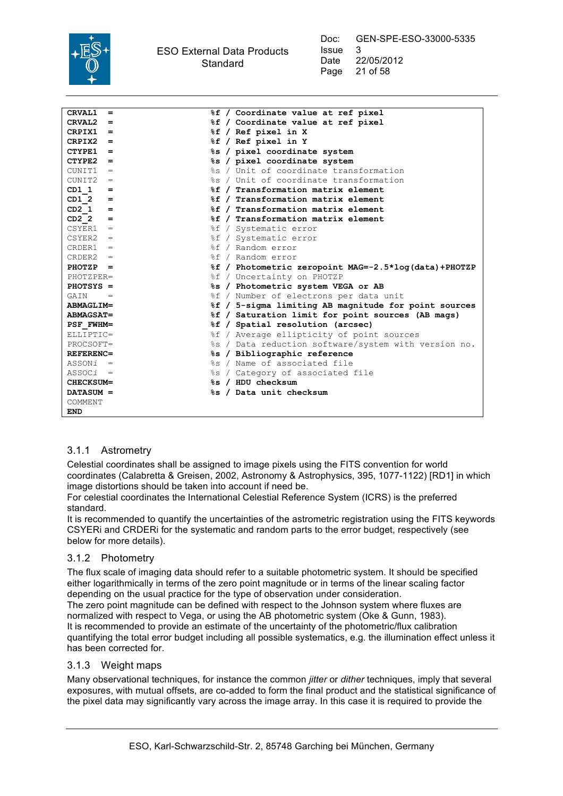

| $CRVAL1 =$       | %f / Coordinate value at ref pixel                   |
|------------------|------------------------------------------------------|
| $CRVAL2 =$       | %f / Coordinate value at ref pixel                   |
| $CRPIX1 =$       | %f / Ref pixel in X                                  |
| $CRPIX2 =$       | %f / Ref pixel in Y                                  |
| $CTYPE1 =$       | %s / pixel coordinate system                         |
| $CTYPE2 =$       | %s / pixel coordinate system                         |
| $CUNIT1 =$       | %s / Unit of coordinate transformation               |
| $CUNIT2 =$       | %s / Unit of coordinate transformation               |
| $CD1 1 =$        | %f / Transformation matrix element                   |
| $CD1 2 =$        | %f / Transformation matrix element                   |
| $CD2 1 =$        | %f / Transformation matrix element                   |
| $CD2 2 =$        | %f / Transformation matrix element                   |
| $CSYER1 =$       | %f / Systematic error                                |
| $CSYER2 =$       | %f / Systematic error                                |
| $CRDER1 =$       | %f / Random error                                    |
| $CRDER2 =$       | %f / Random error                                    |
| $PHOTZP =$       | %f / Photometric zeropoint MAG=-2.5*log(data)+PHOTZP |
| $PHOTZPER=$      | %f / Uncertainty on PHOTZP                           |
| $PHOTSYS =$      | %s / Photometric system VEGA or AB                   |
| $GATN =$         | %f / Number of electrons per data unit               |
| <b>ABMAGLIM=</b> | %f / 5-sigma limiting AB magnitude for point sources |
| <b>ABMAGSAT=</b> | %f / Saturation limit for point sources (AB mags)    |
| PSF FWHM=        | %f / Spatial resolution (arcsec)                     |
| ELLIPTIC=        | %f / Average ellipticity of point sources            |
| PROCSOFT=        | %s / Data reduction software/system with version no. |
| <b>REFERENC=</b> | %s / Bibliographic reference                         |
| $ASSONi =$       | %s / Name of associated file                         |
| $ASSOCi =$       | %s / Category of associated file                     |
| CHECKSUM=        | %s / HDU checksum                                    |
| DATASUM =        | %s / Data unit checksum                              |
| COMMENT          |                                                      |
| <b>END</b>       |                                                      |

# 3.1.1 Astrometry

Celestial coordinates shall be assigned to image pixels using the FITS convention for world coordinates (Calabretta & Greisen, 2002, Astronomy & Astrophysics, 395, 1077-1122) [RD1] in which image distortions should be taken into account if need be.

For celestial coordinates the International Celestial Reference System (ICRS) is the preferred standard.

It is recommended to quantify the uncertainties of the astrometric registration using the FITS keywords CSYERi and CRDERi for the systematic and random parts to the error budget, respectively (see below for more details).

## 3.1.2 Photometry

The flux scale of imaging data should refer to a suitable photometric system. It should be specified either logarithmically in terms of the zero point magnitude or in terms of the linear scaling factor depending on the usual practice for the type of observation under consideration. The zero point magnitude can be defined with respect to the Johnson system where fluxes are normalized with respect to Vega, or using the AB photometric system (Oke & Gunn, 1983). It is recommended to provide an estimate of the uncertainty of the photometric/flux calibration quantifying the total error budget including all possible systematics, e.g. the illumination effect unless it has been corrected for.

## 3.1.3 Weight maps

Many observational techniques, for instance the common *jitter* or *dither* techniques, imply that several exposures, with mutual offsets, are co-added to form the final product and the statistical significance of the pixel data may significantly vary across the image array. In this case it is required to provide the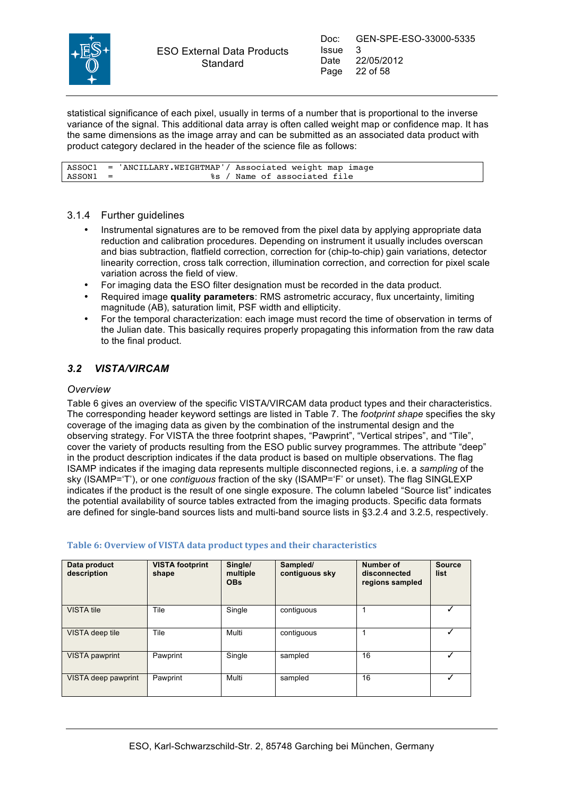

statistical significance of each pixel, usually in terms of a number that is proportional to the inverse variance of the signal. This additional data array is often called weight map or confidence map. It has the same dimensions as the image array and can be submitted as an associated data product with product category declared in the header of the science file as follows:

ASSOC1 = 'ANCILLARY.WEIGHTMAP'/ Associated weight map image ASSON1 = %s / Name of associated file

## 3.1.4 Further guidelines

- Instrumental signatures are to be removed from the pixel data by applying appropriate data reduction and calibration procedures. Depending on instrument it usually includes overscan and bias subtraction, flatfield correction, correction for (chip-to-chip) gain variations, detector linearity correction, cross talk correction, illumination correction, and correction for pixel scale variation across the field of view.
- For imaging data the ESO filter designation must be recorded in the data product.
- Required image **quality parameters**: RMS astrometric accuracy, flux uncertainty, limiting magnitude (AB), saturation limit, PSF width and ellipticity.
- For the temporal characterization: each image must record the time of observation in terms of the Julian date. This basically requires properly propagating this information from the raw data to the final product.

# *3.2 VISTA/VIRCAM*

## *Overview*

Table 6 gives an overview of the specific VISTA/VIRCAM data product types and their characteristics. The corresponding header keyword settings are listed in Table 7. The *footprint shape* specifies the sky coverage of the imaging data as given by the combination of the instrumental design and the observing strategy. For VISTA the three footprint shapes, "Pawprint", "Vertical stripes", and "Tile", cover the variety of products resulting from the ESO public survey programmes. The attribute "deep" in the product description indicates if the data product is based on multiple observations. The flag ISAMP indicates if the imaging data represents multiple disconnected regions, i.e. a *sampling* of the sky (ISAMP='T'), or one *contiguous* fraction of the sky (ISAMP='F' or unset). The flag SINGLEXP indicates if the product is the result of one single exposure. The column labeled "Source list" indicates the potential availability of source tables extracted from the imaging products. Specific data formats are defined for single-band sources lists and multi-band source lists in §3.2.4 and 3.2.5, respectively.

| Data product<br>description | <b>VISTA footprint</b><br>shape | Single/<br>multiple<br><b>OBs</b> | Sampled/<br>contiguous sky | Number of<br>disconnected<br>regions sampled | <b>Source</b><br>list |
|-----------------------------|---------------------------------|-----------------------------------|----------------------------|----------------------------------------------|-----------------------|
| <b>VISTA tile</b>           | Tile                            | Single                            | contiguous                 |                                              |                       |
| VISTA deep tile             | Tile                            | Multi                             | contiguous                 |                                              |                       |
| <b>VISTA pawprint</b>       | Pawprint                        | Single                            | sampled                    | 16                                           |                       |
| VISTA deep pawprint         | Pawprint                        | Multi                             | sampled                    | 16                                           |                       |

## **Table 6: Overview of VISTA data product types and their characteristics**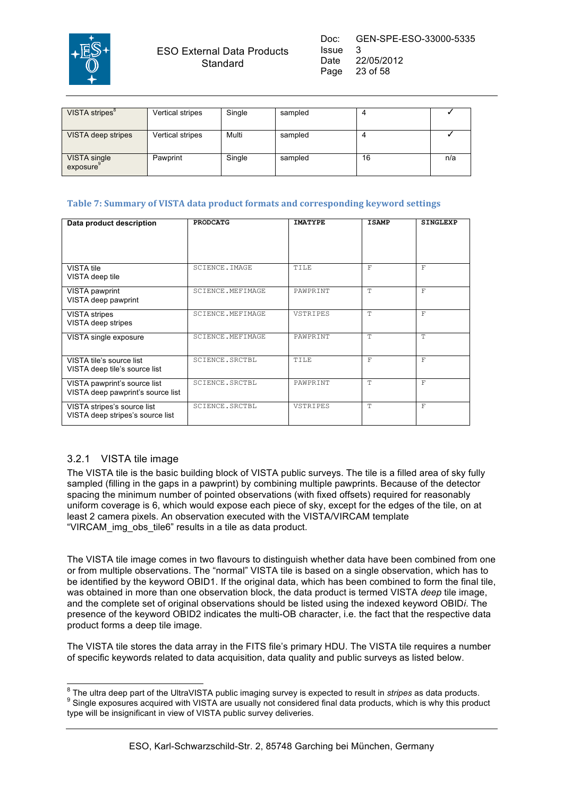

| VISTA stripes <sup>8</sup> | Vertical stripes | Single | sampled |    |     |
|----------------------------|------------------|--------|---------|----|-----|
| VISTA deep stripes         | Vertical stripes | Multi  | sampled |    |     |
| VISTA single<br>exposure   | Pawprint         | Single | sampled | 16 | n/a |

## **Table 7: Summary of VISTA data product formats and corresponding keyword settings**

| Data product description                                          | <b>PRODCATG</b>         | <b>TMATYPE</b>  | <b>ISAMP</b> | <b>SINGLEXP</b> |
|-------------------------------------------------------------------|-------------------------|-----------------|--------------|-----------------|
| VISTA tile<br>VISTA deep tile                                     | <b>SCIENCE. IMAGE</b>   | <b>TTLE</b>     | F            | F               |
| VISTA pawprint<br>VISTA deep pawprint                             | <b>SCIENCE.MEFIMAGE</b> | PAWPRINT        | T            | F               |
| VISTA stripes<br>VISTA deep stripes                               | <b>SCIENCE.MEFIMAGE</b> | VSTRIPES        | T            | F               |
| VISTA single exposure                                             | <b>SCIENCE.MEFIMAGE</b> | PAWPRINT        | T            | Τ               |
| VISTA tile's source list<br>VISTA deep tile's source list         | <b>SCIENCE.SRCTBL</b>   | TTLE            | F            | F               |
| VISTA pawprint's source list<br>VISTA deep pawprint's source list | SCIENCE. SRCTBL         | PAWPRINT        | T            | F               |
| VISTA stripes's source list<br>VISTA deep stripes's source list   | SCIENCE.SRCTBL          | <b>VSTRIPES</b> | T            | F               |

# 3.2.1 VISTA tile image

The VISTA tile is the basic building block of VISTA public surveys. The tile is a filled area of sky fully sampled (filling in the gaps in a pawprint) by combining multiple pawprints. Because of the detector spacing the minimum number of pointed observations (with fixed offsets) required for reasonably uniform coverage is 6, which would expose each piece of sky, except for the edges of the tile, on at least 2 camera pixels. An observation executed with the VISTA/VIRCAM template "VIRCAM\_img\_obs\_tile6" results in a tile as data product.

The VISTA tile image comes in two flavours to distinguish whether data have been combined from one or from multiple observations. The "normal" VISTA tile is based on a single observation, which has to be identified by the keyword OBID1. If the original data, which has been combined to form the final tile, was obtained in more than one observation block, the data product is termed VISTA *deep* tile image, and the complete set of original observations should be listed using the indexed keyword OBID*i*. The presence of the keyword OBID2 indicates the multi-OB character, i.e. the fact that the respective data product forms a deep tile image.

The VISTA tile stores the data array in the FITS file's primary HDU. The VISTA tile requires a number of specific keywords related to data acquisition, data quality and public surveys as listed below.

 $^8$  The ultra deep part of the UltraVISTA public imaging survey is expected to result in *stripes* as data products.<br> $^9$  Single exposures acquired with VISTA are usually not considered final data products, which is why type will be insignificant in view of VISTA public survey deliveries.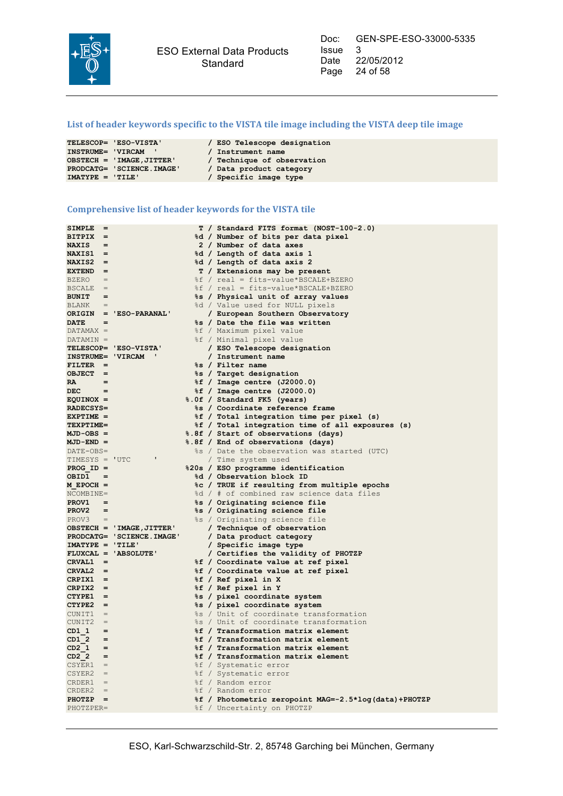

# List of header keywords specific to the VISTA tile image including the VISTA deep tile image

|                    | TELESCOP= 'ESO-VISTA'     | / ESO Telescope designation |
|--------------------|---------------------------|-----------------------------|
|                    | INSTRUME= 'VIRCAM '       | / Instrument name           |
|                    | OBSTECH = 'IMAGE, JITTER' | / Technique of observation  |
|                    | PRODCATG= 'SCIENCE.IMAGE' | / Data product category     |
| $IMATYPE = 'TILE'$ |                           | / Specific image type       |

#### **Comprehensive list of header keywords for the VISTA tile**

| <b>SIMPLE</b>               | $=$      |                                      | T / Standard FITS format (NOST-100-2.0)                                  |
|-----------------------------|----------|--------------------------------------|--------------------------------------------------------------------------|
| <b>BITPIX</b>               | $=$      |                                      | %d / Number of bits per data pixel                                       |
| NAXIS                       | $=$      |                                      | 2 / Number of data axes                                                  |
| <b>NAXIS1</b>               | $=$      |                                      | %d / Length of data axis 1                                               |
| <b>NAXIS2</b>               | $=$      |                                      | %d / Length of data axis 2                                               |
| <b>EXTEND</b>               | $=$      |                                      | T / Extensions may be present                                            |
| BZERO                       | $=$      |                                      | %f / real = fits-value*BSCALE+BZERO                                      |
| <b>BSCALE</b>               | $=$      |                                      | %f / real = fits-value*BSCALE+BZERO                                      |
| <b>BUNIT</b>                | $=$      |                                      | %s / Physical unit of array values                                       |
| BLANK                       | $=$      |                                      | %d / Value used for NULL pixels                                          |
|                             |          | ORIGIN = 'ESO-PARANAL'               | / European Southern Observatory                                          |
| <b>DATE</b>                 | $\equiv$ |                                      | %s / Date the file was written                                           |
| $DATAMAX =$                 |          |                                      | %f / Maximum pixel value                                                 |
| $DATAMIN =$                 |          |                                      | %f / Minimal pixel value                                                 |
|                             |          | <b>TELESCOP= 'ESO-VISTA'</b>         | / ESO Telescope designation                                              |
| INSTRUME= 'VIRCAM           |          |                                      | / Instrument name                                                        |
| <b>FILTER</b>               | $=$      |                                      | %s / Filter name                                                         |
| OBJECT =                    |          |                                      | %s / Target designation                                                  |
| RA.                         | $=$      |                                      | %f / Image centre (J2000.0)                                              |
| <b>DEC</b>                  |          |                                      | %f / Image centre (J2000.0)                                              |
| $EQUINOX =$                 |          |                                      | %. Of / Standard FK5 (years)                                             |
| RADECSYS=                   |          |                                      | %s / Coordinate reference frame                                          |
| $EXPTIME =$                 |          |                                      | %f / Total integration time per pixel (s)                                |
| <b>TEXPTIME=</b>            |          |                                      | %f / Total integration time of all exposures (s)                         |
| $MJD-OBS =$<br>$MJD$ -END = |          |                                      | %.8f / Start of observations (days)<br>%.8f / End of observations (days) |
| DATE-OBS=                   |          |                                      | %s / Date the observation was started (UTC)                              |
| $TIMESYS = 'UTC$            |          |                                      | / Time system used                                                       |
| PROG ID $=$                 |          |                                      | %20s / ESO programme identification                                      |
| OBID1                       | $=$      |                                      | %d / Observation block ID                                                |
| $M$ EPOCH =                 |          |                                      | %c / TRUE if resulting from multiple epochs                              |
| NCOMBINE=                   |          |                                      | %d / # of combined raw science data files                                |
| PROV1                       | $\equiv$ |                                      | %s / Originating science file                                            |
| PROV <sub>2</sub>           | $=$      |                                      | %s / Originating science file                                            |
| PROV3                       | $=$      |                                      | %s / Originating science file                                            |
|                             |          | $O\texttt{BSTECH}$ = 'IMAGE, JITTER' | / Technique of observation                                               |
|                             |          | PRODCATG= 'SCIENCE. IMAGE'           | / Data product category                                                  |
| $IMATYPE = 'TILE'$          |          |                                      | / Specific image type                                                    |
|                             |          | FLUXCAL = 'ABSOLUTE'                 | / Certifies the validity of PHOTZP                                       |
| <b>CRVAL1</b>               | $=$      |                                      | %f / Coordinate value at ref pixel                                       |
| CRVAL2                      | $=$      |                                      | %f / Coordinate value at ref pixel                                       |
| CRPIX1                      | $=$      |                                      | %f / Ref pixel in X                                                      |
| CRPIX2                      | $=$      |                                      | %f / Ref pixel in Y                                                      |
| CTYPE1                      | $=$      |                                      | %s / pixel coordinate system                                             |
| CTYPE2                      | $=$      |                                      | %s / pixel coordinate system                                             |
| CUNIT1                      | $=$      |                                      | %s / Unit of coordinate transformation                                   |
| CUNIT2                      | $=$      |                                      | %s / Unit of coordinate transformation                                   |
| CD1 1                       | $=$      |                                      | %f / Transformation matrix element                                       |
| CD12                        | $=$      |                                      | %f / Transformation matrix element                                       |
| CD2 <sub>1</sub>            | $=$      |                                      | %f / Transformation matrix element                                       |
| CD2 <sub>2</sub>            | $\equiv$ |                                      | %f / Transformation matrix element                                       |
| CSYER1                      | $=$      |                                      | %f / Systematic error                                                    |
| CSYER2                      | $=$      |                                      | %f / Systematic error                                                    |
| CRDER1                      | $=$      |                                      | %f / Random error                                                        |
| CRDER2                      | $=$      |                                      | %f / Random error                                                        |
| PHOTZP                      | $=$      |                                      | %f / Photometric zeropoint MAG=-2.5*log(data)+PHOTZP                     |
| PHOTZPER=                   |          |                                      | %f / Uncertainty on PHOTZP                                               |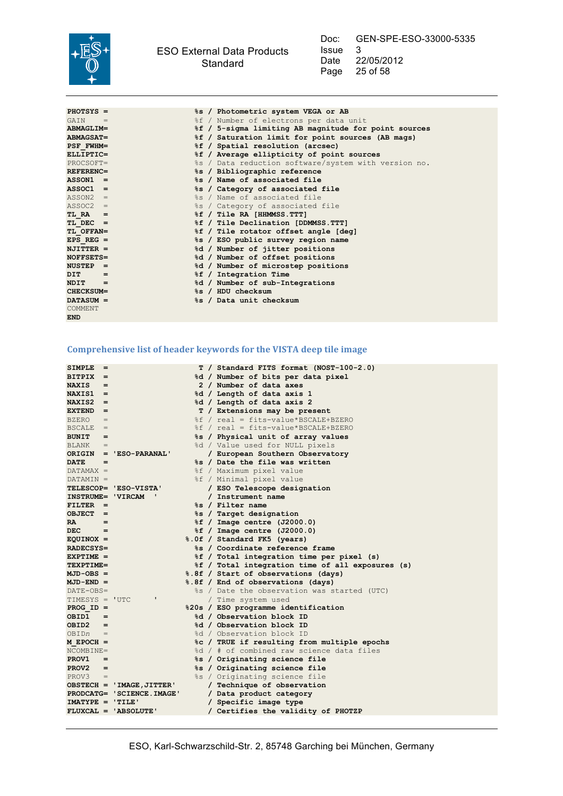

| $PHOTSYS =$        | %s / Photometric system VEGA or AB                   |
|--------------------|------------------------------------------------------|
| GAIN<br>$=$        | %f / Number of electrons per data unit               |
| ABMAGLIM=          | %f / 5-sigma limiting AB magnitude for point sources |
| ABMAGSAT=          | %f / Saturation limit for point sources (AB mags)    |
| <b>PSF FWHM=</b>   | %f / Spatial resolution (arcsec)                     |
| ELLIPTIC=          | %f / Average ellipticity of point sources            |
| PROCSOFT=          | %s / Data reduction software/system with version no. |
| <b>REFERENC=</b>   | %s / Bibliographic reference                         |
| $ASSON1 =$         | %s / Name of associated file                         |
| $ASSOC1 =$         | %s / Category of associated file                     |
| $ASSON2 =$         | %s / Name of associated file                         |
| $ASSOC2 =$         | %s / Category of associated file                     |
| TL RA =            | %f / Tile RA [HHMMSS.TTT]                            |
| $TL$ DEC =         | %f / Tile Declination [DDMMSS.TTT]                   |
| TL OFFAN=          | %f / Tile rotator offset angle [deg]                 |
| $EPS$ REG =        | %s / ESO public survey region name                   |
| NJITTER =          | %d / Number of jitter positions                      |
| NOFFSETS=          | %d / Number of offset positions                      |
| NUSTEP =           | %d / Number of microstep positions                   |
| <b>DIT</b><br>$=$  | %f / Integration Time                                |
| <b>NDIT</b><br>$=$ | %d / Number of sub-Integrations                      |
| <b>CHECKSUM=</b>   | %s / HDU checksum                                    |
| $DATASUM =$        | %s / Data unit checksum                              |
| COMMENT            |                                                      |
| <b>END</b>         |                                                      |

# **Comprehensive list of header keywords for the VISTA deep tile image**

| <b>SIMPLE</b>               | $\qquad \qquad =\qquad \qquad$ |                            |  | T / Standard FITS format (NOST-100-2.0)          |
|-----------------------------|--------------------------------|----------------------------|--|--------------------------------------------------|
| $BITPIX =$                  |                                |                            |  | %d / Number of bits per data pixel               |
| NAXIS<br>$\equiv$           |                                |                            |  | 2 / Number of data axes                          |
| $NAXIS1 =$                  |                                |                            |  | %d / Length of data axis 1                       |
| $NAXIS2 =$                  |                                |                            |  | %d / Length of data axis 2                       |
| $EXTEMD =$                  |                                |                            |  | T / Extensions may be present                    |
| BZERO                       | $\blacksquare$                 |                            |  | %f / real = fits-value*BSCALE+BZERO              |
| $BSCALE =$                  |                                |                            |  | %f / real = fits-value*BSCALE+BZERO              |
| BUNIT                       | $\equiv$                       |                            |  | %s / Physical unit of array values               |
| BLANK                       | $=$                            |                            |  | %d / Value used for NULL pixels                  |
|                             |                                | ORIGIN = 'ESO-PARANAL'     |  | / European Southern Observatory                  |
| <b>DATE</b>                 | $=$                            |                            |  | %s / Date the file was written                   |
| $DATAMAX =$                 |                                |                            |  | %f / Maximum pixel value                         |
| $DATAMIN =$                 |                                |                            |  | %f / Minimal pixel value                         |
|                             |                                | TELESCOP= 'ESO-VISTA'      |  | / ESO Telescope designation                      |
| INSTRUME= 'VIRCAM           |                                |                            |  | / Instrument name                                |
| $FILTER =$                  |                                |                            |  | %s / Filter name                                 |
| $OBJECT =$                  |                                |                            |  | %s / Target designation                          |
| <b>RA</b><br>$\sim$ $\sim$  |                                |                            |  | %f / Image centre (J2000.0)                      |
| DEC<br>$\sim$ $\sim$ $\sim$ |                                |                            |  | %f / Image centre (J2000.0)                      |
| $EQUINOX =$                 |                                |                            |  | %. Of / Standard FK5 (years)                     |
| RADECSYS=                   |                                |                            |  | %s / Coordinate reference frame                  |
| EXPTIME =                   |                                |                            |  | %f / Total integration time per pixel (s)        |
| TEXPTIME=                   |                                |                            |  | %f / Total integration time of all exposures (s) |
| $MJD-OBS =$                 |                                |                            |  | %.8f / Start of observations (days)              |
| $MJD$ -EN $D =$             |                                |                            |  | %.8f / End of observations (days)                |
| $DATA-CBS =$                |                                |                            |  | %s / Date the observation was started (UTC)      |
| TIMESYS = 'UTC              |                                | $\blacksquare$             |  | / Time system used                               |
| $PROG$ ID =                 |                                |                            |  | %20s / ESO programme identification              |
| OBID1                       | $=$                            |                            |  | %d / Observation block ID                        |
| OBID2                       | $=$                            |                            |  | %d / Observation block ID                        |
| OBID <sub>n</sub>           | $=$                            |                            |  | %d / Observation block ID                        |
| $M$ EPOCH $=$               |                                |                            |  | %c / TRUE if resulting from multiple epochs      |
| NCOMBINE=                   |                                |                            |  | %d / # of combined raw science data files        |
| PROV1                       | $=$                            |                            |  | %s / Originating science file                    |
| PROV2                       | $=$                            |                            |  | %s / Originating science file                    |
| PROV3                       | $=$                            |                            |  | %s / Originating science file                    |
|                             |                                | OBSTECH = 'IMAGE, JITTER'  |  | / Technique of observation                       |
|                             |                                | PRODCATG= 'SCIENCE. IMAGE' |  | / Data product category                          |
| $IMATYPE = 'TILE'$          |                                |                            |  | / Specific image type                            |
|                             |                                | $FLUXCAL = 'ABSOLUTE'$     |  | / Certifies the validity of PHOTZP               |
|                             |                                |                            |  |                                                  |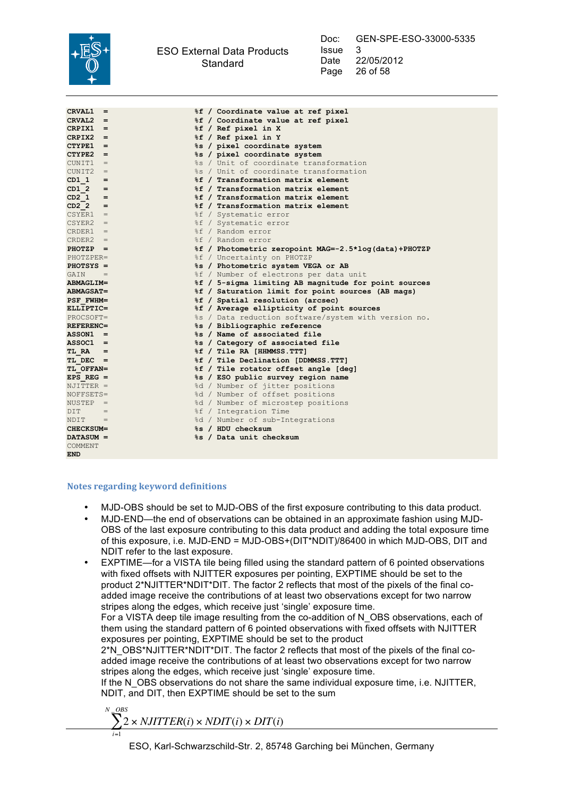

| CRVAL1             | $=$                               | %f / Coordinate value at ref pixel                   |
|--------------------|-----------------------------------|------------------------------------------------------|
| CRVAL <sub>2</sub> | $=$                               | %f / Coordinate value at ref pixel                   |
| CRPIX1             | $=$                               | %f / Ref pixel in X                                  |
| CRPIX2             | $=$                               | %f / Ref pixel in Y                                  |
| CTYPE1             | $=$                               | %s / pixel coordinate system                         |
| CTYPE2             | $=$                               | %s / pixel coordinate system                         |
| CUNIT1             | $=$                               | %s / Unit of coordinate transformation               |
| CUNIT2             | $=$                               | %s / Unit of coordinate transformation               |
| $CD1$ 1            | $=$                               | %f / Transformation matrix element                   |
| CD12               | $\blacksquare$                    | %f / Transformation matrix element                   |
| $CD2 1 =$          |                                   | %f / Transformation matrix element                   |
| $CD2 2 =$          |                                   | %f / Transformation matrix element                   |
| $CSYER1 =$         |                                   | %f / Systematic error                                |
| CSYER2             | $=$                               | %f / Systematic error                                |
| $CRDER1 =$         |                                   | %f / Random error                                    |
| CRDER2             | $=$                               | %f / Random error                                    |
| PHOTZP             | $=$                               | %f / Photometric zeropoint MAG=-2.5*log(data)+PHOTZP |
| PHOTZPER=          |                                   | %f / Uncertainty on PHOTZP                           |
| $PHOTSYS =$        |                                   | %s / Photometric system VEGA or AB                   |
| GAIN               | $=$                               | %f / Number of electrons per data unit               |
| ABMAGLIM=          |                                   | %f / 5-sigma limiting AB magnitude for point sources |
| ABMAGSAT=          |                                   | %f / Saturation limit for point sources (AB mags)    |
| PSF FWHM=          |                                   | %f / Spatial resolution (arcsec)                     |
| ELLIPTIC=          |                                   | %f / Average ellipticity of point sources            |
| PROCSOFT=          |                                   | %s / Data reduction software/system with version no. |
| <b>REFERENC=</b>   |                                   | %s / Bibliographic reference                         |
| $ASSON1 =$         |                                   | %s / Name of associated file                         |
| $ASSOC1 =$         |                                   | %s / Category of associated file                     |
| $TLRA =$           |                                   | %f / Tile RA [HHMMSS.TTT]                            |
| TL DEC =           |                                   | %f / Tile Declination [DDMMSS.TTT]                   |
| TL OFFAN=          |                                   | %f / Tile rotator offset angle [deg]                 |
| EPS REG $=$        |                                   | %s / ESO public survey region name                   |
| $NJITTER =$        |                                   | %d / Number of jitter positions                      |
| NOFFSETS=          |                                   | %d / Number of offset positions                      |
| $NUSTER =$         |                                   | %d / Number of microstep positions                   |
| DTT.               | $\hspace{1.0cm} = \hspace{1.0cm}$ | %f / Integration Time                                |
| <b>NDIT</b>        | $=$                               | %d / Number of sub-Integrations                      |
| CHECKSUM=          |                                   | %s / HDU checksum                                    |
| $DATASUM =$        |                                   | %s / Data unit checksum                              |
| COMMENT            |                                   |                                                      |
| <b>END</b>         |                                   |                                                      |

#### **Notes regarding keyword definitions**

- MJD-OBS should be set to MJD-OBS of the first exposure contributing to this data product.
- MJD-END—the end of observations can be obtained in an approximate fashion using MJD-OBS of the last exposure contributing to this data product and adding the total exposure time of this exposure, i.e. MJD-END = MJD-OBS+(DIT\*NDIT)/86400 in which MJD-OBS, DIT and NDIT refer to the last exposure.
- EXPTIME—for a VISTA tile being filled using the standard pattern of 6 pointed observations with fixed offsets with NJITTER exposures per pointing, EXPTIME should be set to the product 2\*NJITTER\*NDIT\*DIT. The factor 2 reflects that most of the pixels of the final coadded image receive the contributions of at least two observations except for two narrow stripes along the edges, which receive just 'single' exposure time.

For a VISTA deep tile image resulting from the co-addition of N\_OBS observations, each of them using the standard pattern of 6 pointed observations with fixed offsets with NJITTER exposures per pointing, EXPTIME should be set to the product

2\*N\_OBS\*NJITTER\*NDIT\*DIT. The factor 2 reflects that most of the pixels of the final coadded image receive the contributions of at least two observations except for two narrow stripes along the edges, which receive just 'single' exposure time.

If the N\_OBS observations do not share the same individual exposure time, i.e. NJITTER, NDIT, and DIT, then EXPTIME should be set to the sum

 $\sum 2 \times NJITER(i) \times NDIT(i) \times DIT(i)$ *i*=1 *N* \_*OBS*

ESO, Karl-Schwarzschild-Str. 2, 85748 Garching bei München, Germany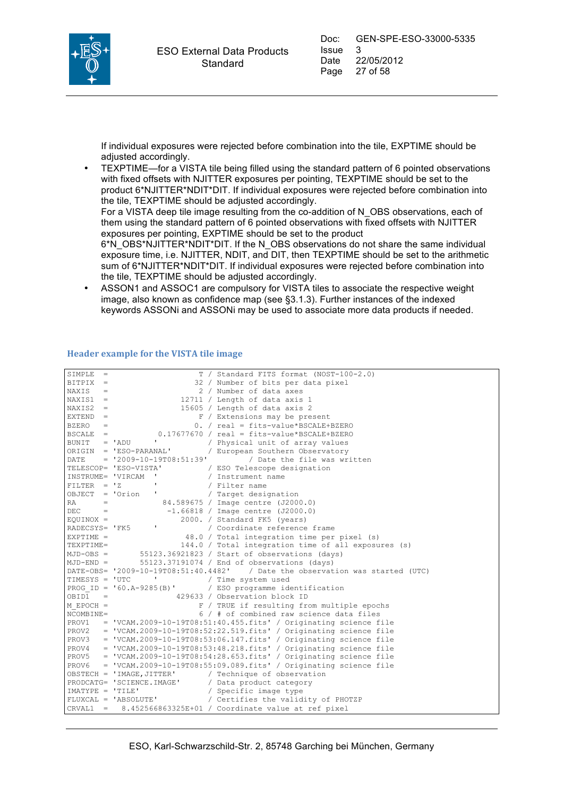

If individual exposures were rejected before combination into the tile, EXPTIME should be adjusted accordingly.

• TEXPTIME—for a VISTA tile being filled using the standard pattern of 6 pointed observations with fixed offsets with NJITTER exposures per pointing, TEXPTIME should be set to the product 6\*NJITTER\*NDIT\*DIT. If individual exposures were rejected before combination into the tile, TEXPTIME should be adjusted accordingly. For a VISTA deep tile image resulting from the co-addition of N\_OBS observations, each of them using the standard pattern of 6 pointed observations with fixed offsets with NJITTER exposures per pointing, EXPTIME should be set to the product 6\*N\_OBS\*NJITTER\*NDIT\*DIT. If the N\_OBS observations do not share the same individual exposure time, i.e. NJITTER, NDIT, and DIT, then TEXPTIME should be set to the arithmetic sum of 6\*NJITTER\*NDIT\*DIT. If individual exposures were rejected before combination into the tile, TEXPTIME should be adjusted accordingly.

• ASSON1 and ASSOC1 are compulsory for VISTA tiles to associate the respective weight image, also known as confidence map (see §3.1.3). Further instances of the indexed keywords ASSONi and ASSONi may be used to associate more data products if needed.

#### **Header example for the VISTA tile image**

| $SIMPLE =$          |                                                                                                                              | T / Standard FITS format (NOST-100-2.0)                                       |
|---------------------|------------------------------------------------------------------------------------------------------------------------------|-------------------------------------------------------------------------------|
| $BITPLY =$          |                                                                                                                              | 32 / Number of bits per data pixel                                            |
| $NAXIS =$           |                                                                                                                              | 2 / Number of data axes                                                       |
| $NAXIS1 =$          |                                                                                                                              | 12711 / Length of data axis 1                                                 |
| $NAXIS2 =$          |                                                                                                                              | 15605 / Length of data axis 2                                                 |
| EXTEND =            |                                                                                                                              | F / Extensions may be present                                                 |
| $BZERO =$           |                                                                                                                              | 0. / real = fits-value*BSCALE+BZERO                                           |
| $\texttt{BSCALE}$ = |                                                                                                                              | $0.17677670$ / real = fits-value*BSCALE+BZERO                                 |
|                     | BUNIT = 'ADU '                                                                                                               | / Physical unit of array values                                               |
|                     |                                                                                                                              | ORIGIN = 'ESO-PARANAL' / European Southern Observatory                        |
|                     |                                                                                                                              | DATE = $'2009-10-19T08:51:39'$ / Date the file was written                    |
|                     |                                                                                                                              | TELESCOP= 'ESO-VISTA' / ESO Telescope designation                             |
|                     | INSTRUME= 'VIRCAM ' / Instrument name                                                                                        |                                                                               |
|                     | $FILTER = 'Z$ $'$ / $Filler name$                                                                                            |                                                                               |
|                     | OBJECT = 'Orion ' / Target designation                                                                                       |                                                                               |
|                     | RA = 84.589675 / Image centre (J2000.0)<br>DEC = -1.66818 / Image centre (J2000.0)<br>EQUINOX = 2000. / Standard FK5 (years) |                                                                               |
|                     |                                                                                                                              |                                                                               |
|                     |                                                                                                                              |                                                                               |
|                     | RADECSYS= 'FK5                                                                                                               | / Coordinate reference frame                                                  |
| $EXPTIME =$         |                                                                                                                              | 48.0 / Total integration time per pixel (s)                                   |
|                     | TEXPTIME=                                                                                                                    | 144.0 / Total integration time of all exposures (s)                           |
|                     |                                                                                                                              | $MJD-OBS = 55123.36921823 / Start of observations (days)$                     |
|                     |                                                                                                                              | $MJD-END = 55123.37191074 / End of observations (days)$                       |
|                     |                                                                                                                              | DATE-OBS= '2009-10-19T08:51:40.4482' / Date the observation was started (UTC) |
|                     | TIMESYS = 'UTC ' / Time system used                                                                                          |                                                                               |
|                     |                                                                                                                              | PROG ID = $'60.A-9285(B)''$ / ESO programme identification                    |
|                     | OBID1 = 429633 / Observation block ID                                                                                        |                                                                               |
| $M$ EPOCH $=$       |                                                                                                                              | F / TRUE if resulting from multiple epochs                                    |
| NCOMBINE=           |                                                                                                                              | 6 / # of combined raw science data files                                      |
|                     |                                                                                                                              | PROV1 = $VCAM.2009-10-19T08:51:40.455.fits' / Originaling science file$       |
|                     |                                                                                                                              | PROV2 = 'VCAM.2009-10-19T08:52:22.519.fits' / Originating science file        |
|                     |                                                                                                                              | PROV3 = 'VCAM.2009-10-19T08:53:06.147.fits' / Originating science file        |
|                     |                                                                                                                              | PROV4 = 'VCAM.2009-10-19T08:53:48.218.fits' / Originating science file        |
|                     |                                                                                                                              | PROV5 = 'VCAM.2009-10-19T08:54:28.653.fits' / Originating science file        |
|                     |                                                                                                                              | PROV6 = $VCAM.2009-10-19T08:55:09.089.fits' / Originaling science file$       |
|                     |                                                                                                                              | OBSTECH = 'IMAGE, JITTER' / Technique of observation                          |
|                     | PRODCATG= 'SCIENCE.IMAGE' / Data product category                                                                            |                                                                               |
|                     |                                                                                                                              |                                                                               |
|                     |                                                                                                                              |                                                                               |
|                     |                                                                                                                              | $CRVAL1 = 8.452566863325E+01 / Coordinate value at ref pixel$                 |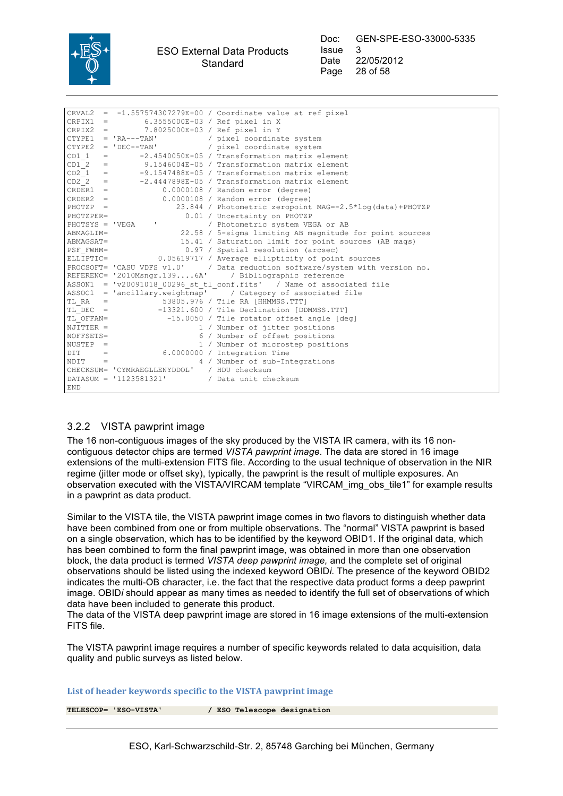

|            |                                              | CRVAL2 = $-1.557574307279E+00$ / Coordinate value at ref pixel                                                                                                                                                                                                                                                                                                                                    |
|------------|----------------------------------------------|---------------------------------------------------------------------------------------------------------------------------------------------------------------------------------------------------------------------------------------------------------------------------------------------------------------------------------------------------------------------------------------------------|
|            | $CRPIX1 = 6.3555000E+03 / Ref pixel in X$    |                                                                                                                                                                                                                                                                                                                                                                                                   |
|            | CRPIX2 = 7.8025000E+03 / Ref pixel in Y      |                                                                                                                                                                                                                                                                                                                                                                                                   |
|            |                                              | CTYPE1 = $'RA---TAN'$ / pixel coordinate system                                                                                                                                                                                                                                                                                                                                                   |
|            |                                              | CTYPE2 = 'DEC--TAN' / pixel coordinate system                                                                                                                                                                                                                                                                                                                                                     |
|            |                                              | CD1 1 = $-2.4540050E-05$ / Transformation matrix element                                                                                                                                                                                                                                                                                                                                          |
|            |                                              |                                                                                                                                                                                                                                                                                                                                                                                                   |
|            |                                              |                                                                                                                                                                                                                                                                                                                                                                                                   |
|            |                                              | $\begin{tabular}{lllllllll} \texttt{CDI\_2} & = & 9.1546004E-05 \ / \texttt{Transformation matrix element} \\ \texttt{CD2\_1} & = & -9.1547488E-05 \ / \texttt{Transformation matrix element} \\ \texttt{CD2\_2} & = & -2.4447898E-05 \ / \texttt{Transformation matrix element} \end{tabular}$                                                                                                   |
|            | $CRDER1 = 0.0000108 / Random error (degree)$ |                                                                                                                                                                                                                                                                                                                                                                                                   |
|            | CRDER2 = $0.0000108 / Random error (degree)$ |                                                                                                                                                                                                                                                                                                                                                                                                   |
|            |                                              |                                                                                                                                                                                                                                                                                                                                                                                                   |
|            |                                              | PHOTZP = 23.844 / Photometric zeropoint MAG=-2.5*log (data) +PHOTZP<br>PHOTZPER= 0.01 / Uncertainty on PHOTZP<br>PHOTSYS = 'VEGA ' / Photometric system VEGA or AB                                                                                                                                                                                                                                |
|            |                                              |                                                                                                                                                                                                                                                                                                                                                                                                   |
|            |                                              | ABMAGLIM=<br>22.58 / 5-sigma limiting AB magnitude for point sources<br>ABMAGSAT=<br>15.41 / Saturation limit for point sources (AB mags)<br>PSF_FWHM=<br>0.05619717 / Average ellipticity of point sources                                                                                                                                                                                       |
|            |                                              |                                                                                                                                                                                                                                                                                                                                                                                                   |
|            |                                              |                                                                                                                                                                                                                                                                                                                                                                                                   |
|            |                                              |                                                                                                                                                                                                                                                                                                                                                                                                   |
|            |                                              | PROCSOFT= 'CASU VDFS v1.0' / Data reduction software/system with version no.                                                                                                                                                                                                                                                                                                                      |
|            |                                              | REFERENC= '2010Msngr.1396A' / Bibliographic reference                                                                                                                                                                                                                                                                                                                                             |
|            |                                              | ASSON1 = 'v20091018 00296 st tl conf.fits' / Name of associated file                                                                                                                                                                                                                                                                                                                              |
|            |                                              | ASSOC1 = 'ancillary.weightmap' / Category of associated file                                                                                                                                                                                                                                                                                                                                      |
|            |                                              |                                                                                                                                                                                                                                                                                                                                                                                                   |
|            |                                              |                                                                                                                                                                                                                                                                                                                                                                                                   |
|            |                                              |                                                                                                                                                                                                                                                                                                                                                                                                   |
|            |                                              |                                                                                                                                                                                                                                                                                                                                                                                                   |
|            |                                              |                                                                                                                                                                                                                                                                                                                                                                                                   |
|            |                                              |                                                                                                                                                                                                                                                                                                                                                                                                   |
|            |                                              |                                                                                                                                                                                                                                                                                                                                                                                                   |
|            |                                              | TH_CPFAN=<br>TH_OFFAN=<br>TH_OFFAN=<br>-15.0050 / Tile rotator offset angle [deg]<br>NOFFSETS=<br>NOFFSETS=<br>$\begin{array}{r} 6 \text{ / Number of fitter positions} \\ 1 \text{ / Number of of fster positions} \\ \text{DIT} =\end{array}$<br>NUSTEP =<br>$\begin{array}{r} 1 \text{ Wumber of of fster positions} \\ 1 \text{ / Number of microscope positions} \\ \text{DIT} =\end{array}$ |
|            | CHECKSUM= 'CYMRAEGLLENYDDOL' / HDU checksum  |                                                                                                                                                                                                                                                                                                                                                                                                   |
|            | DATASUM = '1123581321' / Data unit checksum  |                                                                                                                                                                                                                                                                                                                                                                                                   |
| <b>END</b> |                                              |                                                                                                                                                                                                                                                                                                                                                                                                   |

# 3.2.2 VISTA pawprint image

The 16 non-contiguous images of the sky produced by the VISTA IR camera, with its 16 noncontiguous detector chips are termed *VISTA pawprint image*. The data are stored in 16 image extensions of the multi-extension FITS file. According to the usual technique of observation in the NIR regime (jitter mode or offset sky), typically, the pawprint is the result of multiple exposures. An observation executed with the VISTA/VIRCAM template "VIRCAM\_img\_obs\_tile1" for example results in a pawprint as data product.

Similar to the VISTA tile, the VISTA pawprint image comes in two flavors to distinguish whether data have been combined from one or from multiple observations. The "normal" VISTA pawprint is based on a single observation, which has to be identified by the keyword OBID1. If the original data, which has been combined to form the final pawprint image, was obtained in more than one observation block, the data product is termed *VISTA deep pawprint image,* and the complete set of original observations should be listed using the indexed keyword OBID*i*. The presence of the keyword OBID2 indicates the multi-OB character, i.e. the fact that the respective data product forms a deep pawprint image. OBID*i* should appear as many times as needed to identify the full set of observations of which data have been included to generate this product.

The data of the VISTA deep pawprint image are stored in 16 image extensions of the multi-extension FITS file.

The VISTA pawprint image requires a number of specific keywords related to data acquisition, data quality and public surveys as listed below.

#### List of header keywords specific to the VISTA pawprint image

**TELESCOP= 'ESO-VISTA' / ESO Telescope designation**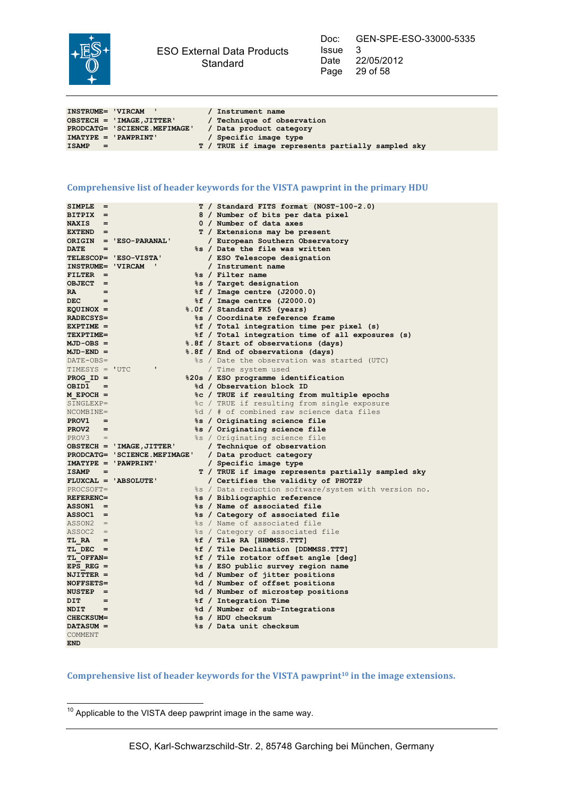

|                     | INSTRUME= 'VIRCAM '          | Instrument name                                    |  |
|---------------------|------------------------------|----------------------------------------------------|--|
|                     | OBSTECH = 'IMAGE.JITTER'     | / Technique of observation                         |  |
|                     | PRODCATG= 'SCIENCE.MEFIMAGE' | / Data product category                            |  |
|                     | $IMATYPE = 'PAWPRINT'$       | Specific image type                                |  |
| <b>ISAMP</b><br>$=$ |                              | T / TRUE if image represents partially sampled sky |  |
|                     |                              |                                                    |  |

# **Comprehensive list of header keywords for the VISTA pawprint in the primary HDU**

| <b>SIMPLE</b>         | $=$      |                              | T / Standard FITS format (NOST-100-2.0)              |
|-----------------------|----------|------------------------------|------------------------------------------------------|
| <b>BITPIX</b>         | $=$      |                              | 8 / Number of bits per data pixel                    |
| <b>NAXIS</b>          | $\equiv$ |                              | 0 / Number of data axes                              |
| <b>EXTEND</b>         | $=$      |                              | T / Extensions may be present                        |
| ORIGIN                |          | = 'ESO-PARANAL'              | / European Southern Observatory                      |
| <b>DATE</b>           | $=$      |                              | %s / Date the file was written                       |
|                       |          | TELESCOP= 'ESO-VISTA'        | / ESO Telescope designation                          |
| INSTRUME= 'VIRCAM     |          |                              | / Instrument name                                    |
| <b>FILTER</b>         | $=$      |                              | %s / Filter name                                     |
| <b>OBJECT</b>         | $=$      |                              | %s / Target designation                              |
| <b>RA</b>             | $=$      |                              | %f / Image centre (J2000.0)                          |
| DEC                   | $\equiv$ |                              | %f / Image centre (J2000.0)                          |
| $EQUINOX =$           |          |                              | %. Of / Standard FK5 (years)                         |
| <b>RADECSYS=</b>      |          |                              | %s / Coordinate reference frame                      |
| EXPTIME =             |          |                              | %f / Total integration time per pixel (s)            |
| TEXPTIME=             |          |                              | %f / Total integration time of all exposures (s)     |
| $MJD-OBS =$           |          |                              | %.8f / Start of observations (days)                  |
| $MJD$ -END =          |          |                              | %.8f / End of observations (days)                    |
| DATE-OBS=             |          |                              | %s / Date the observation was started (UTC)          |
| TIMESYS = 'UTC        |          |                              | / Time system used                                   |
| $PROG$ ID =           |          |                              | %20s / ESO programme identification                  |
| OBID1                 | $\equiv$ |                              | %d / Observation block ID                            |
| $M$ EPOCH =           |          |                              | %c / TRUE if resulting from multiple epochs          |
| SINGLEXP=             |          |                              | %c / TRUE if resulting from single exposure          |
| NCOMBINE=             |          |                              | %d / # of combined raw science data files            |
|                       |          |                              |                                                      |
| PROV1                 | $=$      |                              | %s / Originating science file                        |
| PROV <sub>2</sub>     | $=$      |                              | %s / Originating science file                        |
| PROV3                 | $\, =$   |                              | %s / Originating science file                        |
|                       |          | OBSTECH = 'IMAGE, JITTER'    | / Technique of observation                           |
|                       |          | PRODCATG= 'SCIENCE.MEFIMAGE' | / Data product category                              |
|                       |          | $IMATYPE = 'PAWPRINT'$       | / Specific image type                                |
| <b>ISAMP</b>          | $=$      |                              | T / TRUE if image represents partially sampled sky   |
|                       |          | $FLUXCAL = 'ABSOLUTE'$       | / Certifies the validity of PHOTZP                   |
| PROCSOFT=             |          |                              | %s / Data reduction software/system with version no. |
| <b>REFERENC=</b>      |          |                              | %s / Bibliographic reference                         |
| <b>ASSON1</b>         |          |                              | %s / Name of associated file                         |
| ASSOC1                | $=$      |                              | %s / Category of associated file                     |
| ASSON2                | $=$      |                              | %s / Name of associated file                         |
| ASSOC2                | $=$      |                              | %s / Category of associated file                     |
| TL RA                 | $=$      |                              | %f / Tile RA [HHMMSS.TTT]                            |
| TL DEC                | $=$      |                              | %f / Tile Declination [DDMMSS.TTT]                   |
| TL OFFAN=             |          |                              | %f / Tile rotator offset angle [deg]                 |
| EPS REG $=$           |          |                              | %s / ESO public survey region name                   |
| NJITTER =             |          |                              | %d / Number of jitter positions                      |
| <b>NOFFSETS=</b>      |          |                              | %d / Number of offset positions                      |
| <b>NUSTEP</b>         | $=$      |                              | %d / Number of microstep positions                   |
| DIT                   | $=$      |                              | %f / Integration Time                                |
| NDIT                  | $=$      |                              | %d / Number of sub-Integrations                      |
| CHECKSUM=             |          |                              | %s / HDU checksum                                    |
| DATASUM =             |          |                              | %s / Data unit checksum                              |
| COMMENT<br><b>END</b> |          |                              |                                                      |

Comprehensive list of header keywords for the VISTA pawprint<sup>10</sup> in the image extensions.

 $\frac{10}{10}$  Applicable to the VISTA deep pawprint image in the same way.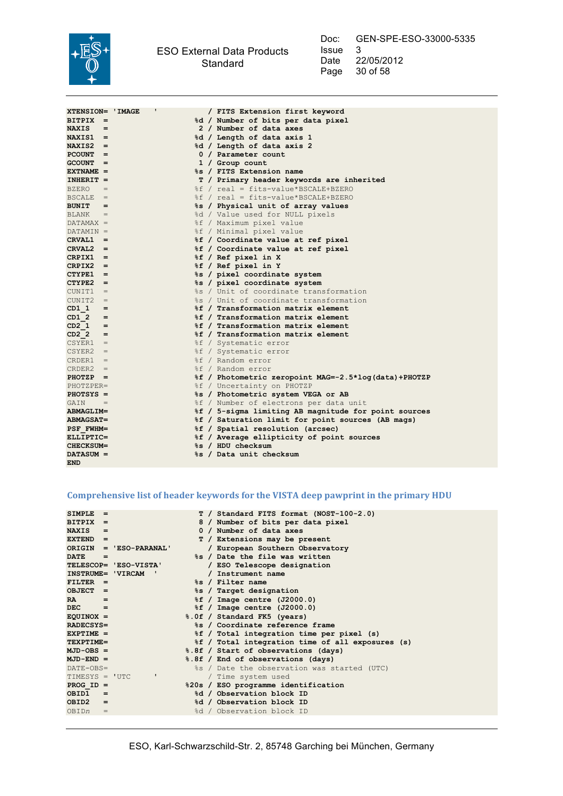

|                    | $\mathbf{I}$<br>XTENSION= 'IMAGE  | / FITS Extension first keyword                       |
|--------------------|-----------------------------------|------------------------------------------------------|
| $BITPIX =$         |                                   | %d / Number of bits per data pixel                   |
| $NAXIS =$          |                                   | 2 / Number of data axes                              |
| $NAXIS1 =$         |                                   | %d / Length of data axis 1                           |
| $NAXIS2 =$         |                                   | %d / Length of data axis 2                           |
| <b>PCOUNT</b>      | $=$                               | 0 / Parameter count                                  |
| <b>GCOUNT</b>      | $=$                               | 1 / Group count                                      |
| EXTNAME =          |                                   | %s / FITS Extension name                             |
| $INHERIT =$        |                                   | T / Primary header keywords are inherited            |
| BZERO              | $=$                               | %f / real = fits-value*BSCALE+BZERO                  |
| $BSCALE =$         |                                   | %f / real = fits-value*BSCALE+BZERO                  |
| BUNIT =            |                                   | %s / Physical unit of array values                   |
| BLANK              | $\overline{\phantom{a}}$          | %d / Value used for NULL pixels                      |
| $DATAMAX =$        |                                   | %f / Maximum pixel value                             |
| $DATAMIN =$        |                                   | %f / Minimal pixel value                             |
| $CRVAL1 =$         |                                   | %f / Coordinate value at ref pixel                   |
| CRVAL <sub>2</sub> | $=$                               | %f / Coordinate value at ref pixel                   |
| $CRPIX1 =$         |                                   | %f / Ref pixel in X                                  |
| CRPIX2             | $=$                               | %f / Ref pixel in Y                                  |
| $CTYPE1 =$         |                                   | %s / pixel coordinate system                         |
| CTYPE2             | $=$                               | %s / pixel coordinate system                         |
| CUNIT1             | $=$                               | %s / Unit of coordinate transformation               |
| $CUNIT2 =$         |                                   | %s / Unit of coordinate transformation               |
| $CD1 1 =$          |                                   | %f / Transformation matrix element                   |
| $CD12 =$           |                                   | %f / Transformation matrix element                   |
| $CD2 1 =$          |                                   | %f / Transformation matrix element                   |
| $CD22 =$           |                                   | %f / Transformation matrix element                   |
| $CSYER1 =$         |                                   | %f / Systematic error                                |
| CSYER2             | $\alpha =$                        | %f / Systematic error                                |
| $CRDER1 =$         |                                   | %f / Random error                                    |
| CRDER2             | $=$                               | %f / Random error                                    |
| PHOTZP             | $=$                               | %f / Photometric zeropoint MAG=-2.5*log(data)+PHOTZP |
| PHOTZPER=          |                                   | %f / Uncertainty on PHOTZP                           |
| $PHOTSYS =$        |                                   | %s / Photometric system VEGA or AB                   |
| GAIN               | $\hspace{1.0cm} = \hspace{1.0cm}$ | %f / Number of electrons per data unit               |
| <b>ABMAGLIM=</b>   |                                   | %f / 5-sigma limiting AB magnitude for point sources |
| <b>ABMAGSAT=</b>   |                                   | %f / Saturation limit for point sources (AB mags)    |
| <b>PSF FWHM=</b>   |                                   | %f / Spatial resolution (arcsec)                     |
| ELLIPTIC=          |                                   | %f / Average ellipticity of point sources            |
| CHECKSUM=          |                                   | %s / HDU checksum                                    |
| $DATASUM =$        |                                   | %s / Data unit checksum                              |
| <b>END</b>         |                                   |                                                      |

# Comprehensive list of header keywords for the VISTA deep pawprint in the primary HDU

| $SIMPLE =$      |     |                        |  | T / Standard FITS format (NOST-100-2.0)          |
|-----------------|-----|------------------------|--|--------------------------------------------------|
| BITPIX =        |     |                        |  | 8 / Number of bits per data pixel                |
| <b>NAXIS</b>    | $=$ |                        |  | 0 / Number of data axes                          |
| EXTEND =        |     |                        |  | T / Extensions may be present                    |
|                 |     | ORIGIN = 'ESO-PARANAL' |  | / European Southern Observatory                  |
| <b>DATE</b>     | $=$ |                        |  | %s / Date the file was written                   |
|                 |     | TELESCOP= 'ESO-VISTA'  |  | / ESO Telescope designation                      |
|                 |     | INSTRUME= 'VIRCAM '    |  | / Instrument name                                |
| $FILTER =$      |     |                        |  | %s / Filter name                                 |
| $OBJECT =$      |     |                        |  | %s / Target designation                          |
| RA              | $=$ |                        |  | f / Image centre (J2000.0)                       |
| $DEC =$         |     |                        |  | %f / Image centre (J2000.0)                      |
| $EQUINOX =$     |     |                        |  | %. Of / Standard FK5 (years)                     |
| RADECSYS=       |     |                        |  | %s / Coordinate reference frame                  |
| $EXPTIME =$     |     |                        |  | %f / Total integration time per pixel (s)        |
| TEXPTIME=       |     |                        |  | %f / Total integration time of all exposures (s) |
| $MJD-OBS =$     |     |                        |  | %.8f / Start of observations (days)              |
| $MJD$ -EN $D =$ |     |                        |  | %.8f / End of observations (days)                |
| $DATA-CBS =$    |     |                        |  | %s / Date the observation was started (UTC)      |
| TIMESYS = 'UTC  |     |                        |  | / Time system used                               |
| PROG ID $=$     |     |                        |  | %20s / ESO programme identification              |
| $OBID1 =$       |     |                        |  | %d / Observation block ID                        |
| $OBID2 =$       |     |                        |  | %d / Observation block ID                        |
| OBIDn           | $=$ |                        |  | %d / Observation block ID                        |
|                 |     |                        |  |                                                  |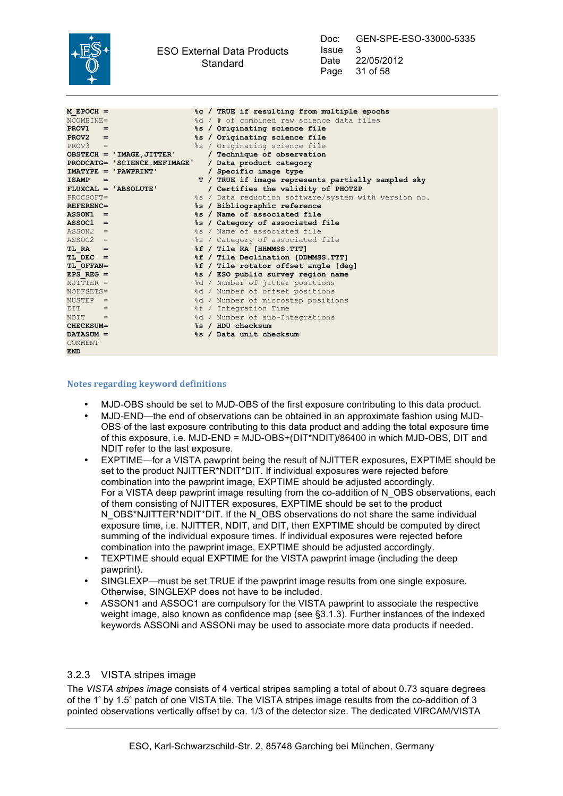

| $M$ EPOCH $=$    |                                                   |  | %c / TRUE if resulting from multiple epochs          |
|------------------|---------------------------------------------------|--|------------------------------------------------------|
| NCOMBINE=        |                                                   |  | $ad / # of combined raw science data files$          |
| PROV1<br>$=$     |                                                   |  | %s / Originating science file                        |
| $PROV2 =$        |                                                   |  | %s / Originating science file                        |
| $PROV3 =$        |                                                   |  | %s / Originating science file                        |
|                  | $O\text{BSTECH} = ' \text{IMAGE}, \text{JITTER'}$ |  | / Technique of observation                           |
|                  | PRODCATG= 'SCIENCE.MEFIMAGE'                      |  | / Data product category                              |
|                  | $IMATYPE = 'PAWPRINT'$                            |  | / Specific image type                                |
| $ISAMP =$        |                                                   |  | T / TRUE if image represents partially sampled sky   |
|                  | $FLUXCAL = 'ABSOLUTE'$                            |  | / Certifies the validity of PHOTZP                   |
| PROCSOFT=        |                                                   |  | %s / Data reduction software/system with version no. |
| <b>REFERENC=</b> |                                                   |  | %s / Bibliographic reference                         |
| $ASSON1 =$       |                                                   |  | %s / Name of associated file                         |
| $ASSOC1 =$       |                                                   |  | %s / Category of associated file                     |
| $ASSON2 =$       |                                                   |  | %s / Name of associated file                         |
| $ASSOC2 =$       |                                                   |  | %s / Category of associated file                     |
| $TLRA =$         |                                                   |  | %f / Tile RA [HHMMSS.TTT]                            |
| $TL$ DEC =       |                                                   |  | %f / Tile Declination [DDMMSS.TTT]                   |
| TL OFFAN=        |                                                   |  | %f / Tile rotator offset angle [deg]                 |
| EPS REG $=$      |                                                   |  | %s / ESO public survey region name                   |
| $NJITTER =$      |                                                   |  | %d / Number of jitter positions                      |
| NOFFSETS=        |                                                   |  | %d / Number of offset positions                      |
| NUSTEP<br>$=$    |                                                   |  | %d / Number of microstep positions                   |
| DIT.<br>$=$      |                                                   |  | %f / Integration Time                                |
| $NDIT =$         |                                                   |  | %d / Number of sub-Integrations                      |
| CHECKSUM=        |                                                   |  | %s / HDU checksum                                    |
| $DATASUM =$      |                                                   |  | %s / Data unit checksum                              |
| COMMENT          |                                                   |  |                                                      |
| <b>END</b>       |                                                   |  |                                                      |

#### **Notes regarding keyword definitions**

- MJD-OBS should be set to MJD-OBS of the first exposure contributing to this data product.
- MJD-END—the end of observations can be obtained in an approximate fashion using MJD-OBS of the last exposure contributing to this data product and adding the total exposure time of this exposure, i.e. MJD-END = MJD-OBS+(DIT\*NDIT)/86400 in which MJD-OBS, DIT and NDIT refer to the last exposure.
- EXPTIME—for a VISTA pawprint being the result of NJITTER exposures, EXPTIME should be set to the product NJITTER\*NDIT\*DIT. If individual exposures were rejected before combination into the pawprint image, EXPTIME should be adjusted accordingly. For a VISTA deep pawprint image resulting from the co-addition of N\_OBS observations, each of them consisting of NJITTER exposures, EXPTIME should be set to the product N\_OBS\*NJITTER\*NDIT\*DIT. If the N\_OBS observations do not share the same individual exposure time, i.e. NJITTER, NDIT, and DIT, then EXPTIME should be computed by direct summing of the individual exposure times. If individual exposures were rejected before combination into the pawprint image, EXPTIME should be adjusted accordingly.
- TEXPTIME should equal EXPTIME for the VISTA pawprint image (including the deep pawprint).
- SINGLEXP—must be set TRUE if the pawprint image results from one single exposure. Otherwise, SINGLEXP does not have to be included.
- ASSON1 and ASSOC1 are compulsory for the VISTA pawprint to associate the respective weight image, also known as confidence map (see §3.1.3). Further instances of the indexed keywords ASSONi and ASSONi may be used to associate more data products if needed.

## 3.2.3 VISTA stripes image

The *VISTA stripes image* consists of 4 vertical stripes sampling a total of about 0.73 square degrees of the 1˚ by 1.5˚ patch of one VISTA tile. The VISTA stripes image results from the co-addition of 3 pointed observations vertically offset by ca. 1/3 of the detector size. The dedicated VIRCAM/VISTA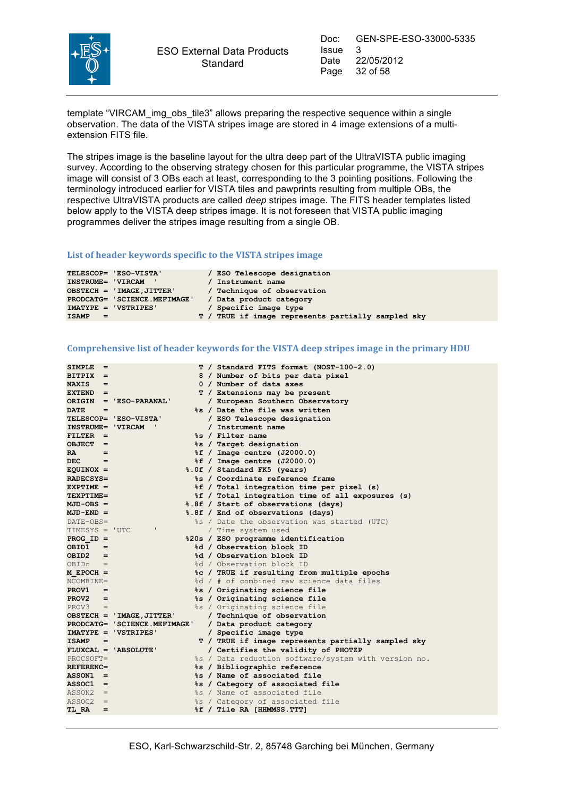

template "VIRCAM\_img\_obs\_tile3" allows preparing the respective sequence within a single observation. The data of the VISTA stripes image are stored in 4 image extensions of a multiextension FITS file.

The stripes image is the baseline layout for the ultra deep part of the UltraVISTA public imaging survey. According to the observing strategy chosen for this particular programme, the VISTA stripes image will consist of 3 OBs each at least, corresponding to the 3 pointing positions. Following the terminology introduced earlier for VISTA tiles and pawprints resulting from multiple OBs, the respective UltraVISTA products are called *deep* stripes image. The FITS header templates listed below apply to the VISTA deep stripes image. It is not foreseen that VISTA public imaging programmes deliver the stripes image resulting from a single OB.

#### List of header keywords specific to the VISTA stripes image

|                     | TELESCOP= 'ESO-VISTA'        | / ESO Telescope designation                        |
|---------------------|------------------------------|----------------------------------------------------|
|                     | INSTRUME= 'VIRCAM '          | / Instrument name                                  |
|                     | OBSTECH = 'IMAGE.JITTER'     | / Technique of observation                         |
|                     | PRODCATG= 'SCIENCE.MEFIMAGE' | / Data product category                            |
|                     | $IMATYPE = 'VSTRIPES'$       | / Specific image type                              |
| <b>ISAMP</b><br>$=$ |                              | T / TRUE if image represents partially sampled sky |

#### **Comprehensive list of header keywords for the VISTA deep stripes image in the primary HDU**

| <b>SIMPLE</b>     | $=$                        |                              | T / Standard FITS format (NOST-100-2.0)              |
|-------------------|----------------------------|------------------------------|------------------------------------------------------|
| $BITPIX =$        |                            |                              | 8 / Number of bits per data pixel                    |
| <b>NAXIS</b>      | $=$                        |                              | 0 / Number of data axes                              |
| <b>EXTEND</b>     | $=$                        |                              | T / Extensions may be present                        |
|                   |                            | ORIGIN = 'ESO-PARANAL'       | / European Southern Observatory                      |
| <b>DATE</b>       | $=$                        |                              | %s / Date the file was written                       |
|                   |                            | TELESCOP= 'ESO-VISTA'        | / ESO Telescope designation                          |
| INSTRUME= 'VIRCAM |                            |                              | / Instrument name                                    |
| $FILTER =$        |                            |                              | %s / Filter name                                     |
| <b>OBJECT</b>     | $=$                        |                              | %s / Target designation                              |
| <b>RA</b>         | $=$                        |                              | %f / Image centre (J2000.0)                          |
| <b>DEC</b>        | $=$                        |                              | %f / Image centre (J2000.0)                          |
| $EQUINOX =$       |                            |                              | %. Of / Standard FK5 (years)                         |
| RADECSYS=         |                            |                              | %s / Coordinate reference frame                      |
| $EXPTIME =$       |                            |                              | %f / Total integration time per pixel (s)            |
| TEXPTIME=         |                            |                              | %f / Total integration time of all exposures (s)     |
| $MJD-OBS =$       |                            |                              | %.8f / Start of observations (days)                  |
| $MJD$ -END =      |                            |                              | %.8f / End of observations (days)                    |
| $DATA-OBS =$      |                            |                              | %s / Date the observation was started (UTC)          |
| $TIMESYS = 'UTC$  |                            | $\mathbf{I}$                 | / Time system used                                   |
| $PROG$ ID =       |                            |                              | %20s / ESO programme identification                  |
| $OBID1 =$         |                            |                              | %d / Observation block ID                            |
| $OBID2 =$         |                            |                              | %d / Observation block ID                            |
| OBIDn             | $\blacksquare$             |                              | %d / Observation block ID                            |
| $M$ EPOCH =       |                            |                              | %c / TRUE if resulting from multiple epochs          |
| $NCOMBINE =$      |                            |                              | %d / # of combined raw science data files            |
| $PROV1 =$         |                            |                              | %s / Originating science file                        |
| PROV2             | $=$                        |                              | %s / Originating science file                        |
| PROV3             | $\alpha =$                 |                              | %s / Originating science file                        |
|                   |                            | OBSTECH = 'IMAGE, JITTER'    | / Technique of observation                           |
|                   |                            | PRODCATG= 'SCIENCE.MEFIMAGE' | / Data product category                              |
|                   |                            | $IMATYPE = 'VSTRIPES'$       | / Specific image type                                |
| <b>ISAMP</b>      | $=$                        |                              | T / TRUE if image represents partially sampled sky   |
|                   |                            | $FLUXCAL = 'ABSOLUTE'$       | / Certifies the validity of PHOTZP                   |
| PROCSOFT=         |                            |                              | %s / Data reduction software/system with version no. |
| <b>REFERENC=</b>  |                            |                              | %s / Bibliographic reference                         |
| <b>ASSON1</b>     | $=$                        |                              | %s / Name of associated file                         |
| $ASSOC1 =$        |                            |                              | %s / Category of associated file                     |
| ASSON2            | $\overline{\phantom{a}}$ = |                              | %s / Name of associated file                         |
| $ASSOC2 =$        |                            |                              | %s / Category of associated file                     |
| TL RA             | $=$                        |                              | %f / Tile RA [HHMMSS.TTT]                            |
|                   |                            |                              |                                                      |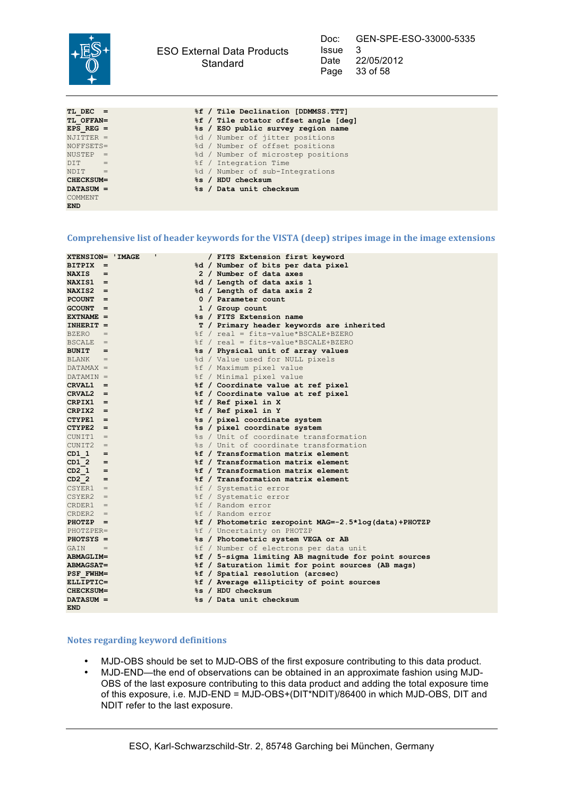

| TL DEC =                            |  | %f / Tile Declination [DDMMSS.TTT]   |
|-------------------------------------|--|--------------------------------------|
| TL OFFAN=                           |  | %f / Tile rotator offset angle [deg] |
| EPS REG $=$                         |  | %s / ESO public survey region name   |
| $NJITTER =$                         |  | %d / Number of jitter positions      |
| NOFFSETS=                           |  | %d / Number of offset positions      |
| $NUSTER =$                          |  | %d / Number of microstep positions   |
| $DIT =$                             |  | %f / Integration Time                |
| <b>NDTT</b><br>$\sim$ $\sim$ $\sim$ |  | %d / Number of sub-Integrations      |
| <b>CHECKSUM=</b>                    |  | %s / HDU checksum                    |
| DATASUM =                           |  | %s / Data unit checksum              |
| COMMENT                             |  |                                      |
| <b>END</b>                          |  |                                      |

#### **Comprehensive list of header keywords for the VISTA (deep) stripes image in the image extensions**

|                                                                   | $\mathbf{I}$<br>XTENSION= 'IMAGE |  | / FITS Extension first keyword                       |
|-------------------------------------------------------------------|----------------------------------|--|------------------------------------------------------|
| $BITPIX =$                                                        |                                  |  | %d / Number of bits per data pixel                   |
| <b>NAXIS</b><br>$\overline{\phantom{a}}$ $\overline{\phantom{a}}$ |                                  |  | 2 / Number of data axes                              |
| $NAXIS1 =$                                                        |                                  |  | %d / Length of data axis 1                           |
| $NAXIS2 =$                                                        |                                  |  | %d / Length of data axis 2                           |
| $PCOUNT =$                                                        |                                  |  | 0 / Parameter count                                  |
| $GCOUNT =$                                                        |                                  |  | 1 / Group count                                      |
| EXTNAME =                                                         |                                  |  | %s / FITS Extension name                             |
| $INHERIT =$                                                       |                                  |  | T / Primary header keywords are inherited            |
| <b>BZERO</b><br>$\overline{\phantom{a}}$ =                        |                                  |  | %f / real = fits-value*BSCALE+BZERO                  |
| $BSCALE =$                                                        |                                  |  | %f / real = fits-value*BSCALE+BZERO                  |
| BUNIT =                                                           |                                  |  | %s / Physical unit of array values                   |
| <b>BLANK</b><br>$\qquad \qquad =$                                 |                                  |  | %d / Value used for NULL pixels                      |
| $DATAMAX =$                                                       |                                  |  | %f / Maximum pixel value                             |
| $DATAMIN =$                                                       |                                  |  | %f / Minimal pixel value                             |
| $C$ RVAL1 =                                                       |                                  |  | %f / Coordinate value at ref pixel                   |
| $CRVAL2 =$                                                        |                                  |  | %f / Coordinate value at ref pixel                   |
| $CRPIX1 =$                                                        |                                  |  | %f / Ref pixel in X                                  |
| $CRPIX2 =$                                                        |                                  |  | %f / Ref pixel in Y                                  |
| $CTYPE1 =$                                                        |                                  |  | %s / pixel coordinate system                         |
| $CTYPE2 =$                                                        |                                  |  | %s / pixel coordinate system                         |
| $CUNIT1 =$                                                        |                                  |  | %s / Unit of coordinate transformation               |
| $CUNTT2 =$                                                        |                                  |  | %s / Unit of coordinate transformation               |
| $CD1 1 =$                                                         |                                  |  | %f / Transformation matrix element                   |
| $CD12 =$                                                          |                                  |  | %f / Transformation matrix element                   |
| $CD2 1 =$                                                         |                                  |  | %f / Transformation matrix element                   |
| $CD22 =$                                                          |                                  |  | %f / Transformation matrix element                   |
| $CSYER1 =$                                                        |                                  |  | %f / Systematic error                                |
| $CSYER2 =$                                                        |                                  |  | %f / Systematic error                                |
| $CRDER1 =$                                                        |                                  |  | %f / Random error                                    |
| $CRDER2 =$                                                        |                                  |  | %f / Random error                                    |
| $PHOTZP =$                                                        |                                  |  | %f / Photometric zeropoint MAG=-2.5*log(data)+PHOTZP |
| PHOTZPER=                                                         |                                  |  | %f / Uncertainty on PHOTZP                           |
| $PHOTSYS =$                                                       |                                  |  | %s / Photometric system VEGA or AB                   |
| GAIN<br>$\blacksquare$                                            |                                  |  | %f / Number of electrons per data unit               |
| <b>ABMAGLIM=</b>                                                  |                                  |  | %f / 5-sigma limiting AB magnitude for point sources |
| <b>ABMAGSAT=</b>                                                  |                                  |  | %f / Saturation limit for point sources (AB mags)    |
| <b>PSF FWHM=</b>                                                  |                                  |  | %f / Spatial resolution (arcsec)                     |
| ELLIPTIC=                                                         |                                  |  | %f / Average ellipticity of point sources            |
| CHECKSUM=                                                         |                                  |  | %s / HDU checksum                                    |
| $DATASUM =$                                                       |                                  |  | %s / Data unit checksum                              |
| <b>END</b>                                                        |                                  |  |                                                      |

#### **Notes regarding keyword definitions**

- MJD-OBS should be set to MJD-OBS of the first exposure contributing to this data product.<br>• MJD-END—the end of observations can be obtained in an approximate fashion using MJD-
- MJD-END—the end of observations can be obtained in an approximate fashion using MJD-OBS of the last exposure contributing to this data product and adding the total exposure time of this exposure, i.e. MJD-END = MJD-OBS+(DIT\*NDIT)/86400 in which MJD-OBS, DIT and NDIT refer to the last exposure.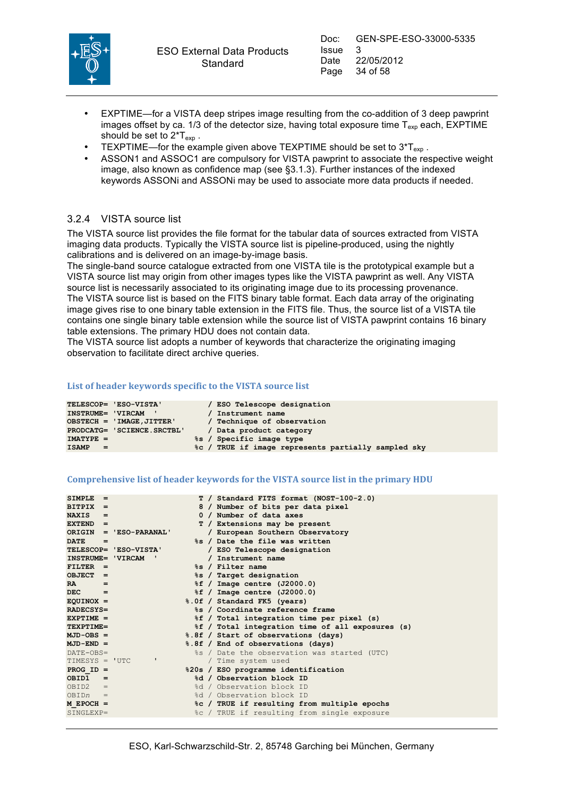

- EXPTIME—for a VISTA deep stripes image resulting from the co-addition of 3 deep pawprint images offset by ca. 1/3 of the detector size, having total exposure time  $T_{\rm ex}$  each, EXPTIME should be set to  $2<sup>*</sup>T<sub>exp</sub>$ .
- TEXPTIME—for the example given above TEXPTIME should be set to  $3 \text{°T}_{\text{exo}}$ .
- ASSON1 and ASSOC1 are compulsory for VISTA pawprint to associate the respective weight image, also known as confidence map (see §3.1.3). Further instances of the indexed keywords ASSONi and ASSONi may be used to associate more data products if needed.

# 3.2.4 VISTA source list

The VISTA source list provides the file format for the tabular data of sources extracted from VISTA imaging data products. Typically the VISTA source list is pipeline-produced, using the nightly calibrations and is delivered on an image-by-image basis.

The single-band source catalogue extracted from one VISTA tile is the prototypical example but a VISTA source list may origin from other images types like the VISTA pawprint as well. Any VISTA source list is necessarily associated to its originating image due to its processing provenance. The VISTA source list is based on the FITS binary table format. Each data array of the originating image gives rise to one binary table extension in the FITS file. Thus, the source list of a VISTA tile contains one single binary table extension while the source list of VISTA pawprint contains 16 binary table extensions. The primary HDU does not contain data.

The VISTA source list adopts a number of keywords that characterize the originating imaging observation to facilitate direct archive queries.

#### List of header keywords specific to the VISTA source list

|                     | TELESCOP= 'ESO-VISTA'      | / ESO Telescope designation                         |
|---------------------|----------------------------|-----------------------------------------------------|
|                     | INSTRUME= 'VIRCAM '        | Instrument name                                     |
|                     | OBSTECH = 'IMAGE, JITTER'  | / Technique of observation                          |
|                     | PRODCATG= 'SCIENCE.SRCTBL' | / Data product category                             |
| $IMATYPE =$         |                            | %s / Specific image type                            |
| <b>ISAMP</b><br>$=$ |                            | %c / TRUE if image represents partially sampled sky |
|                     |                            |                                                     |

#### **Comprehensive list of header keywords for the VISTA source list in the primary HDU**

| <b>SIMPLE</b><br>$=$<br>$BITPLY =$<br>NAXIS<br>$=$<br>$EXTERID =$                                                                                    | ORIGIN = 'ESO-PARANAL'                       |  | T / Standard FITS format (NOST-100-2.0)<br>8 / Number of bits per data pixel<br>0 / Number of data axes<br>T / Extensions may be present<br>/ European Southern Observatory                                                                                                                                                                                               |
|------------------------------------------------------------------------------------------------------------------------------------------------------|----------------------------------------------|--|---------------------------------------------------------------------------------------------------------------------------------------------------------------------------------------------------------------------------------------------------------------------------------------------------------------------------------------------------------------------------|
| <b>DATE</b><br>$=$<br>$FILTER =$<br>$OBJECT =$                                                                                                       | TELESCOP= 'ESO-VISTA'<br>INSTRUME= 'VIRCAM ' |  | %s / Date the file was written<br>/ ESO Telescope designation<br>/ Instrument name<br>%s / Filter name<br>%s / Target designation                                                                                                                                                                                                                                         |
| RA<br>$=$<br><b>DEC</b><br>$\mathbf{r} = \mathbf{r}$<br>$EOUTNOX =$<br>RADECSYS=<br>EXPTIME =<br>TEXPTIME=<br>$MJD-OBS =$                            |                                              |  | %f / Image centre (J2000.0)<br>f / Image centre (J2000.0)<br>%. Of / Standard FK5 (years)<br>%s / Coordinate reference frame<br>%f / Total integration time per pixel (s)<br>%f / Total integration time of all exposures (s)                                                                                                                                             |
| $MJD$ -END =<br>$DATA-OBS =$<br>TIMESYS = 'UTC<br>$PROG$ ID =<br>$OBID1 =$<br>OBID2<br>$\mathcal{L} =$<br>OBIDn<br>$=$<br>$M$ EPOCH $=$<br>SINGLEXP= | <b>Contract District</b>                     |  | %.8f / Start of observations (days)<br>%.8f / End of observations (days)<br>%s / Date the observation was started (UTC)<br>/ Time system used<br>%20s / ESO programme identification<br>%d / Observation block ID<br>%d / Observation block ID<br>%d / Observation block ID<br>%c / TRUE if resulting from multiple epochs<br>%c / TRUE if resulting from single exposure |
|                                                                                                                                                      |                                              |  |                                                                                                                                                                                                                                                                                                                                                                           |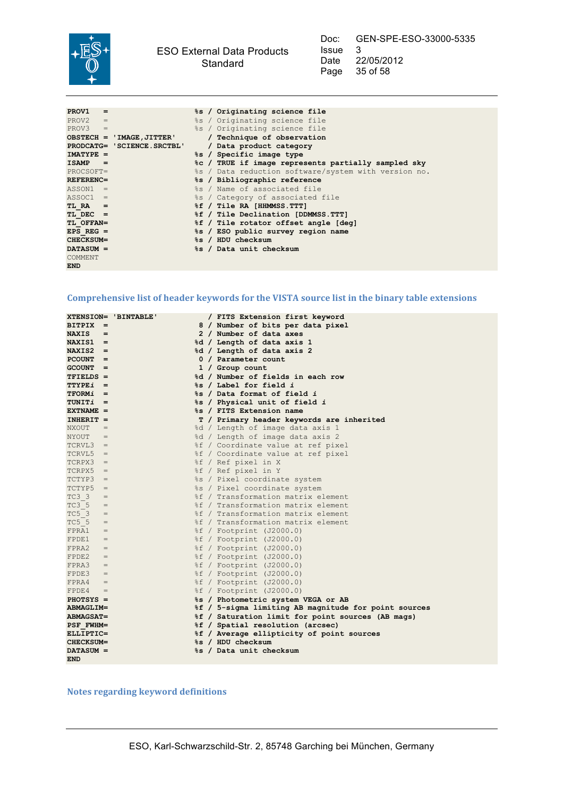

Doc: Issue 3 Date Page GEN-SPE-ESO-33000-5335 22/05/2012 35 of 58

| PROV1<br>$\equiv$          |  | %s / Originating science file                        |
|----------------------------|--|------------------------------------------------------|
| $PROV2 =$                  |  | %s / Originating science file                        |
| $PROV3 =$                  |  | %s / Originating science file                        |
| OBSTECH = 'IMAGE, JITTER'  |  | / Technique of observation                           |
| PRODCATG= 'SCIENCE.SRCTBL' |  | / Data product category                              |
| $IMAYYPE =$                |  | %s / Specific image type                             |
| $ISAMP =$                  |  | %c / TRUE if image represents partially sampled sky  |
| PROCSOFT=                  |  | %s / Data reduction software/system with version no. |
| <b>REFERENC=</b>           |  | %s / Bibliographic reference                         |
| $ASSON1 =$                 |  | %s / Name of associated file                         |
| $ASSOC1 =$                 |  | %s / Category of associated file                     |
| $TLRA =$                   |  | %f / Tile RA [HHMMSS.TTT]                            |
| $TL$ DEC =                 |  | %f / Tile Declination [DDMMSS.TTT]                   |
| TL OFFAN=                  |  | %f / Tile rotator offset angle [deg]                 |
| EPS REG $=$                |  | %s / ESO public survey region name                   |
| CHECKSUM=                  |  | %s / HDU checksum                                    |
| DATASUM =                  |  | %s / Data unit checksum                              |
| COMMENT                    |  |                                                      |
| <b>END</b>                 |  |                                                      |

# Comprehensive list of header keywords for the VISTA source list in the binary table extensions

|                            | XTENSION= 'BINTABLE' |  | / FITS Extension first keyword                       |
|----------------------------|----------------------|--|------------------------------------------------------|
| $BITPIX =$                 |                      |  | 8 / Number of bits per data pixel                    |
| $NAXIS =$                  |                      |  | 2 / Number of data axes                              |
| $NAXIS1 =$                 |                      |  | %d / Length of data axis 1                           |
| $NAXIS2 =$                 |                      |  | %d / Length of data axis 2                           |
| $PCOUNT =$                 |                      |  | 0 / Parameter count                                  |
| $GCOUNT =$                 |                      |  | 1 / Group count                                      |
| TFIELDS =                  |                      |  | %d / Number of fields in each row                    |
| $TTYPEi =$                 |                      |  | %s / Label for field i                               |
| $TFORMi =$                 |                      |  | %s / Data format of field i                          |
| TUNIT <i>i</i> =           |                      |  | %s / Physical unit of field i                        |
| EXTNAME =                  |                      |  | %s / FITS Extension name                             |
| $INHERIT =$                |                      |  | T / Primary header keywords are inherited            |
| NXOUT<br>$\alpha = \alpha$ |                      |  | %d / Length of image data axis 1                     |
| $NYOUT =$                  |                      |  | %d / Length of image data axis 2                     |
| $TCRVL3 =$                 |                      |  | %f / Coordinate value at ref pixel                   |
| $TCRVL5 =$                 |                      |  | %f / Coordinate value at ref pixel                   |
| $TCRPX3 =$                 |                      |  | %f / Ref pixel in X                                  |
| $TCRPX5 =$                 |                      |  | %f / Ref pixel in Y                                  |
| $TCTYP3 =$                 |                      |  | %s / Pixel coordinate system                         |
| $TCTYP5 =$                 |                      |  | %s / Pixel coordinate system                         |
| $TC3$ 3 =                  |                      |  | %f / Transformation matrix element                   |
| $TC3 5 =$                  |                      |  | %f / Transformation matrix element                   |
| $TC5 3 =$                  |                      |  | %f / Transformation matrix element                   |
| $TC5 5 =$                  |                      |  | %f / Transformation matrix element                   |
| FPRA1<br>$\blacksquare$    |                      |  | %f / Footprint (J2000.0)                             |
| $FPDF1 =$                  |                      |  | %f / Footprint (J2000.0)                             |
| $FPRA2 =$                  |                      |  | %f / Footprint (J2000.0)                             |
| $FPDE2 =$                  |                      |  | %f / Footprint (J2000.0)                             |
| $FPRA3 =$                  |                      |  | %f / Footprint (J2000.0)                             |
| $FPDE3 =$                  |                      |  | %f / Footprint (J2000.0)                             |
| FPRA4<br>$\equiv$          |                      |  | %f / Footprint (J2000.0)                             |
| FPDE4                      | $=$                  |  | %f / Footprint (J2000.0)                             |
| $PHOTSYS =$                |                      |  | %s / Photometric system VEGA or AB                   |
| ABMAGLIM=                  |                      |  | %f / 5-sigma limiting AB magnitude for point sources |
| <b>ABMAGSAT=</b>           |                      |  | %f / Saturation limit for point sources (AB mags)    |
| <b>PSF FWHM=</b>           |                      |  | %f / Spatial resolution (arcsec)                     |
| ELLIPTIC=                  |                      |  | %f / Average ellipticity of point sources            |
| CHECKSUM=                  |                      |  | %s / HDU checksum                                    |
| DATASUM =                  |                      |  | %s / Data unit checksum                              |
| <b>END</b>                 |                      |  |                                                      |

**Notes regarding keyword definitions**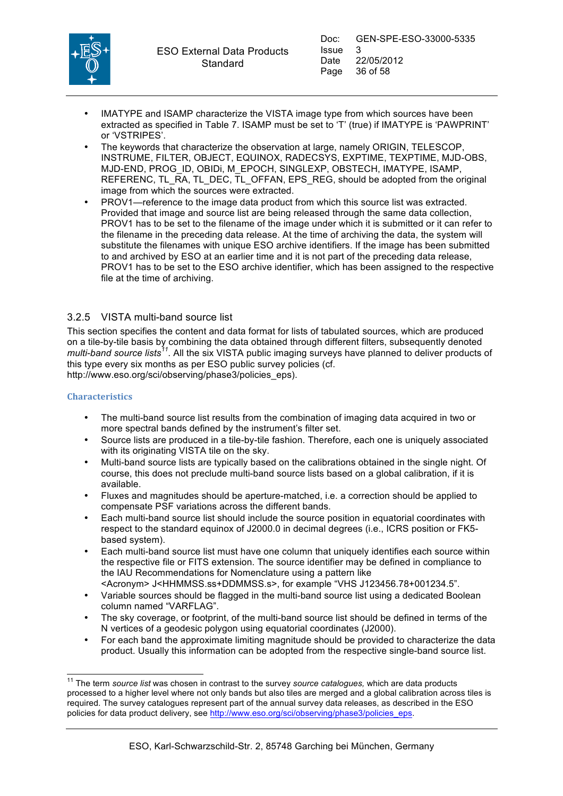

- IMATYPE and ISAMP characterize the VISTA image type from which sources have been extracted as specified in Table 7. ISAMP must be set to 'T' (true) if IMATYPE is 'PAWPRINT' or 'VSTRIPES'.
- The keywords that characterize the observation at large, namely ORIGIN, TELESCOP, INSTRUME, FILTER, OBJECT, EQUINOX, RADECSYS, EXPTIME, TEXPTIME, MJD-OBS, MJD-END, PROG\_ID, OBIDi, M\_EPOCH, SINGLEXP, OBSTECH, IMATYPE, ISAMP, REFERENC, TL\_RA, TL\_DEC, TL\_OFFAN, EPS\_REG, should be adopted from the original image from which the sources were extracted.
- PROV1—reference to the image data product from which this source list was extracted. Provided that image and source list are being released through the same data collection, PROV1 has to be set to the filename of the image under which it is submitted or it can refer to the filename in the preceding data release. At the time of archiving the data, the system will substitute the filenames with unique ESO archive identifiers. If the image has been submitted to and archived by ESO at an earlier time and it is not part of the preceding data release, PROV1 has to be set to the ESO archive identifier, which has been assigned to the respective file at the time of archiving.

# 3.2.5 VISTA multi-band source list

This section specifies the content and data format for lists of tabulated sources, which are produced on a tile-by-tile basis by combining the data obtained through different filters, subsequently denoted *multi-band source lists<sup>11</sup>*. All the six VISTA public imaging surveys have planned to deliver products of this type every six months as per ESO public survey policies (cf. http://www.eso.org/sci/observing/phase3/policies\_eps).

#### **Characteristics**

- The multi-band source list results from the combination of imaging data acquired in two or more spectral bands defined by the instrument's filter set.
- Source lists are produced in a tile-by-tile fashion. Therefore, each one is uniquely associated with its originating VISTA tile on the sky.
- Multi-band source lists are typically based on the calibrations obtained in the single night. Of course, this does not preclude multi-band source lists based on a global calibration, if it is available.
- Fluxes and magnitudes should be aperture-matched, i.e. a correction should be applied to compensate PSF variations across the different bands.
- Each multi-band source list should include the source position in equatorial coordinates with respect to the standard equinox of J2000.0 in decimal degrees (i.e., ICRS position or FK5 based system).
- Each multi-band source list must have one column that uniquely identifies each source within the respective file or FITS extension. The source identifier may be defined in compliance to the IAU Recommendations for Nomenclature using a pattern like <Acronym> J<HHMMSS.ss+DDMMSS.s>, for example "VHS J123456.78+001234.5".
- Variable sources should be flagged in the multi-band source list using a dedicated Boolean column named "VARFLAG".
- The sky coverage, or footprint, of the multi-band source list should be defined in terms of the N vertices of a geodesic polygon using equatorial coordinates (J2000).
- For each band the approximate limiting magnitude should be provided to characterize the data product. Usually this information can be adopted from the respective single-band source list.

 <sup>11</sup> The term *source list* was chosen in contrast to the survey *source catalogues,* which are data products processed to a higher level where not only bands but also tiles are merged and a global calibration across tiles is required. The survey catalogues represent part of the annual survey data releases, as described in the ESO policies for data product delivery, see http://www.eso.org/sci/observing/phase3/policies\_eps.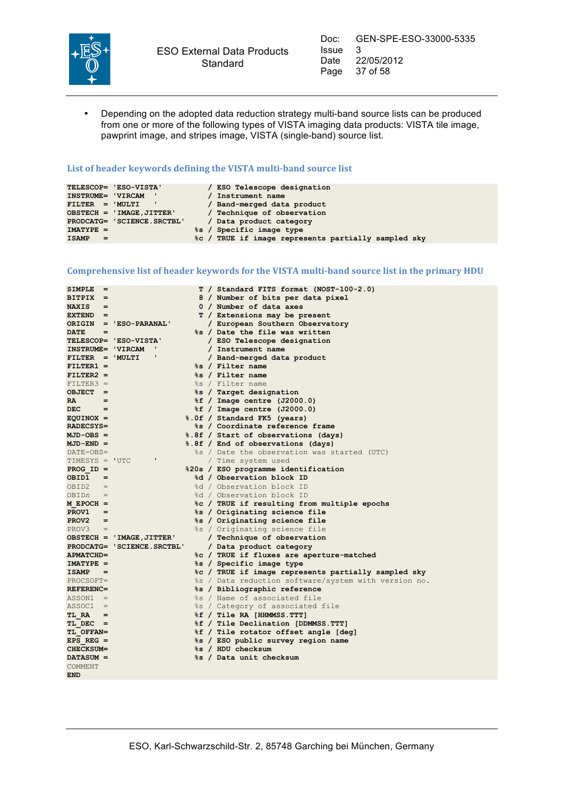

• Depending on the adopted data reduction strategy multi-band source lists can be produced from one or more of the following types of VISTA imaging data products: VISTA tile image, pawprint image, and stripes image, VISTA (single-band) source list.

#### List of header keywords defining the VISTA multi-band source list

|                     | TELESCOP= 'ESO-VISTA'      | / ESO Telescope designation                         |
|---------------------|----------------------------|-----------------------------------------------------|
| INSTRUME= 'VIRCAM   |                            | Instrument name                                     |
| $FILTER = 'MULTI$   |                            | / Band-merged data product                          |
|                     | OBSTECH = 'IMAGE, JITTER'  | / Technique of observation                          |
|                     | PRODCATG= 'SCIENCE.SRCTBL' | / Data product category                             |
| $IMAYYPE =$         |                            | %s / Specific image type                            |
| <b>ISAMP</b><br>$=$ |                            | %c / TRUE if image represents partially sampled sky |
|                     |                            |                                                     |

#### Comprehensive list of header keywords for the VISTA multi-band source list in the primary HDU

| <b>SIMPLE</b>     | $=$                        |                              | T / Standard FITS format (NOST-100-2.0)              |
|-------------------|----------------------------|------------------------------|------------------------------------------------------|
| $BITPIX =$        |                            |                              | 8 / Number of bits per data pixel                    |
| <b>NAXIS</b>      | $\blacksquare$             |                              | 0 / Number of data axes                              |
| $EXTEMD =$        |                            |                              | T / Extensions may be present                        |
|                   |                            | ORIGIN = 'ESO-PARANAL'       | / European Southern Observatory                      |
| <b>DATE</b>       | $=$                        |                              | %s / Date the file was written                       |
|                   |                            | TELESCOP= 'ESO-VISTA'        | / ESO Telescope designation                          |
| INSTRUME= 'VIRCAM |                            |                              | / Instrument name                                    |
| $FILTER = 'MULTI$ |                            | $\mathbf{I}$                 | / Band-merged data product                           |
| $FILTER1 =$       |                            |                              | %s / Filter name                                     |
| $FLLTER2 =$       |                            |                              | %s / Filter name                                     |
| $FILTER3 =$       |                            |                              | %s / Filter name                                     |
| $OBJECT =$        |                            |                              | %s / Target designation                              |
| <b>RA</b>         | $=$                        |                              | %f / Image centre (J2000.0)                          |
| DEC               | $=$                        |                              | %f / Image centre (J2000.0)                          |
| $EQUINOX =$       |                            |                              | %. Of / Standard FK5 (years)                         |
| RADECSYS=         |                            |                              | %s / Coordinate reference frame                      |
| $MJD-OBS =$       |                            |                              | %.8f / Start of observations (days)                  |
| $MJD$ -END =      |                            |                              | %.8f / End of observations (days)                    |
| DATE-OBS=         |                            |                              | %s / Date the observation was started (UTC)          |
| TIMESYS = 'UTC    |                            | $\mathbf{I}$                 | / Time system used                                   |
| PROG ID $=$       |                            |                              | %20s / ESO programme identification                  |
| OBID1             | $=$                        |                              | %d / Observation block ID                            |
| OBID2             | $\blacksquare$             |                              | %d / Observation block ID                            |
| OBID <sub>n</sub> | $\overline{\phantom{a}}$ = |                              | %d / Observation block ID                            |
| $M$ EPOCH =       |                            |                              | %c / TRUE if resulting from multiple epochs          |
| PROV1<br>$=$      |                            |                              | %s / Originating science file                        |
| PROV2             | $=$                        |                              | %s / Originating science file                        |
| PROV3             | $\blacksquare$             |                              | %s / Originating science file                        |
|                   |                            | OBSTECH = $'$ IMAGE, JITTER' | / Technique of observation                           |
|                   |                            | PRODCATG= 'SCIENCE.SRCTBL'   | / Data product category                              |
| <b>APMATCHD=</b>  |                            |                              | %c / TRUE if fluxes are aperture-matched             |
| $IMATYPE =$       |                            |                              | %s / Specific image type                             |
| <b>ISAMP</b>      | $=$                        |                              | %c / TRUE if image represents partially sampled sky  |
| PROCSOFT=         |                            |                              | %s / Data reduction software/system with version no. |
| <b>REFERENC=</b>  |                            |                              | %s / Bibliographic reference                         |
| $ASSON1 =$        |                            |                              | %s / Name of associated file                         |
| $ASSOC1 =$        |                            |                              | %s / Category of associated file                     |
| TL RA             | $=$                        |                              | %f / Tile RA [HHMMSS.TTT]                            |
| $TL$ DEC =        |                            |                              | %f / Tile Declination [DDMMSS.TTT]                   |
| TL OFFAN=         |                            |                              | %f / Tile rotator offset angle [deg]                 |
| EPS REG $=$       |                            |                              | %s / ESO public survey region name                   |
| CHECKSUM=         |                            |                              | %s / HDU checksum                                    |
| DATASUM =         |                            |                              | %s / Data unit checksum                              |
| COMMENT           |                            |                              |                                                      |
| <b>END</b>        |                            |                              |                                                      |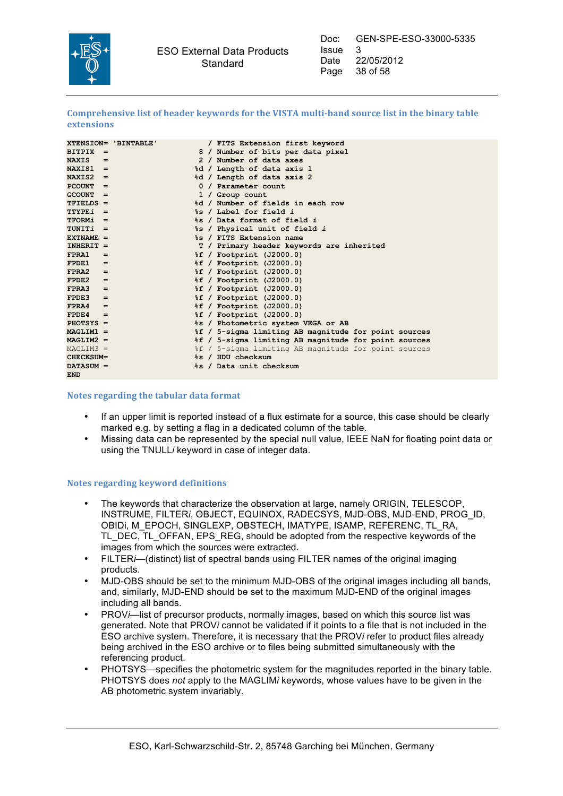

**Comprehensive list of header keywords for the VISTA multi-band source list in the binary table extensions**

|                           | XTENSION= 'BINTABLE' | / FITS Extension first keyword                       |
|---------------------------|----------------------|------------------------------------------------------|
| $BITPIX =$                |                      | 8 / Number of bits per data pixel                    |
| $NAXIS =$                 |                      | 2 / Number of data axes                              |
| $NAXIS1 =$                |                      | %d / Length of data axis 1                           |
| $NAXIS2 =$                |                      | %d / Length of data axis 2                           |
| $PCOUNT =$                |                      | 0 / Parameter count                                  |
| <b>GCOUNT</b><br>$\equiv$ |                      | 1 / Group count                                      |
| $TFIELDS =$               |                      | %d / Number of fields in each row                    |
| <b>TTYPEi</b><br>$=$      |                      | %s / Label for field i                               |
| $TFORMi =$                |                      | %s / Data format of field i                          |
| TUNITi =                  |                      | %s / Physical unit of field i                        |
| $EXTNAME =$               |                      | %s / FITS Extension name                             |
| $INHERIT =$               |                      | T / Primary header keywords are inherited            |
| FPRA1<br>$=$              |                      | %f / Footprint (J2000.0)                             |
| FPDE1<br>$\equiv$         |                      | %f / Footprint (J2000.0)                             |
| $FPRA2 =$                 |                      | %f / Footprint (J2000.0)                             |
| $FPDE2 =$                 |                      | %f / Footprint (J2000.0)                             |
| $FPRA3 =$                 |                      | %f / Footprint (J2000.0)                             |
| $FPDE3 =$                 |                      | %f / Footprint (J2000.0)                             |
| $FPRA4 =$                 |                      | %f / Footprint (J2000.0)                             |
| FPDE4<br>$\equiv$         |                      | %f / Footprint (J2000.0)                             |
| $PHOTSYS =$               |                      | %s / Photometric system VEGA or AB                   |
| $MAGLIM1 =$               |                      | %f / 5-sigma limiting AB magnitude for point sources |
| $MAGLIM2 =$               |                      | %f / 5-sigma limiting AB magnitude for point sources |
| $MAGLIM3 =$               |                      | %f / 5-sigma limiting AB magnitude for point sources |
| CHECKSUM=                 |                      | %s / HDU checksum                                    |
| DATASUM =                 |                      | %s / Data unit checksum                              |
| <b>END</b>                |                      |                                                      |

**Notes regarding the tabular data format** 

- If an upper limit is reported instead of a flux estimate for a source, this case should be clearly marked e.g. by setting a flag in a dedicated column of the table.
- Missing data can be represented by the special null value, IEEE NaN for floating point data or using the TNULL*i* keyword in case of integer data.

#### **Notes regarding keyword definitions**

- The keywords that characterize the observation at large, namely ORIGIN, TELESCOP, INSTRUME, FILTER*i*, OBJECT, EQUINOX, RADECSYS, MJD-OBS, MJD-END, PROG\_ID, OBIDi, M\_EPOCH, SINGLEXP, OBSTECH, IMATYPE, ISAMP, REFERENC, TL\_RA, TL\_DEC, TL\_OFFAN, EPS\_REG, should be adopted from the respective keywords of the images from which the sources were extracted.
- FILTER*i*—(distinct) list of spectral bands using FILTER names of the original imaging products.
- MJD-OBS should be set to the minimum MJD-OBS of the original images including all bands, and, similarly, MJD-END should be set to the maximum MJD-END of the original images including all bands.
- PROV*i*—list of precursor products, normally images, based on which this source list was generated. Note that PROV*i* cannot be validated if it points to a file that is not included in the ESO archive system. Therefore, it is necessary that the PROV*i* refer to product files already being archived in the ESO archive or to files being submitted simultaneously with the referencing product.
- PHOTSYS—specifies the photometric system for the magnitudes reported in the binary table. PHOTSYS does *not* apply to the MAGLIM*i* keywords, whose values have to be given in the AB photometric system invariably.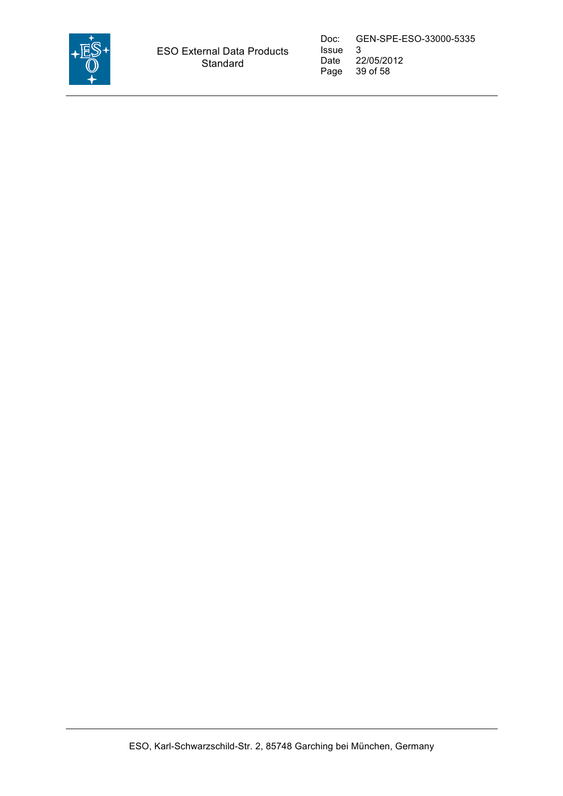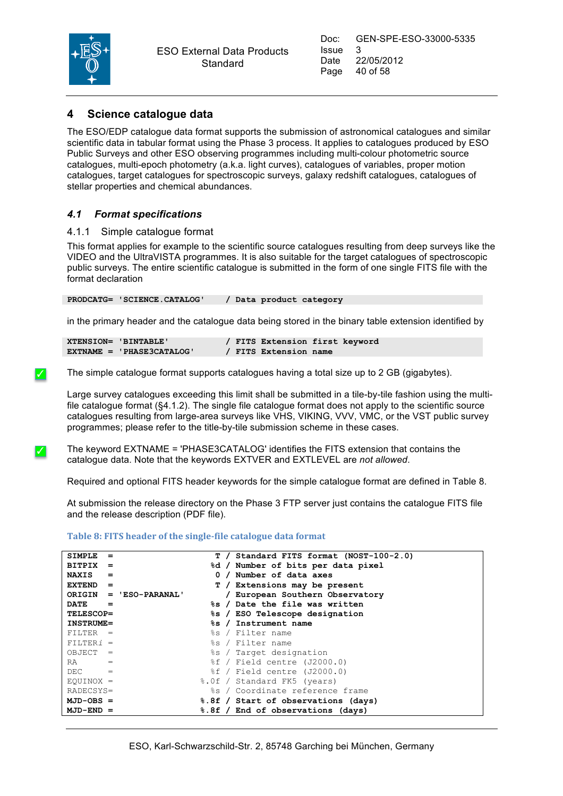

✓

✓

Doc: **Issue** Date Page GEN-SPE-ESO-33000-5335 3 22/05/2012 40 of 58

# **4 Science catalogue data**

The ESO/EDP catalogue data format supports the submission of astronomical catalogues and similar scientific data in tabular format using the Phase 3 process. It applies to catalogues produced by ESO Public Surveys and other ESO observing programmes including multi-colour photometric source catalogues, multi-epoch photometry (a.k.a. light curves), catalogues of variables, proper motion catalogues, target catalogues for spectroscopic surveys, galaxy redshift catalogues, catalogues of stellar properties and chemical abundances.

# *4.1 Format specifications*

# 4.1.1 Simple catalogue format

This format applies for example to the scientific source catalogues resulting from deep surveys like the VIDEO and the UltraVISTA programmes. It is also suitable for the target catalogues of spectroscopic public surveys. The entire scientific catalogue is submitted in the form of one single FITS file with the format declaration

**PRODCATG= 'SCIENCE.CATALOG' / Data product category** 

in the primary header and the catalogue data being stored in the binary table extension identified by

| XTENSION= 'BINTABLE'        |  |                       | / FITS Extension first keyword |  |
|-----------------------------|--|-----------------------|--------------------------------|--|
| $EXTNAME = 'PHASE3CATALOG'$ |  | / FITS Extension name |                                |  |

The simple catalogue format supports catalogues having a total size up to 2 GB (gigabytes).

Large survey catalogues exceeding this limit shall be submitted in a tile-by-tile fashion using the multifile catalogue format (§4.1.2). The single file catalogue format does not apply to the scientific source catalogues resulting from large-area surveys like VHS, VIKING, VVV, VMC, or the VST public survey programmes; please refer to the title-by-tile submission scheme in these cases.

The keyword EXTNAME = 'PHASE3CATALOG' identifies the FITS extension that contains the catalogue data. Note that the keywords EXTVER and EXTLEVEL are *not allowed*.

Required and optional FITS header keywords for the simple catalogue format are defined in Table 8.

At submission the release directory on the Phase 3 FTP server just contains the catalogue FITS file and the release description (PDF file).

## Table 8: FITS header of the single-file catalogue data format

| <b>SIMPLE</b>    | $=$ |                   |  | T / Standard FITS format (NOST-100-2.0) |
|------------------|-----|-------------------|--|-----------------------------------------|
| <b>BITPIX</b>    | $=$ |                   |  | %d / Number of bits per data pixel      |
| NAXIS            | $=$ |                   |  | 0 / Number of data axes                 |
| <b>EXTEND</b>    | $=$ |                   |  | T / Extensions may be present           |
| ORIGIN           |     | $=$ 'ESO-PARANAL' |  | European Southern Observatory           |
| <b>DATE</b>      | $=$ |                   |  | %s / Date the file was written          |
| TELESCOP=        |     |                   |  | %s / ESO Telescope designation          |
| <b>INSTRUME=</b> |     |                   |  | %s / Instrument name                    |
| $FILTER =$       |     |                   |  | %s / Filter name                        |
| $FILTERI =$      |     |                   |  | %s / Filter name                        |
| $OBJECT =$       |     |                   |  | %s / Target designation                 |
| RA.              | $=$ |                   |  | $\frac{1}{2}$ / Field centre (J2000.0)  |
| DEC <sub>2</sub> | $=$ |                   |  | %f / Field centre (J2000.0)             |
| $EOUTNOX =$      |     |                   |  | %. Of / Standard FK5 (years)            |
| RADECSYS=        |     |                   |  | %s / Coordinate reference frame         |
| $MJD-OBS =$      |     |                   |  | %.8f / Start of observations (days)     |
| $MJD$ -END =     |     |                   |  | %.8f / End of observations (days)       |
|                  |     |                   |  |                                         |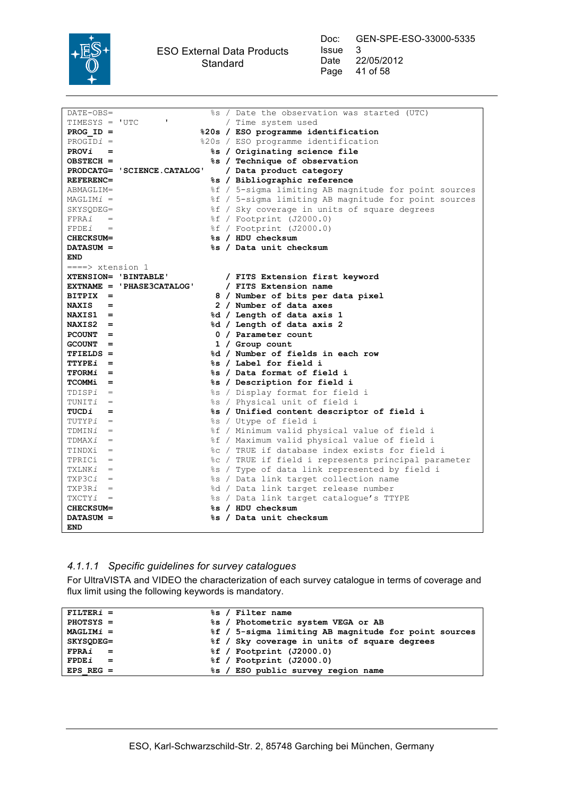

| $DATA-CBS =$                               | %s / Date the observation was started (UTC)          |
|--------------------------------------------|------------------------------------------------------|
| ,<br>TIMESYS = 'UTC                        | / Time system used                                   |
| PROG ID $=$                                | %20s / ESO programme identification                  |
| $PROGIDi =$                                | %20s / ESO programme identification                  |
| PROVi<br>$=$                               | %s / Originating science file                        |
| $OBSTECH =$                                | %s / Technique of observation                        |
| PRODCATG= 'SCIENCE.CATALOG'                | / Data product category                              |
| <b>REFERENC=</b>                           | %s / Bibliographic reference                         |
| ABMAGLIM=                                  | %f / 5-sigma limiting AB magnitude for point sources |
| $MAGLIMi =$                                | %f / 5-sigma limiting AB magnitude for point sources |
| SKYSQDEG=                                  | %f / Sky coverage in units of square degrees         |
| FPRAi<br>$\equiv$                          | %f / Footprint (J2000.0)                             |
| FPDEi<br>$\hspace{1.6cm} = \hspace{1.6cm}$ | %f / Footprint (J2000.0)                             |
| CHECKSUM=                                  | %s / HDU checksum                                    |
| DATASUM =                                  | %s / Data unit checksum                              |
| <b>END</b>                                 |                                                      |
| ====> xtension 1                           |                                                      |
| XTENSION= 'BINTABLE'                       | / FITS Extension first keyword                       |
| EXTNAME = 'PHASE3CATALOG'                  | / FITS Extension name                                |
| $BITPIX =$                                 | 8 / Number of bits per data pixel                    |
| $NAXIS =$                                  | 2 / Number of data axes                              |
| $NAXIS1 =$                                 | %d / Length of data axis 1                           |
| $NAXIS2 =$                                 | %d / Length of data axis 2                           |
| $PCOUNT =$                                 | 0 / Parameter count                                  |
| $GCOUNT =$                                 | 1 / Group count                                      |
| TFIELDS =                                  | %d / Number of fields in each row                    |
| $TTYPE1 =$                                 | %s / Label for field i                               |
| $TFORMi =$                                 | %s / Data format of field i                          |
| TCOMMi =                                   | %s / Description for field i                         |
| $TDISP1 =$                                 | %s / Display format for field i                      |
| TUNIT <i>i</i> =                           | %s / Physical unit of field i                        |
| TUCD <i>i</i> =                            | %s / Unified content descriptor of field i           |
| $TUTYPI =$                                 | %s / Utype of field i                                |
| $TDMINI =$                                 | %f / Minimum valid physical value of field i         |
| $TDMAXi =$                                 | %f / Maximum valid physical value of field i         |
| TINDXi =                                   | %c / TRUE if database index exists for field i       |
| $TPRICi =$                                 | %c / TRUE if field i represents principal parameter  |
| TXLNK <i>i</i> =                           | %s / Type of data link represented by field i        |
| $TXP3C1 =$                                 | %s / Data link target collection name                |
| $TXP3R1 =$                                 | %d / Data link target release number                 |
| $TXCTY1 =$                                 | %s / Data link target catalogue's TTYPE              |
| CHECKSUM=                                  | %s / HDU checksum                                    |
| DATASUM =                                  | %s / Data unit checksum                              |
| <b>END</b>                                 |                                                      |

# *4.1.1.1 Specific guidelines for survey catalogues*

For UltraVISTA and VIDEO the characterization of each survey catalogue in terms of coverage and flux limit using the following keywords is mandatory.

| $FILTERi =$      | %s / Filter name                                     |
|------------------|------------------------------------------------------|
| $PHOTSYS =$      | %s / Photometric system VEGA or AB                   |
| $MAGLIMi =$      | %f / 5-sigma limiting AB magnitude for point sources |
| <b>SKYSODEG=</b> | %f / Sky coverage in units of square degrees         |
| $FPRA1 =$        | %f / Footprint (J2000.0)                             |
| $F$ PDE $i =$    | %f / Footprint (J2000.0)                             |
| EPS REG $=$      | %s / ESO public survey region name                   |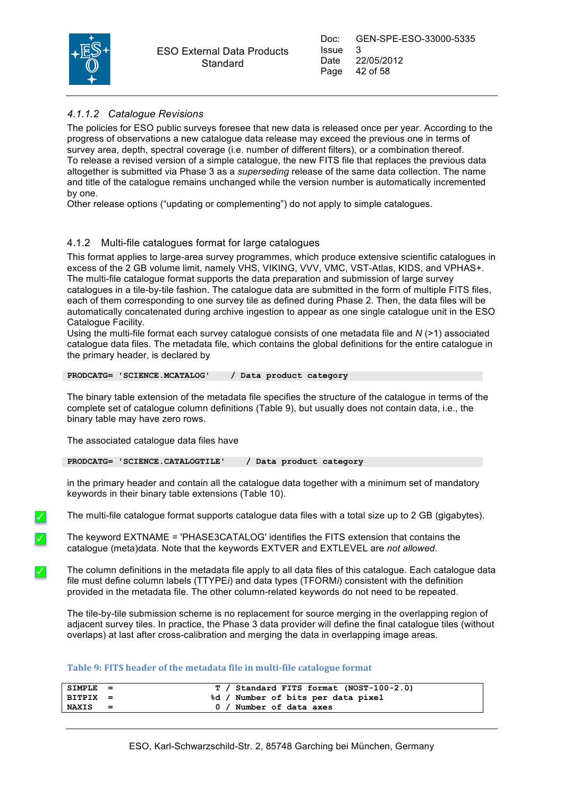

# *4.1.1.2 Catalogue Revisions*

The policies for ESO public surveys foresee that new data is released once per year. According to the progress of observations a new catalogue data release may exceed the previous one in terms of survey area, depth, spectral coverage (i.e. number of different filters), or a combination thereof. To release a revised version of a simple catalogue, the new FITS file that replaces the previous data altogether is submitted via Phase 3 as a *superseding* release of the same data collection. The name and title of the catalogue remains unchanged while the version number is automatically incremented by one.

Other release options ("updating or complementing") do not apply to simple catalogues.

# 4.1.2 Multi-file catalogues format for large catalogues

This format applies to large-area survey programmes, which produce extensive scientific catalogues in excess of the 2 GB volume limit, namely VHS, VIKING, VVV, VMC, VST-Atlas, KIDS, and VPHAS+. The multi-file catalogue format supports the data preparation and submission of large survey catalogues in a tile-by-tile fashion. The catalogue data are submitted in the form of multiple FITS files, each of them corresponding to one survey tile as defined during Phase 2. Then, the data files will be automatically concatenated during archive ingestion to appear as one single catalogue unit in the ESO Catalogue Facility.

Using the multi-file format each survey catalogue consists of one metadata file and *N* (>1) associated catalogue data files. The metadata file, which contains the global definitions for the entire catalogue in the primary header, is declared by

**PRODCATG= 'SCIENCE.MCATALOG' / Data product category** 

The binary table extension of the metadata file specifies the structure of the catalogue in terms of the complete set of catalogue column definitions (Table 9), but usually does not contain data, i.e., the binary table may have zero rows.

The associated catalogue data files have

✓

✓

✓

```
PRODCATG= 'SCIENCE.CATALOGTILE' / Data product category
```
in the primary header and contain all the catalogue data together with a minimum set of mandatory keywords in their binary table extensions (Table 10).

The multi-file catalogue format supports catalogue data files with a total size up to 2 GB (gigabytes).

The keyword EXTNAME = 'PHASE3CATALOG' identifies the FITS extension that contains the catalogue (meta)data. Note that the keywords EXTVER and EXTLEVEL are *not allowed*.

The column definitions in the metadata file apply to all data files of this catalogue. Each catalogue data file must define column labels (TTYPE*i*) and data types (TFORM*i*) consistent with the definition provided in the metadata file. The other column-related keywords do not need to be repeated.

The tile-by-tile submission scheme is no replacement for source merging in the overlapping region of adjacent survey tiles. In practice, the Phase 3 data provider will define the final catalogue tiles (without overlaps) at last after cross-calibration and merging the data in overlapping image areas.

## **Table 9: FITS header of the metadata file in multi-file catalogue format**

| $SIMPLE =$   |     | T / Standard FITS format (NOST-100-2.0) |
|--------------|-----|-----------------------------------------|
| $BITPIX =$   |     | %d / Number of bits per data pixel      |
| <b>NAXIS</b> | $=$ | 0 / Number of data axes                 |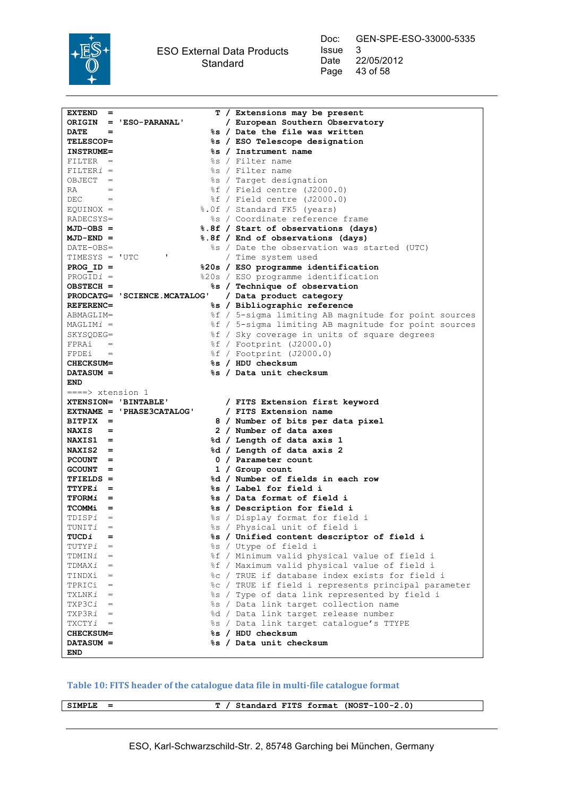

| <b>EXTEND</b><br>$=$                   |                              | T / Extensions may be present                                       |
|----------------------------------------|------------------------------|---------------------------------------------------------------------|
|                                        | ORIGIN = 'ESO-PARANAL'       | / European Southern Observatory                                     |
| <b>DATE</b><br>$=$                     |                              | %s / Date the file was written                                      |
| TELESCOP=                              |                              | %s / ESO Telescope designation                                      |
| <b>INSTRUME=</b>                       |                              | %s / Instrument name                                                |
| FILTER<br>$=$                          |                              | %s / Filter name                                                    |
| $FILTERI =$                            |                              | %s / Filter name                                                    |
| $OBJECT =$                             |                              | %s / Target designation                                             |
| RA.<br>$=$                             |                              | %f / Field centre (J2000.0)                                         |
| DEC.<br>$=$                            |                              | %f / Field centre (J2000.0)                                         |
| $EQUINOX =$                            |                              | %. Of / Standard FK5 (years)                                        |
| RADECSYS=                              |                              | %s / Coordinate reference frame                                     |
|                                        |                              | %.8f / Start of observations (days)                                 |
| $MJD-OBS =$                            |                              |                                                                     |
| $MJD-END =$                            |                              | %.8f / End of observations (days)                                   |
| DATE-OBS=                              |                              | %s / Date the observation was started (UTC)                         |
| TIMESYS = 'UTC                         |                              | / Time system used                                                  |
| PROG ID $=$                            |                              | %20s / ESO programme identification                                 |
| $PROGIDi =$                            |                              | %20s / ESO programme identification                                 |
| OBSTECH =                              |                              | %s / Technique of observation                                       |
|                                        | PRODCATG= 'SCIENCE.MCATALOG' | / Data product category                                             |
| <b>REFERENC=</b>                       |                              | %s / Bibliographic reference                                        |
| ABMAGLIM=                              |                              | %f / 5-sigma limiting AB magnitude for point sources                |
| $MAGLIMi =$                            |                              | %f / 5-sigma limiting AB magnitude for point sources                |
| SKYSQDEG=                              |                              | %f / Sky coverage in units of square degrees                        |
| FPRAi<br>$=$                           |                              | %f / Footprint (J2000.0)                                            |
| FPDEi<br>$\overline{a}$ =              |                              | %f / Footprint (J2000.0)                                            |
| <b>CHECKSUM=</b>                       |                              | %s / HDU checksum                                                   |
| DATASUM =                              |                              | %s / Data unit checksum                                             |
|                                        |                              |                                                                     |
|                                        |                              |                                                                     |
| END                                    |                              |                                                                     |
| $\Rightarrow$ $\Rightarrow$ xtension 1 |                              |                                                                     |
|                                        | XTENSION= 'BINTABLE'         | / FITS Extension first keyword                                      |
|                                        | EXTNAME = 'PHASE3CATALOG'    | / FITS Extension name                                               |
| $BITPIX =$                             |                              | 8 / Number of bits per data pixel                                   |
| $NAXIS =$                              |                              | 2 / Number of data axes                                             |
| $NAXIS1 =$                             |                              | %d / Length of data axis 1                                          |
| $NAXIS2 =$                             |                              | %d / Length of data axis 2                                          |
| $PCOUNT =$                             |                              | 0 / Parameter count                                                 |
| $GCOUNT =$                             |                              | 1 / Group count                                                     |
| $TFIELDS =$                            |                              | %d / Number of fields in each row                                   |
| $TTYPEi =$                             |                              | %s / Label for field i                                              |
| TFORMi =                               |                              | %s / Data format of field i                                         |
| <b>TCOMMi =</b>                        |                              | %s / Description for field i                                        |
| TDISP <i>i</i> =                       |                              | %s / Display format for field i                                     |
| TUNIT <i>i</i><br>$=$                  |                              | %s / Physical unit of field i                                       |
| TUCDi<br>=                             |                              |                                                                     |
| TUTYPi<br>$=$                          |                              | %s / Unified content descriptor of field i<br>%s / Utype of field i |
| TDMIN <i>i</i> =                       |                              |                                                                     |
| $=$                                    |                              | %f / Minimum valid physical value of field i                        |
| TDMAXi                                 |                              | %f / Maximum valid physical value of field i                        |
| TINDXi<br>$=$                          |                              | %c / TRUE if database index exists for field i                      |
| $TPRICi =$                             |                              | %c / TRUE if field i represents principal parameter                 |
| TXLNK <i>i</i> =                       |                              | %s / Type of data link represented by field i                       |
| $TXP3C1 =$                             |                              | %s / Data link target collection name                               |
| $TXP3R1 =$                             |                              | %d / Data link target release number                                |
| TXCTYi =                               |                              | %s / Data link target catalogue's TTYPE                             |
| CHECKSUM=                              |                              | %s / HDU checksum                                                   |
| DATASUM =<br><b>END</b>                |                              | %s / Data unit checksum                                             |

## Table 10: FITS header of the catalogue data file in multi-file catalogue format

**SIMPLE = T / Standard FITS format (NOST-100-2.0)**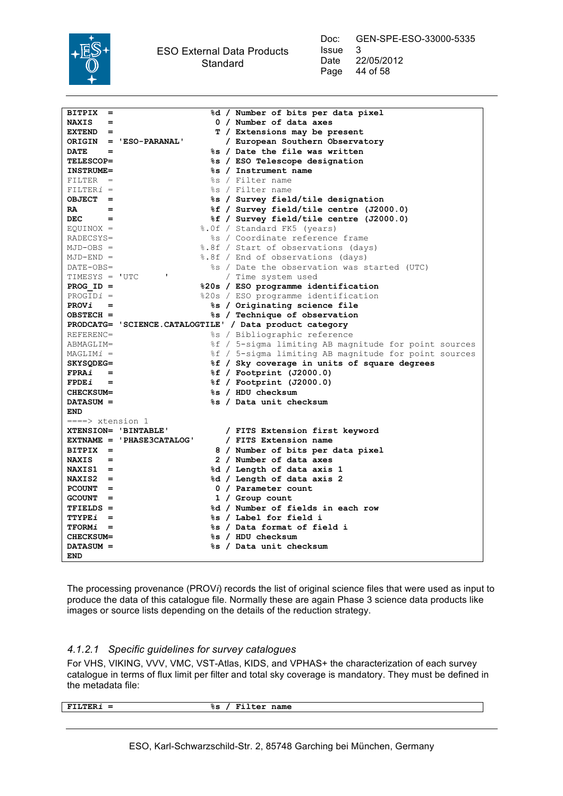

| <b>BITPIX</b><br>$=$             |                           |  | %d / Number of bits per data pixel                      |
|----------------------------------|---------------------------|--|---------------------------------------------------------|
| <b>NAXIS</b><br>$=$              |                           |  | 0 / Number of data axes                                 |
| $EXTEND =$                       |                           |  | T / Extensions may be present                           |
|                                  | ORIGIN = 'ESO-PARANAL'    |  | / European Southern Observatory                         |
| <b>DATE</b><br>$\qquad \qquad =$ |                           |  | %s / Date the file was written                          |
| <b>TELESCOP=</b>                 |                           |  | %s / ESO Telescope designation                          |
| <b>INSTRUME=</b>                 |                           |  | %s / Instrument name                                    |
| $FILTER =$                       |                           |  | %s / Filter name                                        |
| $FILTERI =$                      |                           |  | %s / Filter name                                        |
| <b>OBJECT</b><br>$=$             |                           |  | %s / Survey field/tile designation                      |
| RA.<br>$\equiv$                  |                           |  | %f / Survey field/tile centre (J2000.0)                 |
| DEC<br>$=$                       |                           |  | %f / Survey field/tile centre (J2000.0)                 |
| $EQUINOX =$                      |                           |  | %. Of / Standard FK5 (years)                            |
| RADECSYS=                        |                           |  | %s / Coordinate reference frame                         |
| $MJD-OBS =$                      |                           |  | %.8f / Start of observations (days)                     |
| $MJD-END =$                      |                           |  | %.8f / End of observations (days)                       |
| DATE-OBS=                        |                           |  | %s / Date the observation was started (UTC)             |
| TIMESYS = 'UTC                   |                           |  | / Time system used                                      |
| PROG ID $=$                      |                           |  | %20s / ESO programme identification                     |
| $PROGIDi =$                      |                           |  | %20s / ESO programme identification                     |
| PROVi<br>$=$                     |                           |  | %s / Originating science file                           |
| OBSTECH =                        |                           |  | %s / Technique of observation                           |
|                                  |                           |  | PRODCATG= 'SCIENCE.CATALOGTILE' / Data product category |
| REFERENC=                        |                           |  | %s / Bibliographic reference                            |
| ABMAGLIM=                        |                           |  | %f / 5-sigma limiting AB magnitude for point sources    |
| $MAGLIMi =$                      |                           |  | %f / 5-sigma limiting AB magnitude for point sources    |
| SKYSQDEG=                        |                           |  | %f / Sky coverage in units of square degrees            |
| FPRAi<br>$=$                     |                           |  | %f / Footprint (J2000.0)                                |
| FPDEi<br>$\qquad \qquad =$       |                           |  | %f / Footprint (J2000.0)                                |
| CHECKSUM=                        |                           |  | %s / HDU checksum                                       |
| DATASUM =                        |                           |  | %s / Data unit checksum                                 |
| <b>END</b>                       |                           |  |                                                         |
| ====> xtension 1                 |                           |  |                                                         |
|                                  | XTENSION= 'BINTABLE'      |  | / FITS Extension first keyword                          |
|                                  | EXTNAME = 'PHASE3CATALOG' |  | / FITS Extension name                                   |
| $BITPIX =$                       |                           |  | 8 / Number of bits per data pixel                       |
| $NAXIS =$                        |                           |  | 2 / Number of data axes                                 |
| $NAXIS1 =$                       |                           |  | %d / Length of data axis 1                              |
| $\texttt{NAXIS2} =$              |                           |  | %d / Length of data axis 2                              |
| $PCOUNT =$                       |                           |  | 0 / Parameter count                                     |
| GCOUNT =                         |                           |  | 1 / Group count                                         |
| TFIELDS =                        |                           |  | %d / Number of fields in each row                       |
| <b>TTYPEi</b><br>$=$             |                           |  | %s / Label for field i                                  |
| <b>TFORMi</b><br>$=$             |                           |  | %s / Data format of field i                             |
| CHECKSUM=                        |                           |  | %s / HDU checksum                                       |
| DATASUM =                        |                           |  | %s / Data unit checksum                                 |
| <b>END</b>                       |                           |  |                                                         |

The processing provenance (PROV*i*) records the list of original science files that were used as input to produce the data of this catalogue file. Normally these are again Phase 3 science data products like images or source lists depending on the details of the reduction strategy.

## *4.1.2.1 Specific guidelines for survey catalogues*

For VHS, VIKING, VVV, VMC, VST-Atlas, KIDS, and VPHAS+ the characterization of each survey catalogue in terms of flux limit per filter and total sky coverage is mandatory. They must be defined in the metadata file:

| FТ<br>= | name<br>.<br>*s<br>Filter |
|---------|---------------------------|
|         |                           |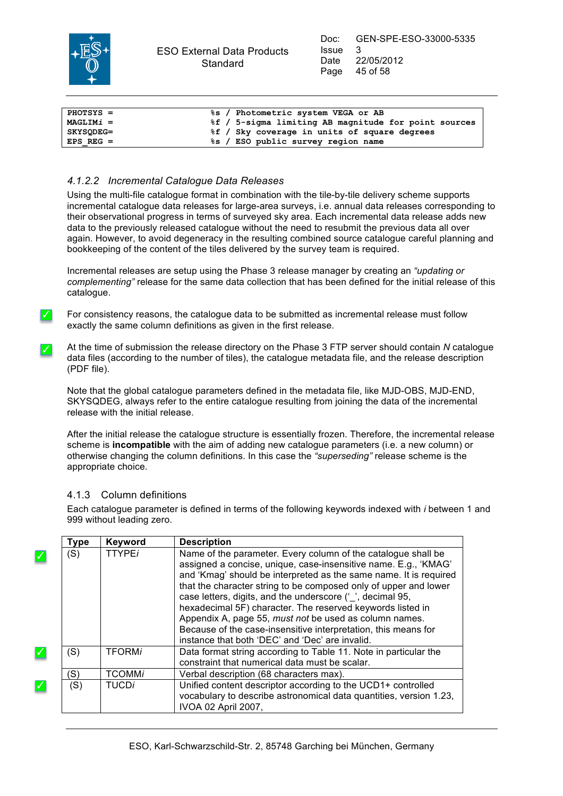

| $PHOTSYS =$       | %s / Photometric system VEGA or AB                   |
|-------------------|------------------------------------------------------|
| MAGLIM <i>i</i> = | %f / 5-sigma limiting AB magnitude for point sources |
| <b>SKYSODEG=</b>  | %f / Sky coverage in units of square degrees         |
| EPS REG $=$       | %s / ESO public survey region name                   |

# *4.1.2.2 Incremental Catalogue Data Releases*

Using the multi-file catalogue format in combination with the tile-by-tile delivery scheme supports incremental catalogue data releases for large-area surveys, i.e. annual data releases corresponding to their observational progress in terms of surveyed sky area. Each incremental data release adds new data to the previously released catalogue without the need to resubmit the previous data all over again. However, to avoid degeneracy in the resulting combined source catalogue careful planning and bookkeeping of the content of the tiles delivered by the survey team is required.

Incremental releases are setup using the Phase 3 release manager by creating an *"updating or complementing"* release for the same data collection that has been defined for the initial release of this catalogue.

- For consistency reasons, the catalogue data to be submitted as incremental release must follow exactly the same column definitions as given in the first release. ✓
- At the time of submission the release directory on the Phase 3 FTP server should contain *N* catalogue data files (according to the number of tiles), the catalogue metadata file, and the release description (PDF file). ✓

Note that the global catalogue parameters defined in the metadata file, like MJD-OBS, MJD-END, SKYSQDEG, always refer to the entire catalogue resulting from joining the data of the incremental release with the initial release.

After the initial release the catalogue structure is essentially frozen. Therefore, the incremental release scheme is **incompatible** with the aim of adding new catalogue parameters (i.e. a new column) or otherwise changing the column definitions. In this case the *"superseding"* release scheme is the appropriate choice.

# 4.1.3 Column definitions

✓

✓

✓

Each catalogue parameter is defined in terms of the following keywords indexed with *i* between 1 and 999 without leading zero.

| Type | Keyword       | <b>Description</b>                                                                                                                                                                                                                                                                                                                                                                                                                                                                                                                                                                   |
|------|---------------|--------------------------------------------------------------------------------------------------------------------------------------------------------------------------------------------------------------------------------------------------------------------------------------------------------------------------------------------------------------------------------------------------------------------------------------------------------------------------------------------------------------------------------------------------------------------------------------|
| (S)  | <b>TTYPEi</b> | Name of the parameter. Every column of the catalogue shall be<br>assigned a concise, unique, case-insensitive name. E.g., 'KMAG'<br>and 'Kmag' should be interpreted as the same name. It is required<br>that the character string to be composed only of upper and lower<br>case letters, digits, and the underscore (' ', decimal 95,<br>hexadecimal 5F) character. The reserved keywords listed in<br>Appendix A, page 55, must not be used as column names.<br>Because of the case-insensitive interpretation, this means for<br>instance that both 'DEC' and 'Dec' are invalid. |
| (S)  | <b>TFORMI</b> | Data format string according to Table 11. Note in particular the<br>constraint that numerical data must be scalar.                                                                                                                                                                                                                                                                                                                                                                                                                                                                   |
| (S)  | <b>TCOMMi</b> | Verbal description (68 characters max).                                                                                                                                                                                                                                                                                                                                                                                                                                                                                                                                              |
| (S)  | <b>TUCDI</b>  | Unified content descriptor according to the UCD1+ controlled<br>vocabulary to describe astronomical data quantities, version 1.23,<br>IVOA 02 April 2007,                                                                                                                                                                                                                                                                                                                                                                                                                            |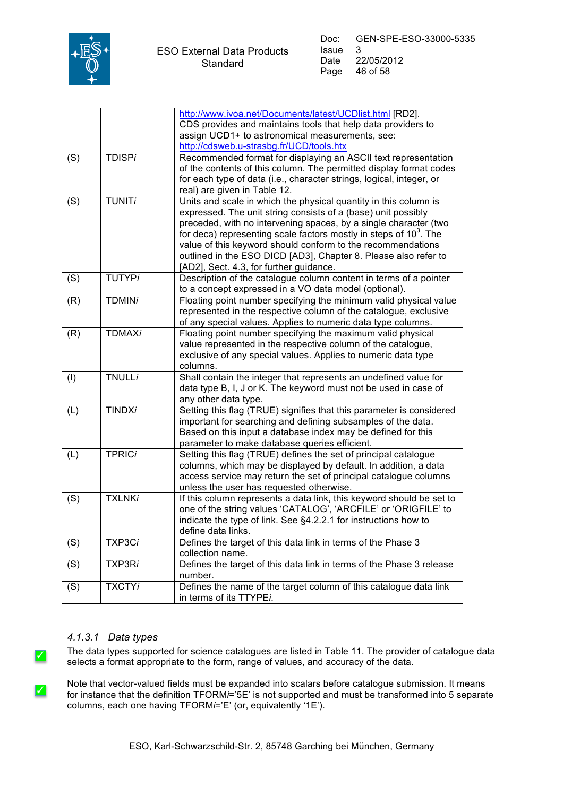

|     |               | http://www.ivoa.net/Documents/latest/UCDlist.html [RD2].                                                     |
|-----|---------------|--------------------------------------------------------------------------------------------------------------|
|     |               | CDS provides and maintains tools that help data providers to                                                 |
|     |               | assign UCD1+ to astronomical measurements, see:                                                              |
|     |               | http://cdsweb.u-strasbg.fr/UCD/tools.htx                                                                     |
| (S) | <b>TDISPi</b> | Recommended format for displaying an ASCII text representation                                               |
|     |               | of the contents of this column. The permitted display format codes                                           |
|     |               | for each type of data (i.e., character strings, logical, integer, or                                         |
|     |               | real) are given in Table 12.                                                                                 |
| (S) | <b>TUNITi</b> | Units and scale in which the physical quantity in this column is                                             |
|     |               | expressed. The unit string consists of a (base) unit possibly                                                |
|     |               | preceded, with no intervening spaces, by a single character (two                                             |
|     |               | for deca) representing scale factors mostly in steps of $103$ . The                                          |
|     |               | value of this keyword should conform to the recommendations                                                  |
|     |               | outlined in the ESO DICD [AD3], Chapter 8. Please also refer to                                              |
| (S) | <b>TUTYPi</b> | [AD2], Sect. 4.3, for further guidance.<br>Description of the catalogue column content in terms of a pointer |
|     |               | to a concept expressed in a VO data model (optional).                                                        |
| (R) | <b>TDMINi</b> | Floating point number specifying the minimum valid physical value                                            |
|     |               | represented in the respective column of the catalogue, exclusive                                             |
|     |               | of any special values. Applies to numeric data type columns.                                                 |
| (R) | <b>TDMAXi</b> | Floating point number specifying the maximum valid physical                                                  |
|     |               | value represented in the respective column of the catalogue,                                                 |
|     |               | exclusive of any special values. Applies to numeric data type                                                |
|     |               | columns.                                                                                                     |
| (1) | <b>TNULLi</b> | Shall contain the integer that represents an undefined value for                                             |
|     |               | data type B, I, J or K. The keyword must not be used in case of                                              |
|     |               | any other data type.                                                                                         |
| (L) | <b>TINDXi</b> | Setting this flag (TRUE) signifies that this parameter is considered                                         |
|     |               | important for searching and defining subsamples of the data.                                                 |
|     |               | Based on this input a database index may be defined for this                                                 |
|     |               | parameter to make database queries efficient.                                                                |
| (L) | <b>TPRICi</b> | Setting this flag (TRUE) defines the set of principal catalogue                                              |
|     |               | columns, which may be displayed by default. In addition, a data                                              |
|     |               | access service may return the set of principal catalogue columns                                             |
|     |               | unless the user has requested otherwise.                                                                     |
| (S) | <b>TXLNKi</b> | If this column represents a data link, this keyword should be set to                                         |
|     |               | one of the string values 'CATALOG', 'ARCFILE' or 'ORIGFILE' to                                               |
|     |               | indicate the type of link. See §4.2.2.1 for instructions how to                                              |
|     |               | define data links.                                                                                           |
| (S) | TXP3Ci        | Defines the target of this data link in terms of the Phase 3                                                 |
|     |               | collection name.                                                                                             |
| (S) | TXP3Ri        | Defines the target of this data link in terms of the Phase 3 release                                         |
|     |               | number.                                                                                                      |
| (S) | <b>TXCTYi</b> | Defines the name of the target column of this catalogue data link                                            |
|     |               | in terms of its TTYPEi.                                                                                      |

# *4.1.3.1 Data types*

✓

✓

The data types supported for science catalogues are listed in Table 11. The provider of catalogue data selects a format appropriate to the form, range of values, and accuracy of the data.

Note that vector-valued fields must be expanded into scalars before catalogue submission. It means for instance that the definition TFORM*i*='5E' is not supported and must be transformed into 5 separate columns, each one having TFORM*i*='E' (or, equivalently '1E').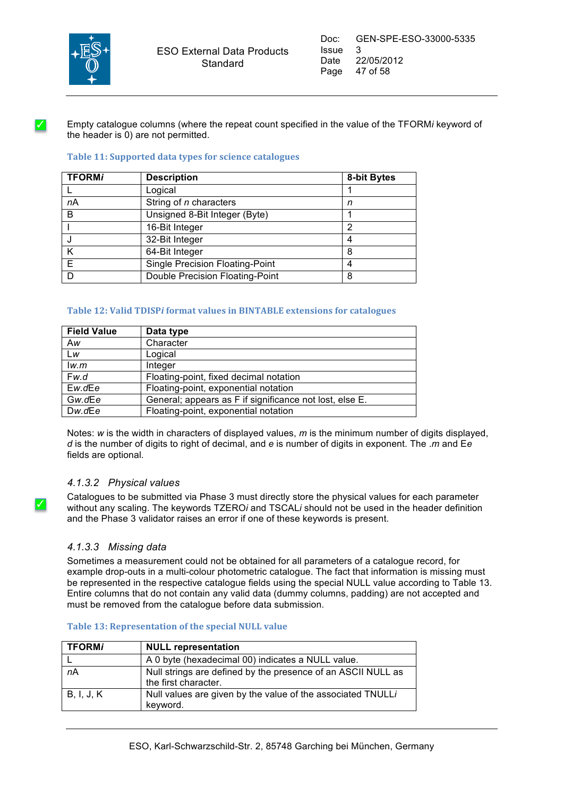

✓

Empty catalogue columns (where the repeat count specified in the value of the TFORM*i* keyword of the header is 0) are not permitted.

## **Table 11: Supported data types for science catalogues**

| <b>TFORMi</b> | <b>Description</b>                     | 8-bit Bytes |
|---------------|----------------------------------------|-------------|
|               | Logical                                |             |
| nA            | String of <i>n</i> characters          | n           |
| B             | Unsigned 8-Bit Integer (Byte)          |             |
|               | 16-Bit Integer                         | າ           |
|               | 32-Bit Integer                         | 4           |
|               | 64-Bit Integer                         | 8           |
| F             | <b>Single Precision Floating-Point</b> | 4           |
| D             | Double Precision Floating-Point        | 8           |

#### **Table 12: Valid TDISP***i* **format values in BINTABLE extensions for catalogues**

| <b>Field Value</b> | Data type                                               |
|--------------------|---------------------------------------------------------|
| Aw                 | Character                                               |
| Lw                 | Logical                                                 |
| lw.m               | Integer                                                 |
| Fw.d               | Floating-point, fixed decimal notation                  |
| Ew.dEe             | Floating-point, exponential notation                    |
| Gw.dEe             | General; appears as F if significance not lost, else E. |
| Dw.dEe             | Floating-point, exponential notation                    |

Notes: *w* is the width in characters of displayed values, *m* is the minimum number of digits displayed, *d* is the number of digits to right of decimal, and *e* is number of digits in exponent. The .*m* and E*e*  fields are optional.

## *4.1.3.2 Physical values*

Catalogues to be submitted via Phase 3 must directly store the physical values for each parameter without any scaling. The keywords TZERO*i* and TSCAL*i* should not be used in the header definition and the Phase 3 validator raises an error if one of these keywords is present.

# *4.1.3.3 Missing data*

✓

Sometimes a measurement could not be obtained for all parameters of a catalogue record, for example drop-outs in a multi-colour photometric catalogue. The fact that information is missing must be represented in the respective catalogue fields using the special NULL value according to Table 13. Entire columns that do not contain any valid data (dummy columns, padding) are not accepted and must be removed from the catalogue before data submission.

# **TFORM***i* **NULL representation** L A 0 byte (hexadecimal 00) indicates a NULL value. *n*A  $\blacksquare$  Null strings are defined by the presence of an ASCII NULL as the first character. B, I, J, K Null values are given by the value of the associated TNULL*i* keyword.

#### **Table 13: Representation of the special NULL value**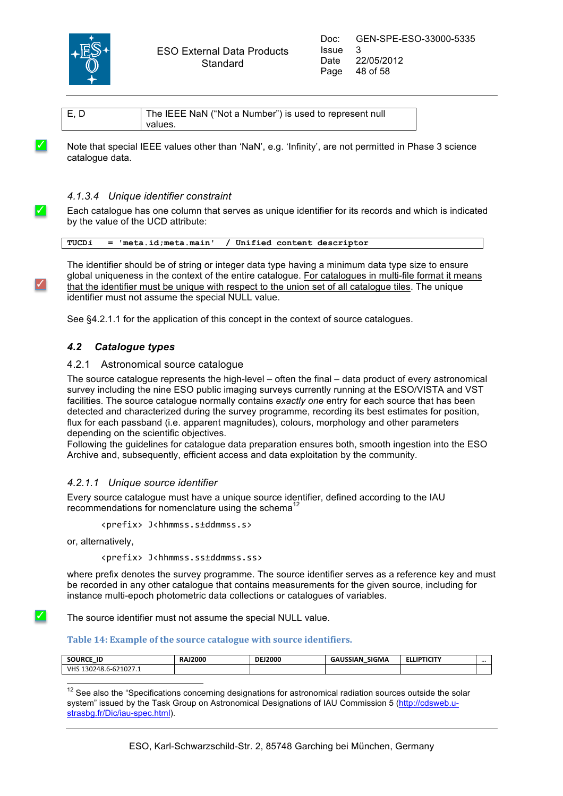

✓

✓

✓

| E, D | The IEEE NaN ("Not a Number") is used to represent null |
|------|---------------------------------------------------------|
|      | values.                                                 |

Note that special IEEE values other than 'NaN', e.g. 'Infinity', are not permitted in Phase 3 science catalogue data.

# *4.1.3.4 Unique identifier constraint*

Each catalogue has one column that serves as unique identifier for its records and which is indicated by the value of the UCD attribute:

**TUCD***i* **= 'meta.id;meta.main' / Unified content descriptor**

The identifier should be of string or integer data type having a minimum data type size to ensure global uniqueness in the context of the entire catalogue. For catalogues in multi-file format it means that the identifier must be unique with respect to the union set of all catalogue tiles. The unique identifier must not assume the special NULL value.

See §4.2.1.1 for the application of this concept in the context of source catalogues.

# *4.2 Catalogue types*

#### 4.2.1 Astronomical source catalogue

The source catalogue represents the high-level – often the final – data product of every astronomical survey including the nine ESO public imaging surveys currently running at the ESO/VISTA and VST facilities. The source catalogue normally contains *exactly one* entry for each source that has been detected and characterized during the survey programme, recording its best estimates for position, flux for each passband (i.e. apparent magnitudes), colours, morphology and other parameters depending on the scientific objectives.

Following the guidelines for catalogue data preparation ensures both, smooth ingestion into the ESO Archive and, subsequently, efficient access and data exploitation by the community.

#### *4.2.1.1 Unique source identifier*

Every source catalogue must have a unique source identifier, defined according to the IAU recommendations for nomenclature using the schema<sup>12</sup>

<prefix> J<hhmmss.s±ddmmss.s>

or, alternatively,

✓

<prefix> J<hhmmss.ss±ddmmss.ss>

where prefix denotes the survey programme. The source identifier serves as a reference key and must be recorded in any other catalogue that contains measurements for the given source, including for instance multi-epoch photometric data collections or catalogues of variables.

The source identifier must not assume the special NULL value.

#### Table 14: Example of the source catalogue with source identifiers.

| SOURCF<br>. .<br>ιu<br>-                           | \J2000<br>RΔ | <b>DEJ2000</b> | <b>SIGMA</b><br><b>USSIAN</b><br>GΑ | <b>TICITY</b><br><b>ELLIP</b> | $\cdots$ |
|----------------------------------------------------|--------------|----------------|-------------------------------------|-------------------------------|----------|
| 1027<br>$-2$<br>$\sim$<br><b>VHS</b><br>130248.6-1 |              |                |                                     |                               |          |

<sup>&</sup>lt;sup>12</sup> See also the "Specifications concerning designations for astronomical radiation sources outside the solar system" issued by the Task Group on Astronomical Designations of IAU Commission 5 (http://cdsweb.ustrasbg.fr/Dic/iau-spec.html).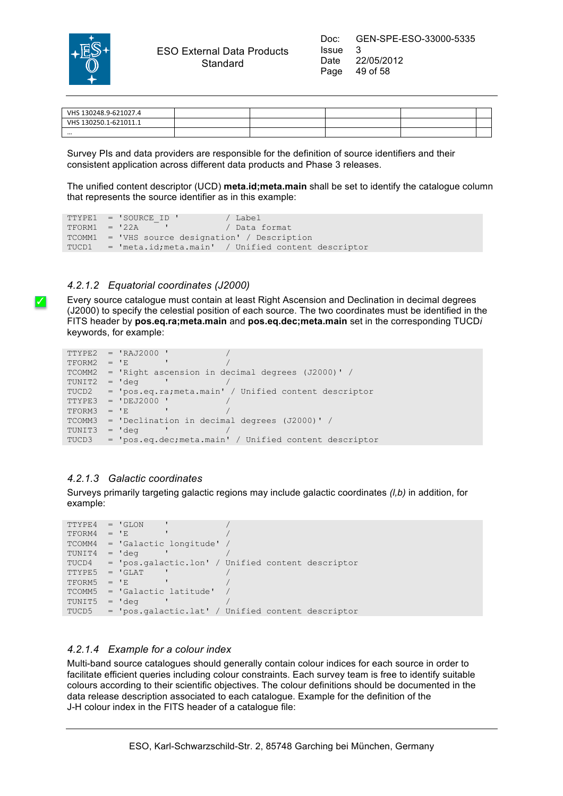

| VHS 130248.9-621027.4 |  |  |  |
|-----------------------|--|--|--|
| VHS 130250.1-621011.1 |  |  |  |
| $\cdots$              |  |  |  |

Survey PIs and data providers are responsible for the definition of source identifiers and their consistent application across different data products and Phase 3 releases.

The unified content descriptor (UCD) **meta.id;meta.main** shall be set to identify the catalogue column that represents the source identifier as in this example:

```
TTYPE1 = 'SOURCE_ID ' / Label
TFORM1 = '22A ' / Data format
TCOMM1 = 'VHS source designation' / Description
TUCD1 = 'meta.id;meta.main' / Unified content descriptor
```
# *4.2.1.2 Equatorial coordinates (J2000)*

Every source catalogue must contain at least Right Ascension and Declination in decimal degrees (J2000) to specify the celestial position of each source. The two coordinates must be identified in the FITS header by **pos.eq.ra;meta.main** and **pos.eq.dec;meta.main** set in the corresponding TUCD*i* keywords, for example:

```
\begin{tabular}{lllll} \multicolumn{1}{l} \texttt{TTYPE2} & = & 'RAJ2000 \quad ' \\ \texttt{TFORM2} & = & 'E & & ' \\ \end{tabular}\begin{array}{ccc} \text{TPORM2} & = & \text{'} \text{E} & \text{'} & \text{'} \\ \end{array}TCOMM2 = 'Right ascension in decimal degrees (J2000)' /
TUNIT2 = 'deg ' /
TUCD2 = 'pos.eq.ra;meta.main' / Unified content descriptor
TTYPE3 = 'DEJ2000 ' /
TFORM3 = 'ETCOMM3 = 'Declination in decimal degrees (J2000)' /
TUNIT3 = 'deg ' /
TUCD3 = 'pos.eq.dec;meta.main' / Unified content descriptor
```
# *4.2.1.3 Galactic coordinates*

Surveys primarily targeting galactic regions may include galactic coordinates *(l,b)* in addition, for example:

```
T<sup>T</sup>TYPF4 = ' GI.ON 'TFORM4 = 'ETCOMM4 = 'Galactic longitude' /
TUNIT4 = 'degTUCD4 = 'pos.galactic.lon' / Unified content descriptor
TTYPE5 = 'GLAT ' /
TFORM5 = 'ETCOMM5 = 'Galactic latitude' /
TUNIT5 = 'deg'TUCD5 = 'pos.galactic.lat' / Unified content descriptor
```
# *4.2.1.4 Example for a colour index*

Multi-band source catalogues should generally contain colour indices for each source in order to facilitate efficient queries including colour constraints. Each survey team is free to identify suitable colours according to their scientific objectives. The colour definitions should be documented in the data release description associated to each catalogue. Example for the definition of the J-H colour index in the FITS header of a catalogue file:

✓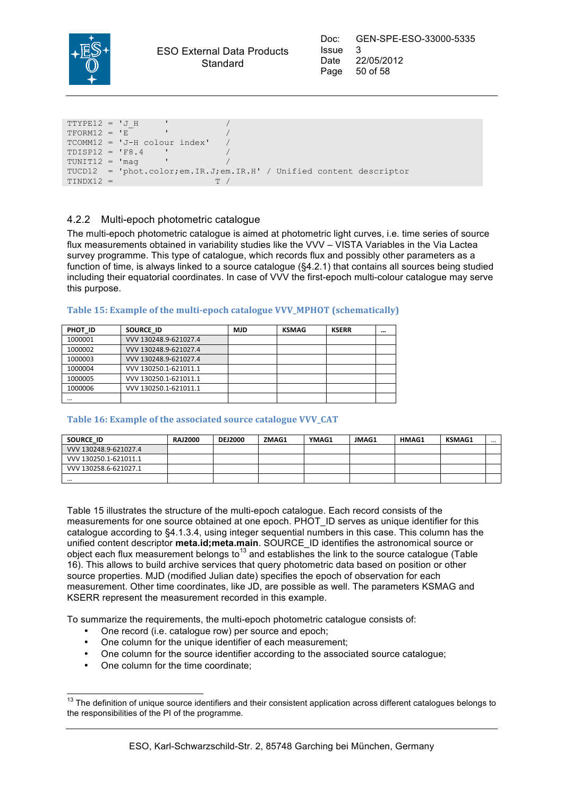

Doc: Issue Date Page GEN-SPE-ESO-33000-5335 3 22/05/2012 50 of 58

```
TTYPE12 = 'J_H '
TFORM12 = 'E 'TCOMM12 = 'J-H colour index' /
TDISP12 = 'F8.4'TUNIT12 = 'magTUCD12 = 'phot.color;em.IR.J;em.IR.H' / Unified content descriptor
\texttt{TINDX12} = T /
```
# 4.2.2 Multi-epoch photometric catalogue

The multi-epoch photometric catalogue is aimed at photometric light curves, i.e. time series of source flux measurements obtained in variability studies like the VVV – VISTA Variables in the Via Lactea survey programme. This type of catalogue, which records flux and possibly other parameters as a function of time, is always linked to a source catalogue (§4.2.1) that contains all sources being studied including their equatorial coordinates. In case of VVV the first-epoch multi-colour catalogue may serve this purpose.

## **Table 15: Example of the multi-epoch catalogue VVV\_MPHOT (schematically)**

| PHOT ID | SOURCE ID             | <b>MJD</b> | <b>KSMAG</b> | <b>KSERR</b> | $\cdots$ |
|---------|-----------------------|------------|--------------|--------------|----------|
| 1000001 | VVV 130248.9-621027.4 |            |              |              |          |
| 1000002 | VVV 130248.9-621027.4 |            |              |              |          |
| 1000003 | VVV 130248.9-621027.4 |            |              |              |          |
| 1000004 | VVV 130250.1-621011.1 |            |              |              |          |
| 1000005 | VVV 130250.1-621011.1 |            |              |              |          |
| 1000006 | VVV 130250.1-621011.1 |            |              |              |          |
|         |                       |            |              |              |          |

#### Table 16: Example of the associated source catalogue VVV\_CAT

| SOURCE ID             | <b>RAJ2000</b> | <b>DEJ2000</b> | ZMAG1 | YMAG1 | JMAG1 | <b>HMAG1</b> | <b>KSMAG1</b> | $\cdots$ |
|-----------------------|----------------|----------------|-------|-------|-------|--------------|---------------|----------|
| VVV 130248.9-621027.4 |                |                |       |       |       |              |               |          |
| VVV 130250.1-621011.1 |                |                |       |       |       |              |               |          |
| VVV 130258.6-621027.1 |                |                |       |       |       |              |               |          |
| $\cdots$              |                |                |       |       |       |              |               |          |

Table 15 illustrates the structure of the multi-epoch catalogue. Each record consists of the measurements for one source obtained at one epoch. PHOT\_ID serves as unique identifier for this catalogue according to §4.1.3.4, using integer sequential numbers in this case. This column has the unified content descriptor **meta.id;meta.main**. SOURCE\_ID identifies the astronomical source or object each flux measurement belongs to<sup>13</sup> and establishes the link to the source catalogue (Table 16). This allows to build archive services that query photometric data based on position or other source properties. MJD (modified Julian date) specifies the epoch of observation for each measurement. Other time coordinates, like JD, are possible as well. The parameters KSMAG and KSERR represent the measurement recorded in this example.

To summarize the requirements, the multi-epoch photometric catalogue consists of:

- One record (i.e. catalogue row) per source and epoch;
- One column for the unique identifier of each measurement;
- One column for the source identifier according to the associated source catalogue;
- One column for the time coordinate;

 $13$  The definition of unique source identifiers and their consistent application across different catalogues belongs to the responsibilities of the PI of the programme.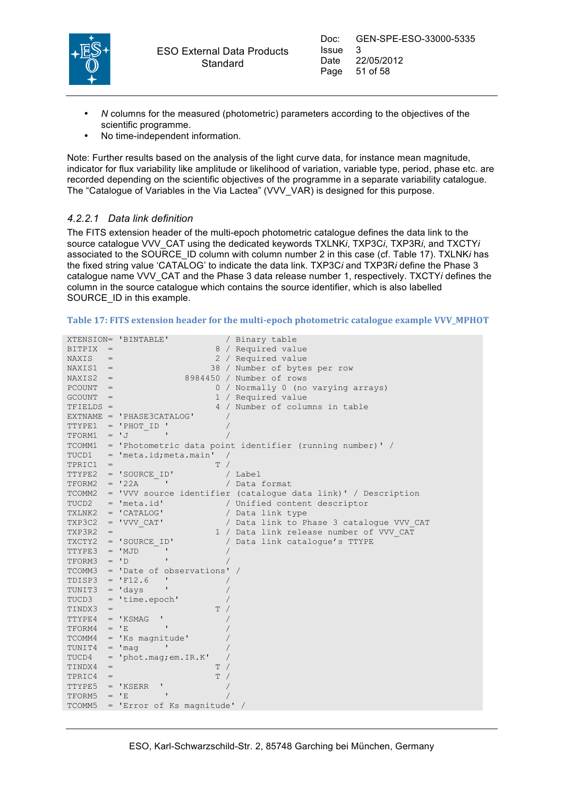

- *N* columns for the measured (photometric) parameters according to the objectives of the scientific programme.
- No time-independent information.

Note: Further results based on the analysis of the light curve data, for instance mean magnitude, indicator for flux variability like amplitude or likelihood of variation, variable type, period, phase etc. are recorded depending on the scientific objectives of the programme in a separate variability catalogue. The "Catalogue of Variables in the Via Lactea" (VVV\_VAR) is designed for this purpose.

# *4.2.2.1 Data link definition*

The FITS extension header of the multi-epoch photometric catalogue defines the data link to the source catalogue VVV\_CAT using the dedicated keywords TXLNK*i*, TXP3C*i*, TXP3R*i*, and TXCTY*i* associated to the SOURCE\_ID column with column number 2 in this case (cf. Table 17). TXLNK*i* has the fixed string value 'CATALOG' to indicate the data link. TXP3C*i* and TXP3R*i* define the Phase 3 catalogue name VVV\_CAT and the Phase 3 data release number 1, respectively. TXCTY*i* defines the column in the source catalogue which contains the source identifier, which is also labelled SOURCE ID in this example.

#### Table 17: FITS extension header for the multi-epoch photometric catalogue example VVV\_MPHOT

|                   |                                     | / Binary table<br>XTENSION= 'BINTABLE'                          |
|-------------------|-------------------------------------|-----------------------------------------------------------------|
| BITPIX            | $\hspace*{0.4em} = \hspace*{0.4em}$ | 8 / Required value                                              |
| NAXIS             | $\hspace*{0.4em} = \hspace*{0.4em}$ | 2 / Required value                                              |
| NAXIS1            | $=$                                 | 38 / Number of bytes per row                                    |
| NAXIS2            | $\hspace{1.6cm} = \hspace{1.6cm}$   | 8984450 / Number of rows                                        |
| $PCOUNT =$        |                                     | 0 / Normally 0 (no varying arrays)                              |
| <b>GCOUNT</b>     | $=$                                 | 1 / Required value                                              |
| TFIELDS =         |                                     | 4 / Number of columns in table                                  |
|                   |                                     | EXTNAME = 'PHASE3CATALOG'                                       |
| TTYPE1            |                                     | $= 'PHOT ID'$                                                   |
| $TFORM1 = 'J$     |                                     |                                                                 |
|                   |                                     | TCOMM1 = 'Photometric data point identifier (running number)' / |
| TUCD1             |                                     | $= 'meta.id; meta.maxi'$ /                                      |
| TPRIC1            | $=$                                 | T /                                                             |
|                   |                                     | TTYPE2 = 'SOURCE ID'<br>/ Label                                 |
| $TFORM2 = '22A$   |                                     | $\mathcal{A}$<br>/ Data format                                  |
| TCOMM2            |                                     | = 'VVV source identifier (catalogue data link)' / Description   |
| TUCD2             |                                     | / Unified content descriptor<br>$= 'meta.id'$                   |
| TXLNK2            |                                     | $= 'CATALOG'$<br>/ Data link type                               |
| TXP3C2            |                                     | $= 'VVV CAT'$<br>/ Data link to Phase 3 catalogue VVV CAT       |
| TXP3R2            | $=$                                 | 1 / Data link release number of VVV CAT                         |
|                   |                                     | / Data link cataloque's TTYPE<br>TXCTY2 = 'SOURCE ID'           |
| TTYPE3            |                                     | $= 'MJD$                                                        |
| $TFORM3 = 'D$     |                                     |                                                                 |
|                   |                                     | TCOMM3 = 'Date of observations' /                               |
| $TDISP3 = 'F12.6$ |                                     |                                                                 |
| TUNIT3            |                                     | $= 'days$                                                       |
| TUCD3             |                                     | $=$ 'time.epoch'                                                |
| TINDX3            | $=$                                 | T /                                                             |
| TTYPE4            |                                     | $=$ 'KSMAG                                                      |
| TFORM4            |                                     | $=$ 'E                                                          |
| TCOMM4            |                                     | = 'Ks magnitude'                                                |
| TUNIT4            |                                     | $=$ 'mag                                                        |
| TUCD4             |                                     | $=$ 'phot.maq;em.IR.K'                                          |
| TINDX4            | $\hspace{1.6cm} = \hspace{1.6cm}$   | T /                                                             |
| TPRIC4            | $=$                                 | T.                                                              |
| $TTYPE5 = 'KSER$  |                                     |                                                                 |
| $TFORM5 = 'E$     |                                     |                                                                 |
| TCOMM5            |                                     | = 'Error of Ks magnitude'                                       |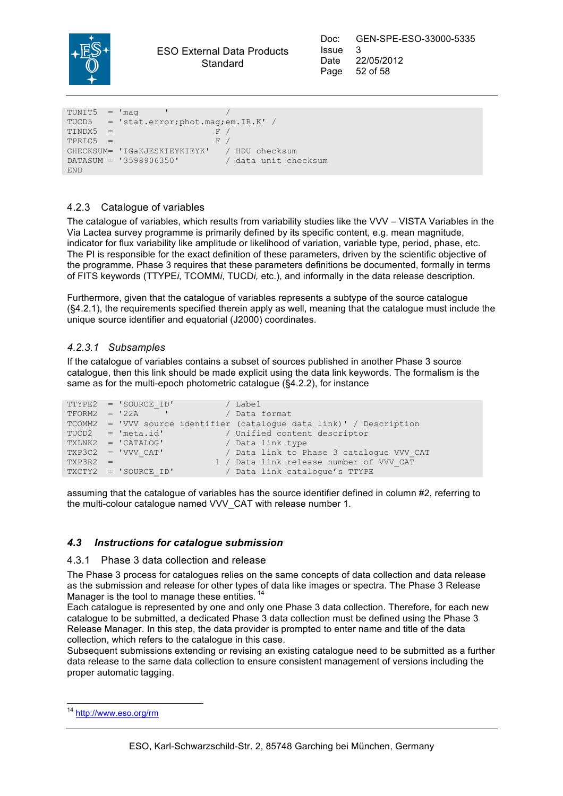

Doc: Issue Date Page GEN-SPE-ESO-33000-5335 3 22/05/2012 52 of 58

```
TUNIT5 = 'mag ' /
TUCD5 = 'stat.error;phot.mag;em.IR.K' /
\texttt{TINDX5} = F /
TPRIC5 = F / FCHECKSUM= 'IGaKJESKIEYKIEYK' / HDU checksum
DATASUM = '3598906350' / data unit checksum
END
```
# 4.2.3 Catalogue of variables

The catalogue of variables, which results from variability studies like the VVV – VISTA Variables in the Via Lactea survey programme is primarily defined by its specific content, e.g. mean magnitude, indicator for flux variability like amplitude or likelihood of variation, variable type, period, phase, etc. The PI is responsible for the exact definition of these parameters, driven by the scientific objective of the programme. Phase 3 requires that these parameters definitions be documented, formally in terms of FITS keywords (TTYPE*i*, TCOMM*i*, TUCD*i,* etc.), and informally in the data release description.

Furthermore, given that the catalogue of variables represents a subtype of the source catalogue (§4.2.1), the requirements specified therein apply as well, meaning that the catalogue must include the unique source identifier and equatorial (J2000) coordinates.

# *4.2.3.1 Subsamples*

If the catalogue of variables contains a subset of sources published in another Phase 3 source catalogue, then this link should be made explicit using the data link keywords. The formalism is the same as for the multi-epoch photometric catalogue (§4.2.2), for instance

```
TTYPE2 = 'SOURCEID' / Label<br>TFORM2 = '222 / Data
TFORM2 = '22A ' / Data format
TCOMM2 = 'VVV source identifier (catalogue data link)' / Description
TUCD2 = 'meta.id' / Unified content descriptor
TXLNK2 = 'CATALOG' / Data link type
TXP3C2 = 'VVV_CAT' / Data link to Phase 3 catalogue VVV_CAT
TXP3R2 = 1 / Data link release number of VVV_CAT
TXCTY2 = 'SOURCE_ID' / Data link catalogue's TTYPE
```
assuming that the catalogue of variables has the source identifier defined in column #2, referring to the multi-colour catalogue named VVV\_CAT with release number 1.

## *4.3 Instructions for catalogue submission*

#### 4.3.1 Phase 3 data collection and release

The Phase 3 process for catalogues relies on the same concepts of data collection and data release as the submission and release for other types of data like images or spectra. The Phase 3 Release Manager is the tool to manage these entities.

Each catalogue is represented by one and only one Phase 3 data collection. Therefore, for each new catalogue to be submitted, a dedicated Phase 3 data collection must be defined using the Phase 3 Release Manager. In this step, the data provider is prompted to enter name and title of the data collection, which refers to the catalogue in this case.

Subsequent submissions extending or revising an existing catalogue need to be submitted as a further data release to the same data collection to ensure consistent management of versions including the proper automatic tagging.

<sup>14</sup> http://www.eso.org/rm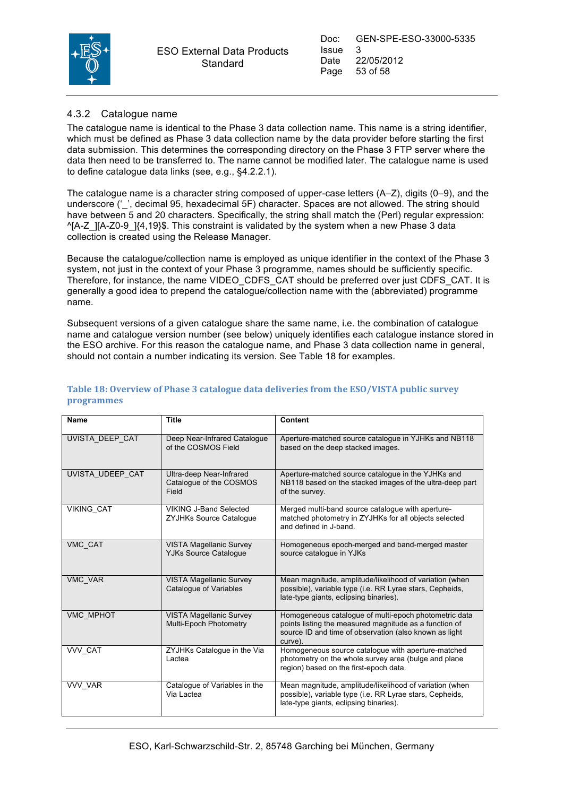

# 4.3.2 Catalogue name

The catalogue name is identical to the Phase 3 data collection name. This name is a string identifier, which must be defined as Phase 3 data collection name by the data provider before starting the first data submission. This determines the corresponding directory on the Phase 3 FTP server where the data then need to be transferred to. The name cannot be modified later. The catalogue name is used to define catalogue data links (see, e.g., §4.2.2.1).

The catalogue name is a character string composed of upper-case letters (A–Z), digits (0–9), and the underscore (' ', decimal 95, hexadecimal 5F) character. Spaces are not allowed. The string should have between 5 and 20 characters. Specifically, the string shall match the (Perl) regular expression: ^[A-Z\_][A-Z0-9\_]{4,19}\$. This constraint is validated by the system when a new Phase 3 data collection is created using the Release Manager.

Because the catalogue/collection name is employed as unique identifier in the context of the Phase 3 system, not just in the context of your Phase 3 programme, names should be sufficiently specific. Therefore, for instance, the name VIDEO\_CDFS\_CAT should be preferred over just CDFS\_CAT. It is generally a good idea to prepend the catalogue/collection name with the (abbreviated) programme name.

Subsequent versions of a given catalogue share the same name, i.e. the combination of catalogue name and catalogue version number (see below) uniquely identifies each catalogue instance stored in the ESO archive. For this reason the catalogue name, and Phase 3 data collection name in general, should not contain a number indicating its version. See Table 18 for examples.

| <b>Name</b>       | <b>Title</b>                                                    | Content                                                                                                                                                                              |
|-------------------|-----------------------------------------------------------------|--------------------------------------------------------------------------------------------------------------------------------------------------------------------------------------|
| UVISTA DEEP CAT   | Deep Near-Infrared Cataloque<br>of the COSMOS Field             | Aperture-matched source catalogue in YJHKs and NB118<br>based on the deep stacked images.                                                                                            |
| UVISTA UDEEP CAT  | Ultra-deep Near-Infrared<br>Catalogue of the COSMOS<br>Field    | Aperture-matched source catalogue in the YJHKs and<br>NB118 based on the stacked images of the ultra-deep part<br>of the survey.                                                     |
| <b>VIKING CAT</b> | <b>VIKING J-Band Selected</b><br><b>ZYJHKs Source Cataloque</b> | Merged multi-band source catalogue with aperture-<br>matched photometry in ZYJHKs for all objects selected<br>and defined in J-band.                                                 |
| VMC_CAT           | <b>VISTA Magellanic Survey</b><br><b>YJKs Source Cataloque</b>  | Homogeneous epoch-merged and band-merged master<br>source catalogue in YJKs                                                                                                          |
| <b>VMC VAR</b>    | <b>VISTA Magellanic Survey</b><br>Catalogue of Variables        | Mean magnitude, amplitude/likelihood of variation (when<br>possible), variable type (i.e. RR Lyrae stars, Cepheids,<br>late-type giants, eclipsing binaries).                        |
| VMC MPHOT         | <b>VISTA Magellanic Survey</b><br>Multi-Epoch Photometry        | Homogeneous catalogue of multi-epoch photometric data<br>points listing the measured magnitude as a function of<br>source ID and time of observation (also known as light<br>curve). |
| <b>VVV CAT</b>    | ZYJHKs Catalogue in the Via<br>Lactea                           | Homogeneous source catalogue with aperture-matched<br>photometry on the whole survey area (bulge and plane<br>region) based on the first-epoch data.                                 |
| <b>VVV VAR</b>    | Catalogue of Variables in the<br>Via Lactea                     | Mean magnitude, amplitude/likelihood of variation (when<br>possible), variable type (i.e. RR Lyrae stars, Cepheids,<br>late-type giants, eclipsing binaries).                        |

# **Table 18: Overview of Phase 3 catalogue data deliveries from the ESO/VISTA public survey programmes**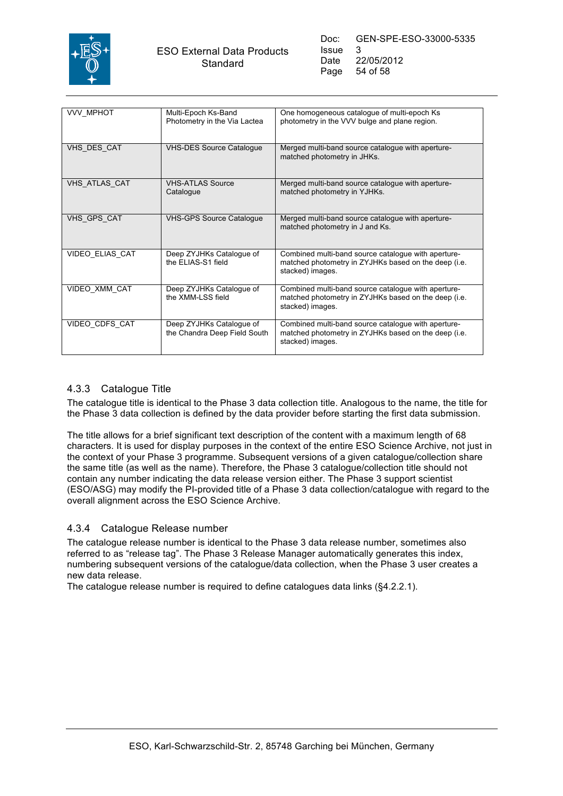

| <b>VVV MPHOT</b> | Multi-Epoch Ks-Band<br>Photometry in the Via Lactea      | One homogeneous catalogue of multi-epoch Ks<br>photometry in the VVV bulge and plane region.                                    |
|------------------|----------------------------------------------------------|---------------------------------------------------------------------------------------------------------------------------------|
| VHS DES CAT      | <b>VHS-DES Source Catalogue</b>                          | Merged multi-band source catalogue with aperture-<br>matched photometry in JHKs.                                                |
| VHS ATLAS CAT    | <b>VHS-ATLAS Source</b><br>Catalogue                     | Merged multi-band source catalogue with aperture-<br>matched photometry in YJHKs.                                               |
| VHS GPS CAT      | <b>VHS-GPS Source Catalogue</b>                          | Merged multi-band source catalogue with aperture-<br>matched photometry in J and Ks.                                            |
| VIDEO ELIAS CAT  | Deep ZYJHKs Catalogue of<br>the ELIAS-S1 field           | Combined multi-band source catalogue with aperture-<br>matched photometry in ZYJHKs based on the deep (i.e.<br>stacked) images. |
| VIDEO XMM CAT    | Deep ZYJHKs Catalogue of<br>the XMM-LSS field            | Combined multi-band source catalogue with aperture-<br>matched photometry in ZYJHKs based on the deep (i.e.<br>stacked) images. |
| VIDEO CDFS CAT   | Deep ZYJHKs Catalogue of<br>the Chandra Deep Field South | Combined multi-band source catalogue with aperture-<br>matched photometry in ZYJHKs based on the deep (i.e.<br>stacked) images. |

# 4.3.3 Catalogue Title

The catalogue title is identical to the Phase 3 data collection title. Analogous to the name, the title for the Phase 3 data collection is defined by the data provider before starting the first data submission.

The title allows for a brief significant text description of the content with a maximum length of 68 characters. It is used for display purposes in the context of the entire ESO Science Archive, not just in the context of your Phase 3 programme. Subsequent versions of a given catalogue/collection share the same title (as well as the name). Therefore, the Phase 3 catalogue/collection title should not contain any number indicating the data release version either. The Phase 3 support scientist (ESO/ASG) may modify the PI-provided title of a Phase 3 data collection/catalogue with regard to the overall alignment across the ESO Science Archive.

# 4.3.4 Catalogue Release number

The catalogue release number is identical to the Phase 3 data release number, sometimes also referred to as "release tag". The Phase 3 Release Manager automatically generates this index, numbering subsequent versions of the catalogue/data collection, when the Phase 3 user creates a new data release.

The catalogue release number is required to define catalogues data links (§4.2.2.1).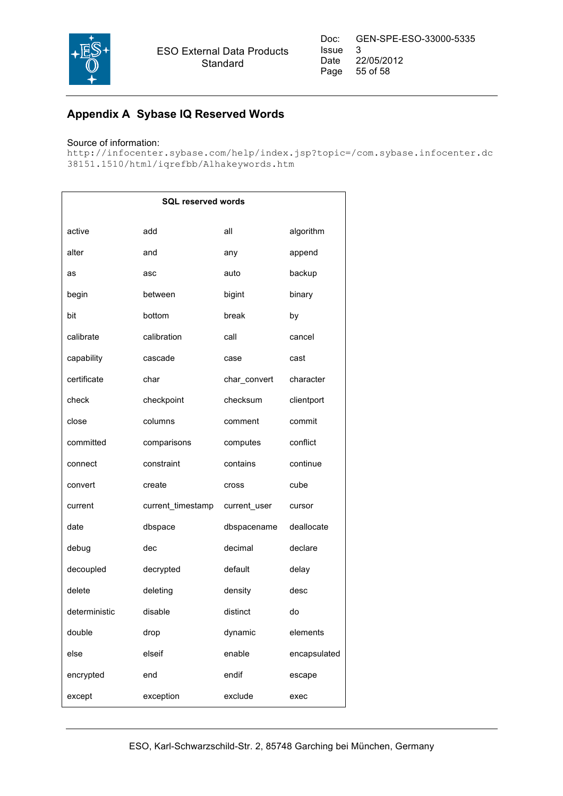

Doc: Issue Date Page GEN-SPE-ESO-33000-5335 3 22/05/2012 55 of 58

# **Appendix A Sybase IQ Reserved Words**

#### Source of information:

http://infocenter.sybase.com/help/index.jsp?topic=/com.sybase.infocenter.dc 38151.1510/html/iqrefbb/Alhakeywords.htm

| <b>SQL reserved words</b> |                   |              |              |  |  |  |
|---------------------------|-------------------|--------------|--------------|--|--|--|
| active                    | add               | all          | algorithm    |  |  |  |
| alter                     | and               | any          | append       |  |  |  |
| as                        | asc               | auto         | backup       |  |  |  |
| begin                     | between           | bigint       | binary       |  |  |  |
| bit                       | bottom            | break        | by           |  |  |  |
| calibrate                 | calibration       | call         | cancel       |  |  |  |
| capability                | cascade           | case         | cast         |  |  |  |
| certificate               | char              | char_convert | character    |  |  |  |
| check                     | checkpoint        | checksum     | clientport   |  |  |  |
| close                     | columns           | comment      | commit       |  |  |  |
| committed                 | comparisons       | computes     | conflict     |  |  |  |
| connect                   | constraint        | contains     | continue     |  |  |  |
| convert                   | create            | cross        | cube         |  |  |  |
| current                   | current_timestamp | current_user | cursor       |  |  |  |
| date                      | dbspace           | dbspacename  | deallocate   |  |  |  |
| debug                     | dec               | decimal      | declare      |  |  |  |
| decoupled                 | decrypted         | default      | delay        |  |  |  |
| delete                    | deleting          | density      | desc         |  |  |  |
| deterministic             | disable           | distinct     | do           |  |  |  |
| double                    | drop              | dynamic      | elements     |  |  |  |
| else                      | elseif            | enable       | encapsulated |  |  |  |
| encrypted                 | end               | endif        | escape       |  |  |  |
| except                    | exception         | exclude      | exec         |  |  |  |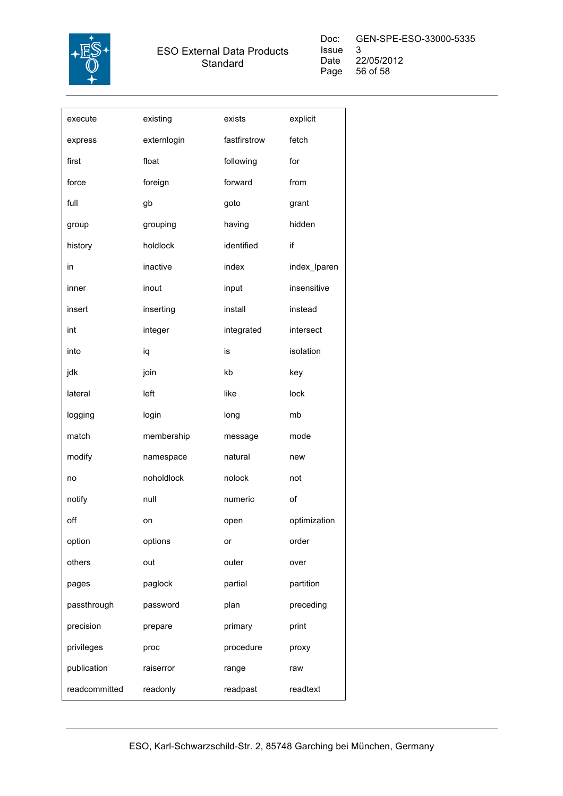

| execute       | existing    | exists       | explicit     |
|---------------|-------------|--------------|--------------|
| express       | externlogin | fastfirstrow | fetch        |
| first         | float       | following    | for          |
| force         | foreign     | forward      | from         |
| full          | gb          | goto         | grant        |
| group         | grouping    | having       | hidden       |
| history       | holdlock    | identified   | if           |
| in            | inactive    | index        | index_lparen |
| inner         | inout       | input        | insensitive  |
| insert        | inserting   | install      | instead      |
| int           | integer     | integrated   | intersect    |
| into          | iq          | is           | isolation    |
| jdk           | join        | kb           | key          |
| lateral       | left        | like         | lock         |
| logging       | login       | long         | mb           |
| match         | membership  | message      | mode         |
| modify        | namespace   | natural      | new          |
| no            | noholdlock  | nolock       | not          |
| notify        | null        | numeric      | of           |
| off           | on          | open         | optimization |
| option        | options     | or           | order        |
| others        | out         | outer        | over         |
| pages         | paglock     | partial      | partition    |
| passthrough   | password    | plan         | preceding    |
| precision     | prepare     | primary      | print        |
| privileges    | proc        | procedure    | proxy        |
| publication   | raiserror   | range        | raw          |
| readcommitted | readonly    | readpast     | readtext     |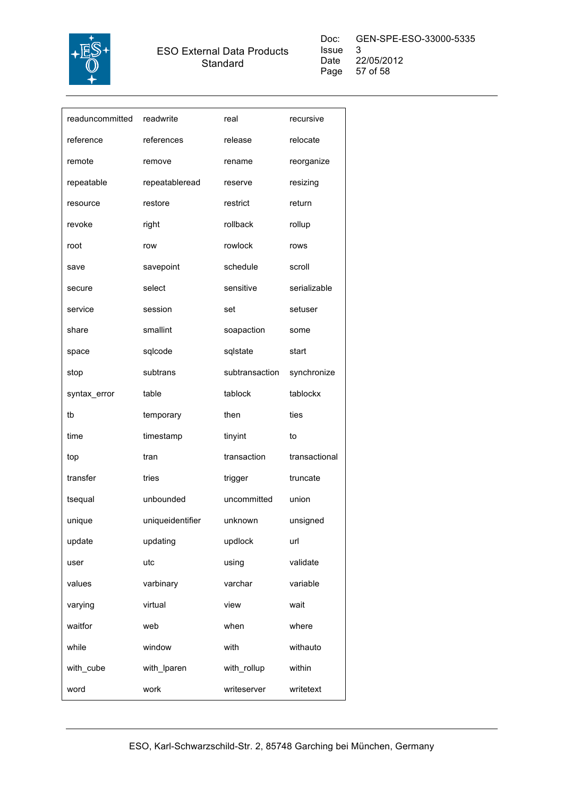

| readuncommitted | readwrite        | real           | recursive     |
|-----------------|------------------|----------------|---------------|
| reference       | references       | release        | relocate      |
| remote          | remove           | rename         | reorganize    |
| repeatable      | repeatableread   | reserve        | resizing      |
| resource        | restore          | restrict       | return        |
| revoke          | right            | rollback       | rollup        |
| root            | row              | rowlock        | rows          |
| save            | savepoint        | schedule       | scroll        |
| secure          | select           | sensitive      | serializable  |
| service         | session          | set            | setuser       |
| share           | smallint         | soapaction     | some          |
| space           | sqlcode          | sqlstate       | start         |
| stop            | subtrans         | subtransaction | synchronize   |
| syntax_error    | table            | tablock        | tablockx      |
| tb              | temporary        | then           | ties          |
| time            | timestamp        | tinyint        | to            |
| top             | tran             | transaction    | transactional |
| transfer        | tries            | trigger        | truncate      |
| tsequal         | unbounded        | uncommitted    | union         |
| unique          | uniqueidentifier | unknown        | unsigned      |
| update          | updating         | updlock        | url           |
| user            | utc              | using          | validate      |
| values          | varbinary        | varchar        | variable      |
| varying         | virtual          | view           | wait          |
| waitfor         | web              | when           | where         |
| while           | window           | with           | withauto      |
| with_cube       | with_lparen      | with_rollup    | within        |
| word            | work             | writeserver    | writetext     |